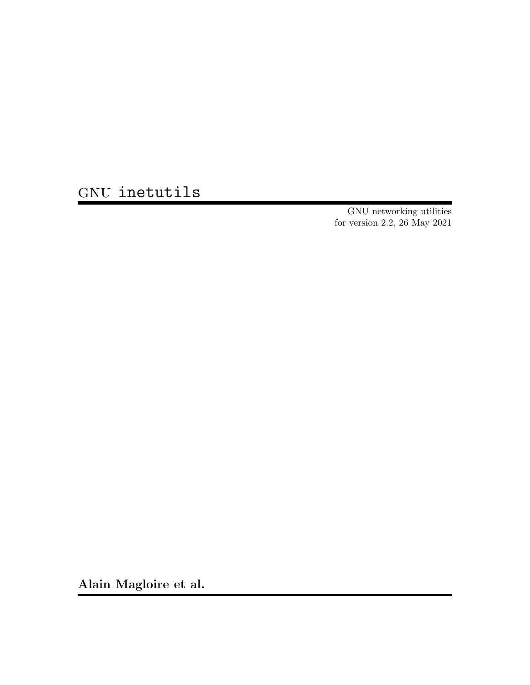GNU inetutils

GNU networking utilities for version 2.2, 26 May 2021

Alain Magloire et al.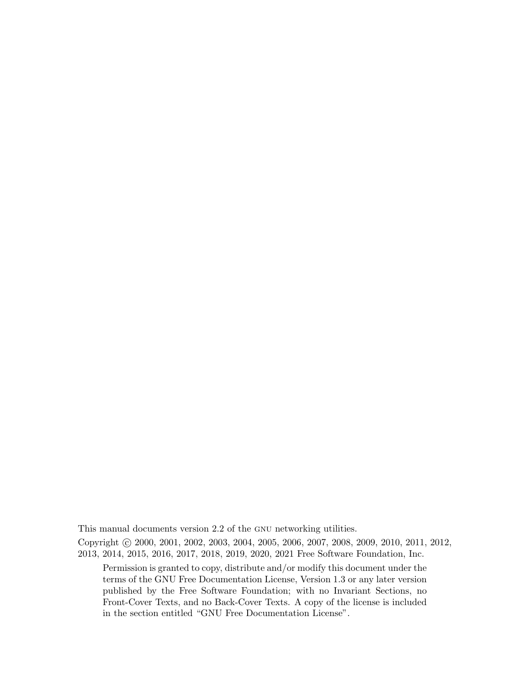This manual documents version 2.2 of the GNU networking utilities.

Copyright © 2000, 2001, 2002, 2003, 2004, 2005, 2006, 2007, 2008, 2009, 2010, 2011, 2012, 2013, 2014, 2015, 2016, 2017, 2018, 2019, 2020, 2021 Free Software Foundation, Inc.

Permission is granted to copy, distribute and/or modify this document under the terms of the GNU Free Documentation License, Version 1.3 or any later version published by the Free Software Foundation; with no Invariant Sections, no Front-Cover Texts, and no Back-Cover Texts. A copy of the license is included in the section entitled "GNU Free Documentation License".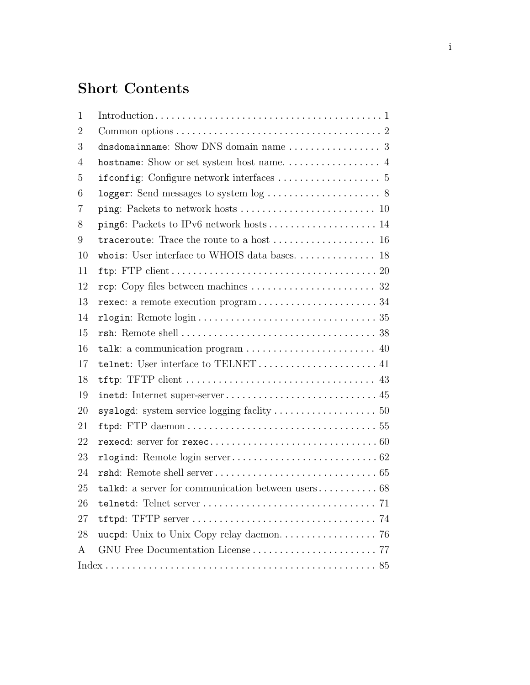# Short Contents

| $\mathbf{1}$   | $Introduction \ldots \ldots \ldots \ldots \ldots \ldots \ldots \ldots \ldots \ldots \ldots \ldots \ldots 1$     |
|----------------|-----------------------------------------------------------------------------------------------------------------|
| $\overline{2}$ |                                                                                                                 |
| 3              |                                                                                                                 |
| 4              |                                                                                                                 |
| 5              |                                                                                                                 |
| 6              |                                                                                                                 |
| 7              |                                                                                                                 |
| 8              |                                                                                                                 |
| 9              | traceroute: Trace the route to a host $\dots\dots\dots\dots\dots\dots$ 16                                       |
| 10             |                                                                                                                 |
| 11             | ftp: FTP $client \ldots \ldots \ldots \ldots \ldots \ldots \ldots \ldots \ldots \ldots \ldots \ldots \ldots 20$ |
| 12             |                                                                                                                 |
| 13             | rexec: a remote execution program34                                                                             |
| 14             |                                                                                                                 |
| 15             |                                                                                                                 |
| 16             |                                                                                                                 |
| 17             | telnet: User interface to TELNET 41                                                                             |
| 18             |                                                                                                                 |
| 19             |                                                                                                                 |
| 20             |                                                                                                                 |
| 21             |                                                                                                                 |
| 22             |                                                                                                                 |
| 23             |                                                                                                                 |
| 24             |                                                                                                                 |
| 25             |                                                                                                                 |
| 26             |                                                                                                                 |
| 27             |                                                                                                                 |
| 28             |                                                                                                                 |
| A              |                                                                                                                 |
|                |                                                                                                                 |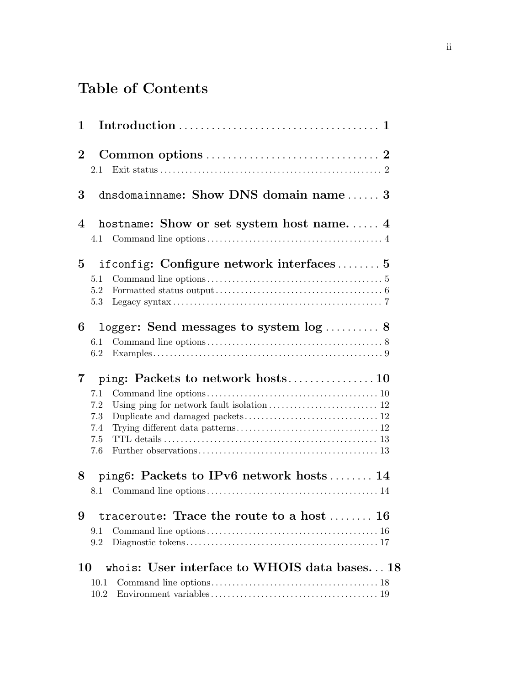# Table of Contents

| 1              |                                                                                                                                               |
|----------------|-----------------------------------------------------------------------------------------------------------------------------------------------|
| $\overline{2}$ | 2.1                                                                                                                                           |
| 3              | dnsdomainname: Show DNS domain name 3                                                                                                         |
| 4              | hostname: Show or set system host name 4                                                                                                      |
| $\overline{5}$ | if config: Configure network interfaces $5$<br>5.1<br>5.2<br>5.3                                                                              |
| 6              | logger: Send messages to system $log$ 8<br>61<br>6.2                                                                                          |
| 7              | 7.1<br>7.2<br>Using ping for network fault isolation $\ldots \ldots \ldots \ldots \ldots \ldots \ldots \ldots 12$<br>7.3<br>7.4<br>7.5<br>7.6 |
| 8              | ping6: Packets to IPv6 network hosts 14<br>8.1                                                                                                |
| 9              | traceroute: Trace the route to a host $\dots \dots$ 16<br>9.1<br>9.2                                                                          |
| 10             | whois: User interface to WHOIS data bases 18<br>10.1<br>10.2                                                                                  |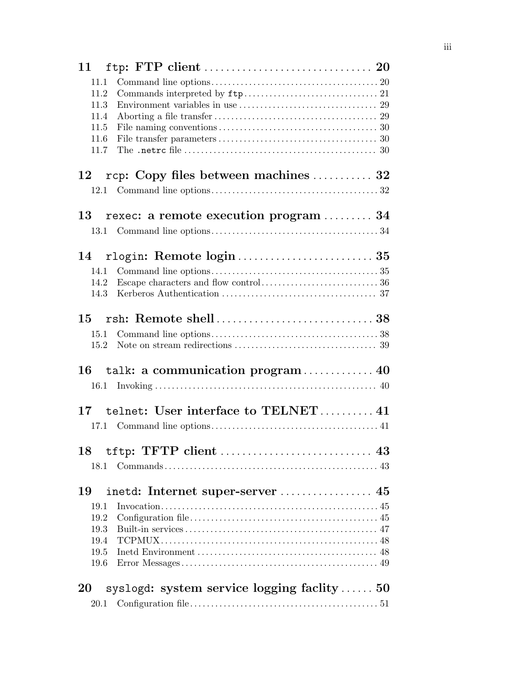| 11                                                               |  |
|------------------------------------------------------------------|--|
| 11.1                                                             |  |
| 11.2                                                             |  |
| 11.3                                                             |  |
| 11.4                                                             |  |
| 11.5                                                             |  |
| 11.6                                                             |  |
| 11.7                                                             |  |
| rcp: Copy files between machines  32<br>12                       |  |
| 12.1                                                             |  |
| rexec: a remote execution program  34<br>13                      |  |
|                                                                  |  |
|                                                                  |  |
| 14                                                               |  |
| 14.1                                                             |  |
| 14.2                                                             |  |
| 14.3                                                             |  |
| 15                                                               |  |
| 15.1                                                             |  |
| 15.2                                                             |  |
| talk: a communication program 40<br>16                           |  |
|                                                                  |  |
| 17 telnet: User interface to TELNET 41                           |  |
| 17.1                                                             |  |
|                                                                  |  |
|                                                                  |  |
|                                                                  |  |
| 19                                                               |  |
| 19.1                                                             |  |
| 19.2                                                             |  |
| 19.3                                                             |  |
| 19.4                                                             |  |
| 19.5                                                             |  |
| 19.6                                                             |  |
| syslogd: system service logging faciity $\ldots \ldots 50$<br>20 |  |
| 20.1                                                             |  |
|                                                                  |  |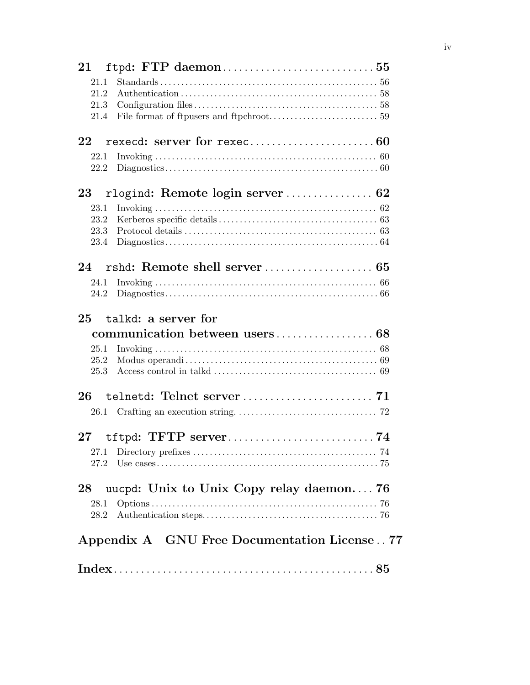| $\bf{21}$ |                                                                                                                           |
|-----------|---------------------------------------------------------------------------------------------------------------------------|
| 21.1      |                                                                                                                           |
| 21.2      |                                                                                                                           |
| 21.3      |                                                                                                                           |
| 21.4      |                                                                                                                           |
| 22        |                                                                                                                           |
| 22.1      | Invoking $\ldots$ and $\ldots$ and $\ldots$ and $\ldots$ and $\ldots$ and $\ldots$ and $\ldots$ and $\ldots$ and $\ldots$ |
| 22.2      |                                                                                                                           |
| 23        |                                                                                                                           |
| 23.1      |                                                                                                                           |
| 23.2      |                                                                                                                           |
| 23.3      |                                                                                                                           |
| 23.4      |                                                                                                                           |
| 24        |                                                                                                                           |
| 24.1      |                                                                                                                           |
| 24.2      |                                                                                                                           |
| 25        | talkd: a server for                                                                                                       |
|           |                                                                                                                           |
| 25.1      |                                                                                                                           |
| 25.2      |                                                                                                                           |
| 25.3      |                                                                                                                           |
| 26        |                                                                                                                           |
| $26.1\,$  |                                                                                                                           |
|           |                                                                                                                           |
| $27\,$    |                                                                                                                           |
| 27.1      |                                                                                                                           |
| 27.2      |                                                                                                                           |
| 28        | uucpd: Unix to Unix Copy relay daemon 76                                                                                  |
| 28.1      |                                                                                                                           |
| 28.2      |                                                                                                                           |
|           | Appendix A GNU Free Documentation License 77                                                                              |
|           |                                                                                                                           |
|           |                                                                                                                           |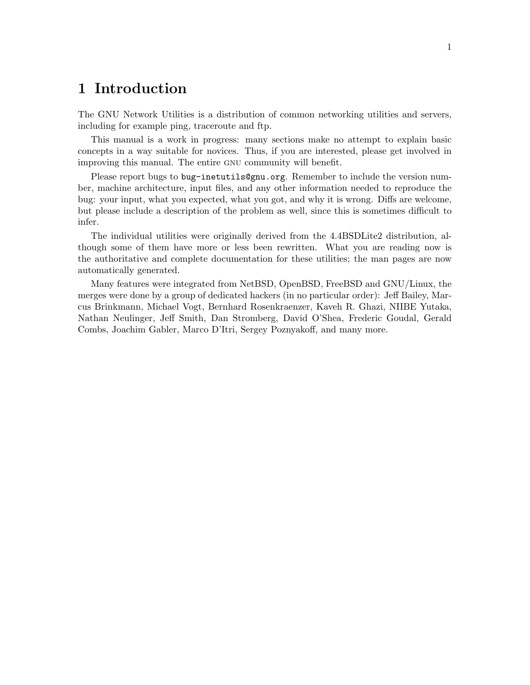## <span id="page-6-0"></span>1 Introduction

The GNU Network Utilities is a distribution of common networking utilities and servers, including for example ping, traceroute and ftp.

This manual is a work in progress: many sections make no attempt to explain basic concepts in a way suitable for novices. Thus, if you are interested, please get involved in improving this manual. The entire gnu community will benefit.

Please report bugs to [bug-inetutils@gnu.org](mailto:bug-inetutils@gnu.org). Remember to include the version number, machine architecture, input files, and any other information needed to reproduce the bug: your input, what you expected, what you got, and why it is wrong. Diffs are welcome, but please include a description of the problem as well, since this is sometimes difficult to infer.

The individual utilities were originally derived from the 4.4BSDLite2 distribution, although some of them have more or less been rewritten. What you are reading now is the authoritative and complete documentation for these utilities; the man pages are now automatically generated.

Many features were integrated from NetBSD, OpenBSD, FreeBSD and GNU/Linux, the merges were done by a group of dedicated hackers (in no particular order): Jeff Bailey, Marcus Brinkmann, Michael Vogt, Bernhard Rosenkraenzer, Kaveh R. Ghazi, NIIBE Yutaka, Nathan Neulinger, Jeff Smith, Dan Stromberg, David O'Shea, Frederic Goudal, Gerald Combs, Joachim Gabler, Marco D'Itri, Sergey Poznyakoff, and many more.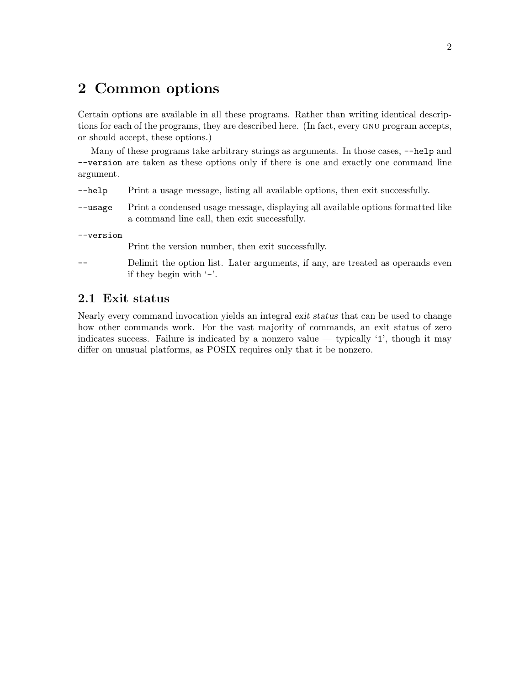## <span id="page-7-0"></span>2 Common options

Certain options are available in all these programs. Rather than writing identical descriptions for each of the programs, they are described here. (In fact, every gnu program accepts, or should accept, these options.)

Many of these programs take arbitrary strings as arguments. In those cases,  $\neg$ -help and --version are taken as these options only if there is one and exactly one command line argument.

- -help Print a usage message, listing all available options, then exit successfully.
- --usage Print a condensed usage message, displaying all available options formatted like a command line call, then exit successfully.

--version

Print the version number, then exit successfully.

Delimit the option list. Later arguments, if any, are treated as operands even if they begin with  $\cdot$ -'.

## 2.1 Exit status

Nearly every command invocation yields an integral exit status that can be used to change how other commands work. For the vast majority of commands, an exit status of zero indicates success. Failure is indicated by a nonzero value — typically  $\mathfrak{t}$ , though it may differ on unusual platforms, as POSIX requires only that it be nonzero.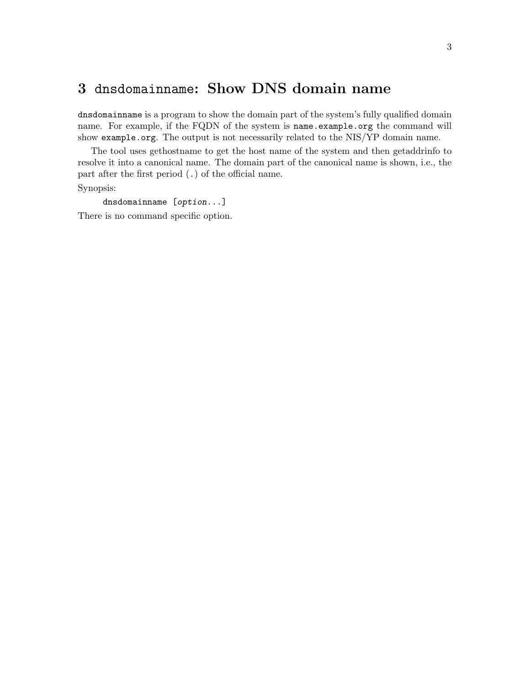## <span id="page-8-0"></span>3 dnsdomainname: Show DNS domain name

dnsdomainname is a program to show the domain part of the system's fully qualified domain name. For example, if the FQDN of the system is name.example.org the command will show example.org. The output is not necessarily related to the NIS/YP domain name.

The tool uses gethostname to get the host name of the system and then getaddrinfo to resolve it into a canonical name. The domain part of the canonical name is shown, i.e., the part after the first period (.) of the official name.

Synopsis:

dnsdomainname [option...]

There is no command specific option.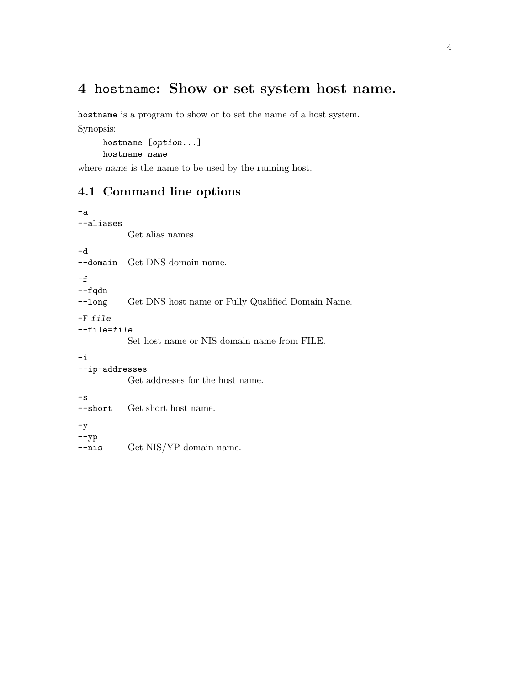## <span id="page-9-0"></span>4 hostname: Show or set system host name.

hostname is a program to show or to set the name of a host system. Synopsis:

hostname [option...] hostname name

where name is the name to be used by the running host.

## 4.1 Command line options

--nis Get NIS/YP domain name.

```
-a
--aliases
          Get alias names.
-d
--domain Get DNS domain name.
-f
--fqdn
--long Get DNS host name or Fully Qualified Domain Name.
-F file
--file=file
          Set host name or NIS domain name from FILE.
-i
--ip-addresses
          Get addresses for the host name.
-s
--short Get short host name.
-y--yp
```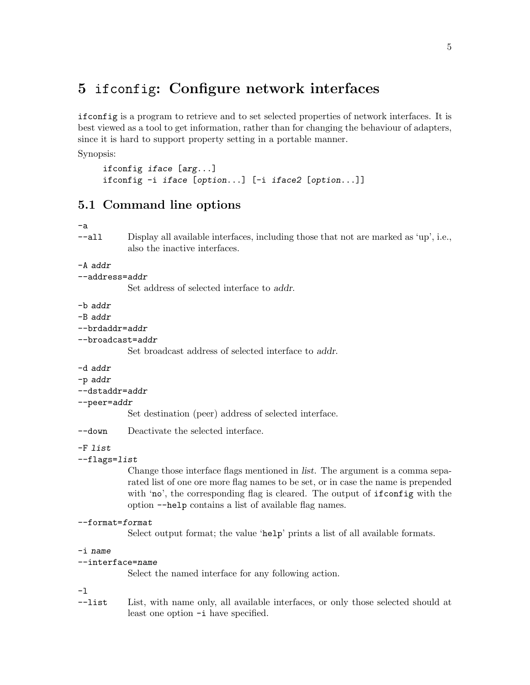## <span id="page-10-0"></span>5 ifconfig: Configure network interfaces

ifconfig is a program to retrieve and to set selected properties of network interfaces. It is best viewed as a tool to get information, rather than for changing the behaviour of adapters, since it is hard to support property setting in a portable manner.

Synopsis:

```
ifconfig iface [arg...]
ifconfig -i iface [option...] [-i iface2 [option...]]
```
## 5.1 Command line options

#### -a

--all Display all available interfaces, including those that not are marked as 'up', i.e., also the inactive interfaces.

#### $-A$  addr

```
--address=addr
```
Set address of selected interface to addr.

-b addr

-B addr

```
--brdaddr=addr
```
--broadcast=addr

Set broadcast address of selected interface to addr.

-d addr

-p addr

```
--dstaddr=addr
```
#### --peer=addr

Set destination (peer) address of selected interface.

--down Deactivate the selected interface.

#### -F list

#### --flags=list

Change those interface flags mentioned in list. The argument is a comma separated list of one ore more flag names to be set, or in case the name is prepended with 'no', the corresponding flag is cleared. The output of ifconfig with the option --help contains a list of available flag names.

#### --format=format

Select output format; the value 'help' prints a list of all available formats.

#### -i name

```
--interface=name
```
Select the named interface for any following action.

-l

--list List, with name only, all available interfaces, or only those selected should at least one option -i have specified.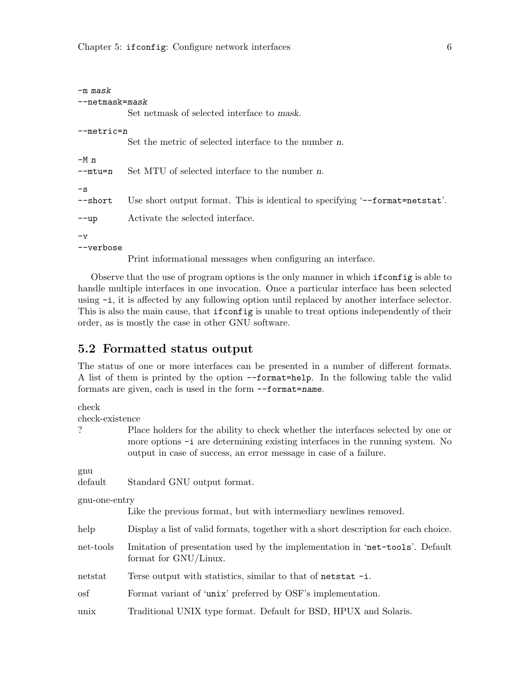<span id="page-11-0"></span>

| $-m$ mask      |                                                                              |  |  |
|----------------|------------------------------------------------------------------------------|--|--|
| --netmask=mask |                                                                              |  |  |
|                | Set netmask of selected interface to mask.                                   |  |  |
| $-$ metric=n   |                                                                              |  |  |
|                | Set the metric of selected interface to the number n.                        |  |  |
| $-Mn$          |                                                                              |  |  |
| $-$ mtu=n      | Set MTU of selected interface to the number n.                               |  |  |
| $-\mathbf{s}$  |                                                                              |  |  |
| $-$ short      | Use short output format. This is identical to specifying '--format=netstat'. |  |  |
| $--up$         | Activate the selected interface.                                             |  |  |
| $-v$           |                                                                              |  |  |
| --verbose      |                                                                              |  |  |
|                | $\mathbf{D}$ . The state $\mathbf{L}$ is the state of $\mathbf{L}$           |  |  |

Print informational messages when configuring an interface.

Observe that the use of program options is the only manner in which ifconfig is able to handle multiple interfaces in one invocation. Once a particular interface has been selected using -i, it is affected by any following option until replaced by another interface selector. This is also the main cause, that ifconfig is unable to treat options independently of their order, as is mostly the case in other GNU software.

### 5.2 Formatted status output

The status of one or more interfaces can be presented in a number of different formats. A list of them is printed by the option --format=help. In the following table the valid formats are given, each is used in the form --format=name.

check

check-existence

? Place holders for the ability to check whether the interfaces selected by one or more options -i are determining existing interfaces in the running system. No output in case of success, an error message in case of a failure.

gnu

default Standard GNU output format.

gnu-one-entry

Like the previous format, but with intermediary newlines removed.

- help Display a list of valid formats, together with a short description for each choice.
- net-tools Imitation of presentation used by the implementation in 'net-tools'. Default format for GNU/Linux.
- netstat Terse output with statistics, similar to that of netstat -i.

osf Format variant of 'unix' preferred by OSF's implementation.

unix Traditional UNIX type format. Default for BSD, HPUX and Solaris.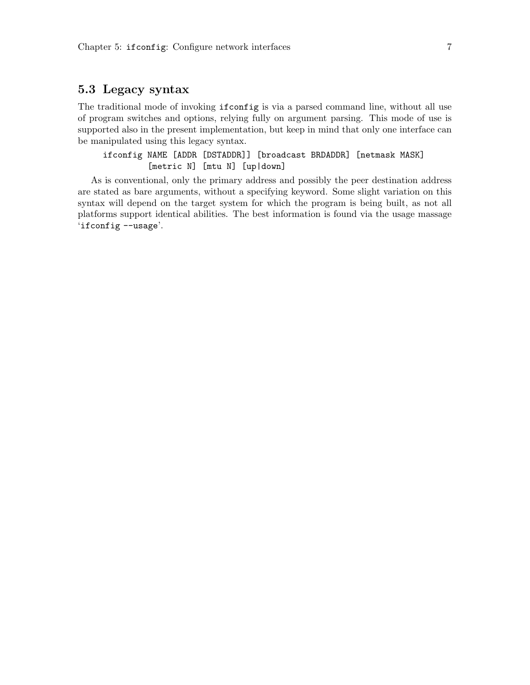## <span id="page-12-0"></span>5.3 Legacy syntax

The traditional mode of invoking ifconfig is via a parsed command line, without all use of program switches and options, relying fully on argument parsing. This mode of use is supported also in the present implementation, but keep in mind that only one interface can be manipulated using this legacy syntax.

ifconfig NAME [ADDR [DSTADDR]] [broadcast BRDADDR] [netmask MASK] [metric N] [mtu N] [up|down]

As is conventional, only the primary address and possibly the peer destination address are stated as bare arguments, without a specifying keyword. Some slight variation on this syntax will depend on the target system for which the program is being built, as not all platforms support identical abilities. The best information is found via the usage massage 'ifconfig --usage'.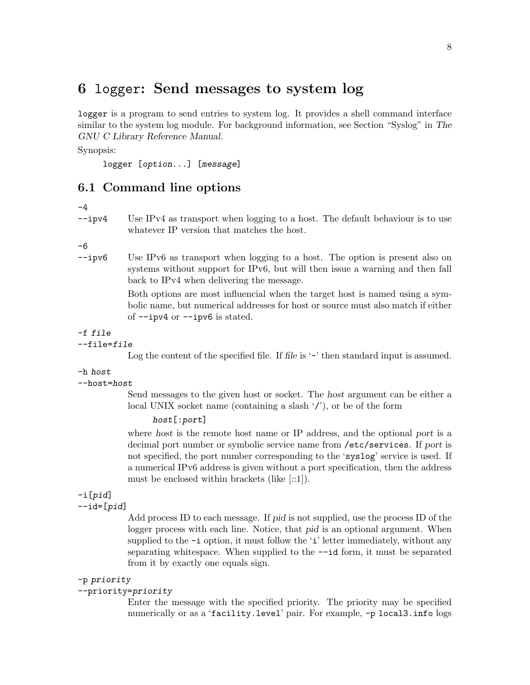## <span id="page-13-0"></span>6 logger: Send messages to system log

logger is a program to send entries to system log. It provides a shell command interface similar to the system log module. For background information, see Section "Syslog" in The GNU C Library Reference Manual.

Synopsis:

logger [option...] [message]

## 6.1 Command line options

-4

--ipv4 Use IPv4 as transport when logging to a host. The default behaviour is to use whatever IP version that matches the host.

-6

--ipv6 Use IPv6 as transport when logging to a host. The option is present also on systems without support for IPv6, but will then issue a warning and then fall back to IPv4 when delivering the message.

> Both options are most influencial when the target host is named using a symbolic name, but numerical addresses for host or source must also match if either of --ipv4 or --ipv6 is stated.

#### -f file

--file=file

Log the content of the specified file. If file is '-' then standard input is assumed.

-h host

--host=host

Send messages to the given host or socket. The host argument can be either a local UNIX socket name (containing a slash  $\langle \rangle$ ), or be of the form

#### host[:port]

where host is the remote host name or IP address, and the optional port is a decimal port number or symbolic service name from /etc/services. If port is not specified, the port number corresponding to the 'syslog' service is used. If a numerical IPv6 address is given without a port specification, then the address must be enclosed within brackets (like [::1]).

## -i[pid]

 $-$ id= $[pid]$ 

Add process ID to each message. If pid is not supplied, use the process ID of the logger process with each line. Notice, that pid is an optional argument. When supplied to the  $-i$  option, it must follow the 'i' letter immediately, without any separating whitespace. When supplied to the --id form, it must be separated from it by exactly one equals sign.

#### -p priority

#### --priority=priority

Enter the message with the specified priority. The priority may be specified numerically or as a 'facility.level' pair. For example, -p local3.info logs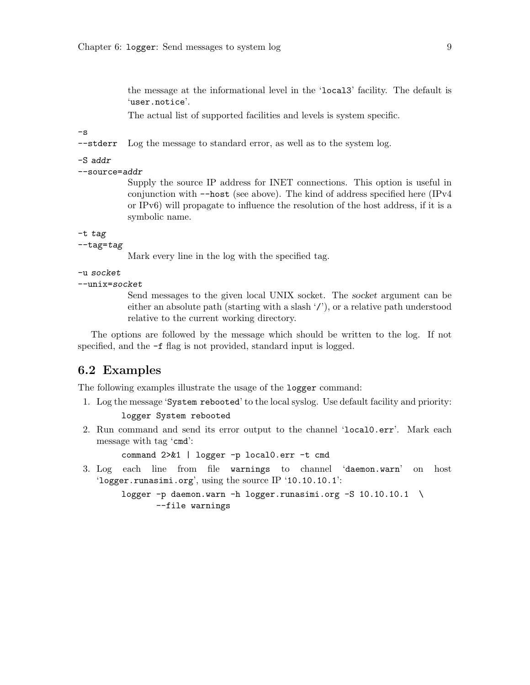<span id="page-14-0"></span>the message at the informational level in the 'local3' facility. The default is 'user.notice'.

The actual list of supported facilities and levels is system specific.

 $-\mathbf{s}$ 

--stderr Log the message to standard error, as well as to the system log.

```
-S addr
```
--source=addr

Supply the source IP address for INET connections. This option is useful in conjunction with --host (see above). The kind of address specified here (IPv4 or IPv6) will propagate to influence the resolution of the host address, if it is a symbolic name.

-t tag

 $-$ tag= $tag$ 

Mark every line in the log with the specified tag.

-u socket

--unix=socket

Send messages to the given local UNIX socket. The socket argument can be either an absolute path (starting with a slash  $\langle \cdot \rangle$ ), or a relative path understood relative to the current working directory.

The options are followed by the message which should be written to the log. If not specified, and the  $-f$  flag is not provided, standard input is logged.

## 6.2 Examples

The following examples illustrate the usage of the logger command:

- 1. Log the message 'System rebooted' to the local syslog. Use default facility and priority: logger System rebooted
- 2. Run command and send its error output to the channel 'local0.err'. Mark each message with tag 'cmd':

command 2>&1 | logger -p local0.err -t cmd

3. Log each line from file warnings to channel 'daemon.warn' on host 'logger.runasimi.org', using the source IP '10.10.10.1':

```
logger -p daemon.warn -h logger.runasimi.org -S 10.10.10.1 \
      --file warnings
```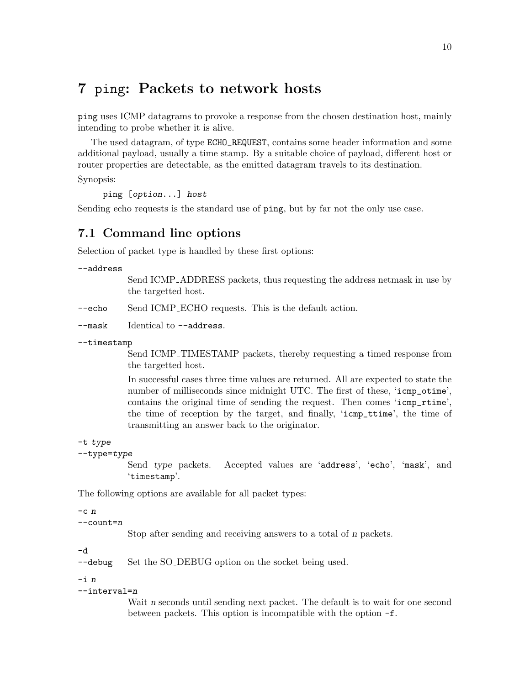## <span id="page-15-0"></span>7 ping: Packets to network hosts

ping uses ICMP datagrams to provoke a response from the chosen destination host, mainly intending to probe whether it is alive.

The used datagram, of type ECHO\_REQUEST, contains some header information and some additional payload, usually a time stamp. By a suitable choice of payload, different host or router properties are detectable, as the emitted datagram travels to its destination.

Synopsis:

ping [option...] host

Sending echo requests is the standard use of ping, but by far not the only use case.

## 7.1 Command line options

Selection of packet type is handled by these first options:

```
--address
```
Send ICMP ADDRESS packets, thus requesting the address netmask in use by the targetted host.

--echo Send ICMP ECHO requests. This is the default action.

--mask Identical to --address.

--timestamp

Send ICMP TIMESTAMP packets, thereby requesting a timed response from the targetted host.

In successful cases three time values are returned. All are expected to state the number of milliseconds since midnight UTC. The first of these, 'icmp\_otime', contains the original time of sending the request. Then comes 'icmp\_rtime', the time of reception by the target, and finally, 'icmp\_ttime', the time of transmitting an answer back to the originator.

### -t type

--type=type

Send type packets. Accepted values are 'address', 'echo', 'mask', and 'timestamp'.

The following options are available for all packet types:

```
-c n
```
--count=n

Stop after sending and receiving answers to a total of n packets.

-d

--debug Set the SO\_DEBUG option on the socket being used.

-i n

#### --interval=n

Wait n seconds until sending next packet. The default is to wait for one second between packets. This option is incompatible with the option -f.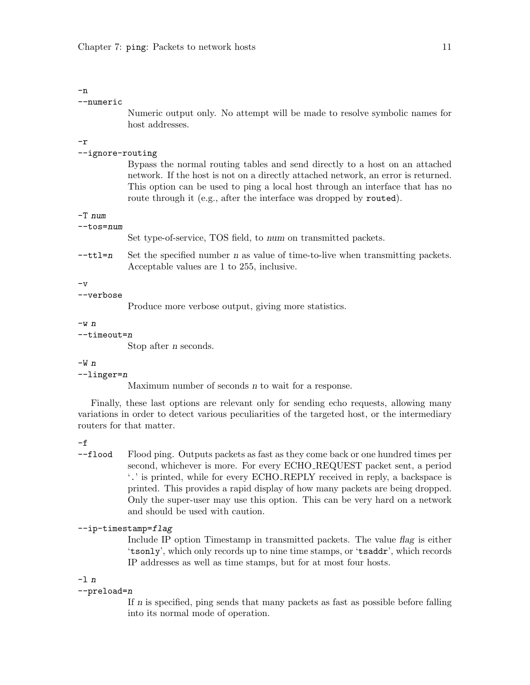#### --numeric

Numeric output only. No attempt will be made to resolve symbolic names for host addresses.

#### -r

#### --ignore-routing

Bypass the normal routing tables and send directly to a host on an attached network. If the host is not on a directly attached network, an error is returned. This option can be used to ping a local host through an interface that has no route through it (e.g., after the interface was dropped by routed).

#### -T num

```
--tos=num
```
Set type-of-service, TOS field, to num on transmitted packets.

 $-\text{ttl}=n$  Set the specified number n as value of time-to-live when transmitting packets. Acceptable values are 1 to 255, inclusive.

 $-v$ 

#### --verbose

Produce more verbose output, giving more statistics.

#### $-w$   $n$

#### $-$ timeout=n

Stop after n seconds.

#### $-W<sub>n</sub>$

#### --linger=n

Maximum number of seconds n to wait for a response.

Finally, these last options are relevant only for sending echo requests, allowing many variations in order to detect various peculiarities of the targeted host, or the intermediary routers for that matter.

#### -f

--flood Flood ping. Outputs packets as fast as they come back or one hundred times per second, whichever is more. For every ECHO REQUEST packet sent, a period '.' is printed, while for every ECHO REPLY received in reply, a backspace is printed. This provides a rapid display of how many packets are being dropped. Only the super-user may use this option. This can be very hard on a network and should be used with caution.

#### $--ip-time stamp = flag$

Include IP option Timestamp in transmitted packets. The value flag is either 'tsonly', which only records up to nine time stamps, or 'tsaddr', which records IP addresses as well as time stamps, but for at most four hosts.

#### -l n

#### --preload=n

If n is specified, ping sends that many packets as fast as possible before falling into its normal mode of operation.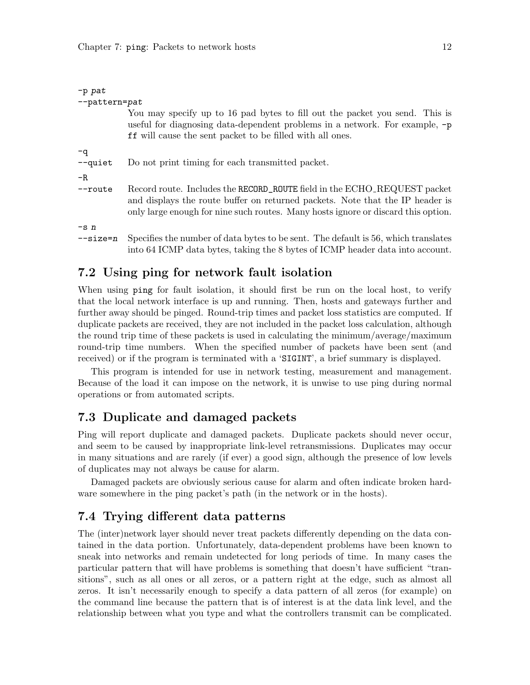<span id="page-17-0"></span>

| $-p$ pat        |                                                                                                                                                                                                                                                |
|-----------------|------------------------------------------------------------------------------------------------------------------------------------------------------------------------------------------------------------------------------------------------|
| --pattern=pat   |                                                                                                                                                                                                                                                |
|                 | You may specify up to 16 pad bytes to fill out the packet you send. This is<br>useful for diagnosing data-dependent problems in a network. For example, -p<br><b>ff</b> will cause the sent packet to be filled with all ones.                 |
| -q<br>$-$ quiet | Do not print timing for each transmitted packet.                                                                                                                                                                                               |
| $-R$            |                                                                                                                                                                                                                                                |
| $-$ route       | Record route. Includes the RECORD_ROUTE field in the ECHO_REQUEST packet<br>and displays the route buffer on returned packets. Note that the IP header is<br>only large enough for nine such routes. Many hosts ignore or discard this option. |
| $-sn$           |                                                                                                                                                                                                                                                |
| $-size=n$       | Specifies the number of data bytes to be sent. The default is 56, which translates<br>into 64 ICMP data bytes, taking the 8 bytes of ICMP header data into account.                                                                            |

## 7.2 Using ping for network fault isolation

When using ping for fault isolation, it should first be run on the local host, to verify that the local network interface is up and running. Then, hosts and gateways further and further away should be pinged. Round-trip times and packet loss statistics are computed. If duplicate packets are received, they are not included in the packet loss calculation, although the round trip time of these packets is used in calculating the minimum/average/maximum round-trip time numbers. When the specified number of packets have been sent (and received) or if the program is terminated with a 'SIGINT', a brief summary is displayed.

This program is intended for use in network testing, measurement and management. Because of the load it can impose on the network, it is unwise to use ping during normal operations or from automated scripts.

### 7.3 Duplicate and damaged packets

Ping will report duplicate and damaged packets. Duplicate packets should never occur, and seem to be caused by inappropriate link-level retransmissions. Duplicates may occur in many situations and are rarely (if ever) a good sign, although the presence of low levels of duplicates may not always be cause for alarm.

Damaged packets are obviously serious cause for alarm and often indicate broken hardware somewhere in the ping packet's path (in the network or in the hosts).

### 7.4 Trying different data patterns

The (inter)network layer should never treat packets differently depending on the data contained in the data portion. Unfortunately, data-dependent problems have been known to sneak into networks and remain undetected for long periods of time. In many cases the particular pattern that will have problems is something that doesn't have sufficient "transitions", such as all ones or all zeros, or a pattern right at the edge, such as almost all zeros. It isn't necessarily enough to specify a data pattern of all zeros (for example) on the command line because the pattern that is of interest is at the data link level, and the relationship between what you type and what the controllers transmit can be complicated.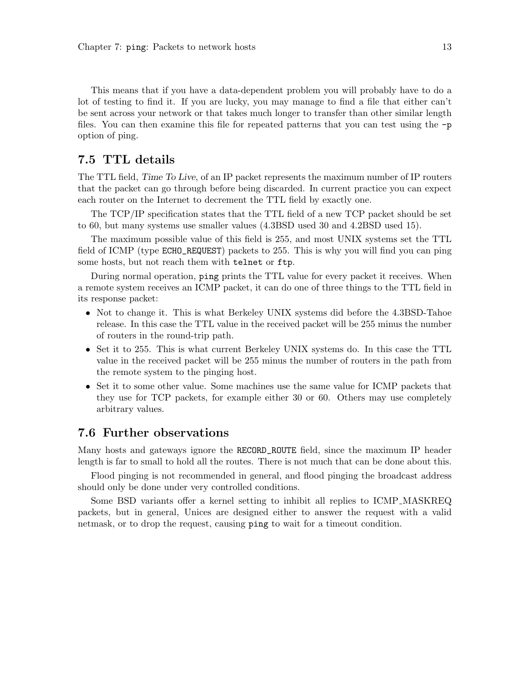<span id="page-18-0"></span>This means that if you have a data-dependent problem you will probably have to do a lot of testing to find it. If you are lucky, you may manage to find a file that either can't be sent across your network or that takes much longer to transfer than other similar length files. You can then examine this file for repeated patterns that you can test using the  $-p$ option of ping.

### 7.5 TTL details

The TTL field, Time To Live, of an IP packet represents the maximum number of IP routers that the packet can go through before being discarded. In current practice you can expect each router on the Internet to decrement the TTL field by exactly one.

The TCP/IP specification states that the TTL field of a new TCP packet should be set to 60, but many systems use smaller values (4.3BSD used 30 and 4.2BSD used 15).

The maximum possible value of this field is 255, and most UNIX systems set the TTL field of ICMP (type ECHO\_REQUEST) packets to 255. This is why you will find you can ping some hosts, but not reach them with telnet or ftp.

During normal operation, ping prints the TTL value for every packet it receives. When a remote system receives an ICMP packet, it can do one of three things to the TTL field in its response packet:

- Not to change it. This is what Berkeley UNIX systems did before the 4.3BSD-Tahoe release. In this case the TTL value in the received packet will be 255 minus the number of routers in the round-trip path.
- Set it to 255. This is what current Berkeley UNIX systems do. In this case the TTL value in the received packet will be 255 minus the number of routers in the path from the remote system to the pinging host.
- Set it to some other value. Some machines use the same value for ICMP packets that they use for TCP packets, for example either 30 or 60. Others may use completely arbitrary values.

### 7.6 Further observations

Many hosts and gateways ignore the RECORD\_ROUTE field, since the maximum IP header length is far to small to hold all the routes. There is not much that can be done about this.

Flood pinging is not recommended in general, and flood pinging the broadcast address should only be done under very controlled conditions.

Some BSD variants offer a kernel setting to inhibit all replies to ICMP MASKREQ packets, but in general, Unices are designed either to answer the request with a valid netmask, or to drop the request, causing ping to wait for a timeout condition.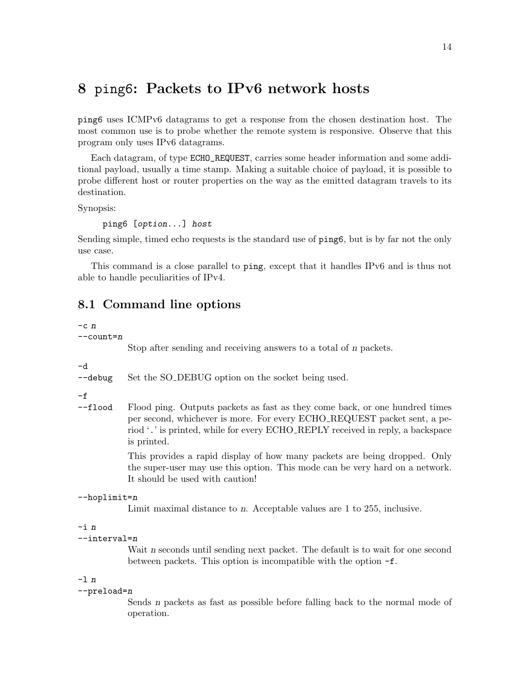## <span id="page-19-0"></span>8 ping6: Packets to IPv6 network hosts

ping6 uses ICMPv6 datagrams to get a response from the chosen destination host. The most common use is to probe whether the remote system is responsive. Observe that this program only uses IPv6 datagrams.

Each datagram, of type ECHO\_REQUEST, carries some header information and some additional payload, usually a time stamp. Making a suitable choice of payload, it is possible to probe different host or router properties on the way as the emitted datagram travels to its destination.

Synopsis:

ping6 [option...] host

Sending simple, timed echo requests is the standard use of ping6, but is by far not the only use case.

This command is a close parallel to ping, except that it handles IPv6 and is thus not able to handle peculiarities of IPv4.

## 8.1 Command line options

 $-c$   $n$ 

--count=n

Stop after sending and receiving answers to a total of n packets.

-d

--debug Set the SO\_DEBUG option on the socket being used.

 $-f$ 

--flood Flood ping. Outputs packets as fast as they come back, or one hundred times per second, whichever is more. For every ECHO REQUEST packet sent, a period '.' is printed, while for every ECHO REPLY received in reply, a backspace is printed.

> This provides a rapid display of how many packets are being dropped. Only the super-user may use this option. This mode can be very hard on a network. It should be used with caution!

```
--hoplimit=n
```
Limit maximal distance to n. Acceptable values are 1 to 255, inclusive.

#### -i n

```
--interval=n
```
Wait n seconds until sending next packet. The default is to wait for one second between packets. This option is incompatible with the option -f.

#### -l n

#### --preload=n

Sends n packets as fast as possible before falling back to the normal mode of operation.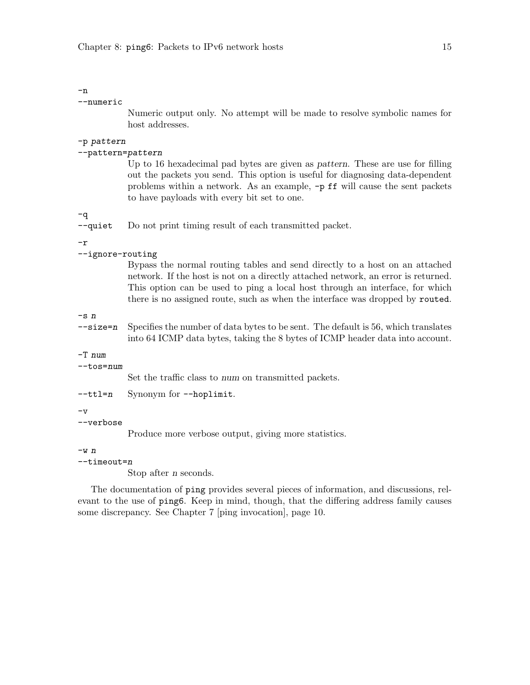### -n

#### --numeric

Numeric output only. No attempt will be made to resolve symbolic names for host addresses.

### -p pattern

### --pattern=pattern

Up to 16 hexadecimal pad bytes are given as pattern. These are use for filling out the packets you send. This option is useful for diagnosing data-dependent problems within a network. As an example, -p ff will cause the sent packets to have payloads with every bit set to one.

-q

--quiet Do not print timing result of each transmitted packet.

#### -r

--ignore-routing

Bypass the normal routing tables and send directly to a host on an attached network. If the host is not on a directly attached network, an error is returned. This option can be used to ping a local host through an interface, for which there is no assigned route, such as when the interface was dropped by routed.

-s n

 $-\texttt{size=n}$  Specifies the number of data bytes to be sent. The default is 56, which translates into 64 ICMP data bytes, taking the 8 bytes of ICMP header data into account.

#### -T num

#### --tos=num

Set the traffic class to num on transmitted packets.

| $-$ ttl=n |  | Synonym for --hoplimit. |
|-----------|--|-------------------------|
|-----------|--|-------------------------|

 $-v$ 

#### --verbose

Produce more verbose output, giving more statistics.

 $-w$   $n$ 

#### --timeout=n

Stop after n seconds.

The documentation of ping provides several pieces of information, and discussions, relevant to the use of ping6. Keep in mind, though, that the differing address family causes some discrepancy. See [Chapter 7 \[ping invocation\], page 10](#page-15-0).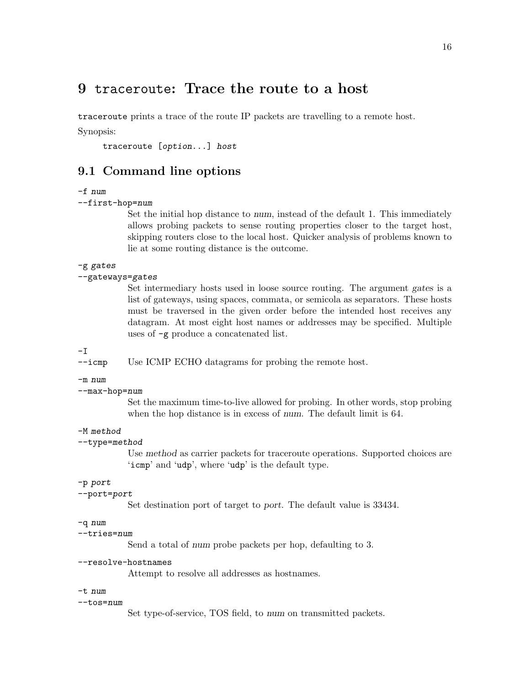## <span id="page-21-0"></span>9 traceroute: Trace the route to a host

traceroute prints a trace of the route IP packets are travelling to a remote host.

Synopsis:

traceroute [option...] host

## 9.1 Command line options

#### -f num

#### --first-hop=num

Set the initial hop distance to num, instead of the default 1. This immediately allows probing packets to sense routing properties closer to the target host, skipping routers close to the local host. Quicker analysis of problems known to lie at some routing distance is the outcome.

#### -g gates

#### --gateways=gates

Set intermediary hosts used in loose source routing. The argument gates is a list of gateways, using spaces, commata, or semicola as separators. These hosts must be traversed in the given order before the intended host receives any datagram. At most eight host names or addresses may be specified. Multiple uses of -g produce a concatenated list.

#### -I

--icmp Use ICMP ECHO datagrams for probing the remote host.

#### -m num

#### --max-hop=num

Set the maximum time-to-live allowed for probing. In other words, stop probing when the hop distance is in excess of num. The default limit is 64.

#### -M method

#### --type=method

Use method as carrier packets for traceroute operations. Supported choices are 'icmp' and 'udp', where 'udp' is the default type.

#### -p port

#### --port=port

Set destination port of target to port. The default value is 33434.

### -q num

#### --tries=num

Send a total of num probe packets per hop, defaulting to 3.

#### --resolve-hostnames

Attempt to resolve all addresses as hostnames.

#### -t num

#### --tos=num

Set type-of-service, TOS field, to num on transmitted packets.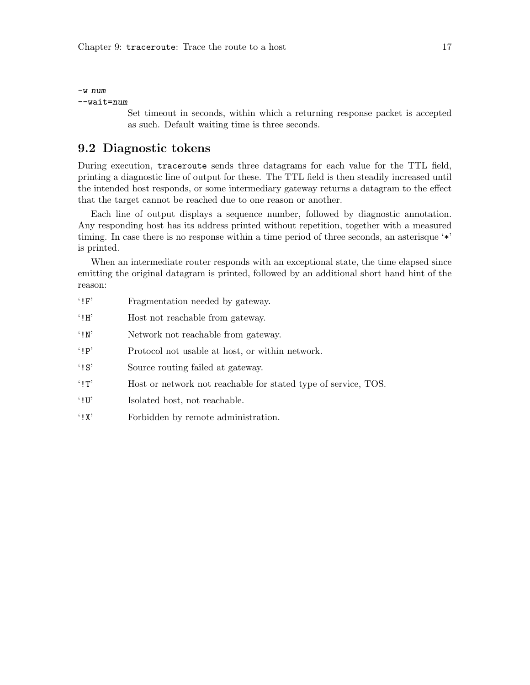<span id="page-22-0"></span>-w num --wait=num

> Set timeout in seconds, within which a returning response packet is accepted as such. Default waiting time is three seconds.

## 9.2 Diagnostic tokens

During execution, traceroute sends three datagrams for each value for the TTL field, printing a diagnostic line of output for these. The TTL field is then steadily increased until the intended host responds, or some intermediary gateway returns a datagram to the effect that the target cannot be reached due to one reason or another.

Each line of output displays a sequence number, followed by diagnostic annotation. Any responding host has its address printed without repetition, together with a measured timing. In case there is no response within a time period of three seconds, an asterisque '\*' is printed.

When an intermediate router responds with an exceptional state, the time elapsed since emitting the original datagram is printed, followed by an additional short hand hint of the reason:

| $^{\circ}$ ! $F$               | Fragmentation needed by gateway.                               |
|--------------------------------|----------------------------------------------------------------|
| $\cdot$ ! $H$                  | Host not reachable from gateway.                               |
| $\cdot$ ! N'                   | Network not reachable from gateway.                            |
| $'$ I P'                       | Protocol not usable at host, or within network.                |
| $^{\circ}$ ! S'                | Source routing failed at gateway.                              |
| $'$ $\mathsf{I}$ $\mathsf{T}'$ | Host or network not reachable for stated type of service, TOS. |
| $\cdot$ i U'                   | Isolated host, not reachable.                                  |

'!X' Forbidden by remote administration.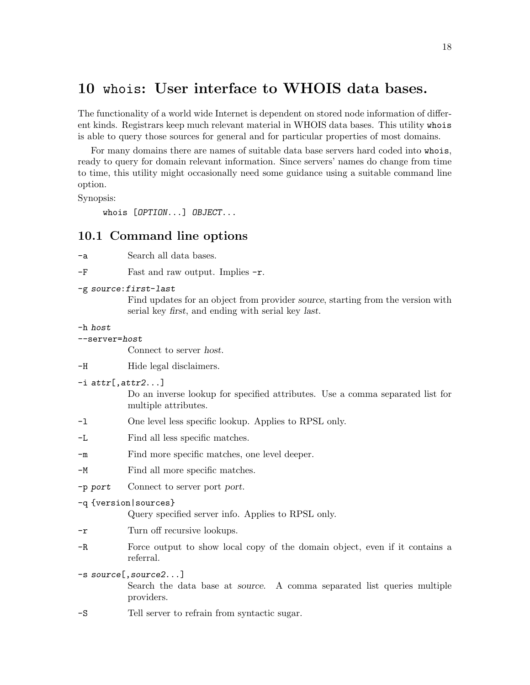## <span id="page-23-0"></span>10 whois: User interface to WHOIS data bases.

The functionality of a world wide Internet is dependent on stored node information of different kinds. Registrars keep much relevant material in WHOIS data bases. This utility whois is able to query those sources for general and for particular properties of most domains.

For many domains there are names of suitable data base servers hard coded into whois, ready to query for domain relevant information. Since servers' names do change from time to time, this utility might occasionally need some guidance using a suitable command line option.

Synopsis:

whois [OPTION...] OBJECT...

### 10.1 Command line options

-a Search all data bases.

 $-F$  Fast and raw output. Implies  $-r$ .

-g source:first-last

Find updates for an object from provider source, starting from the version with serial key first, and ending with serial key last.

#### -h host

--server=host

Connect to server host.

-H Hide legal disclaimers.

 $-i$  attr[, attr2...]

Do an inverse lookup for specified attributes. Use a comma separated list for multiple attributes.

- -l One level less specific lookup. Applies to RPSL only.
- -L Find all less specific matches.
- -m Find more specific matches, one level deeper.
- -M Find all more specific matches.
- -p port Connect to server port port.

#### -q {version|sources}

Query specified server info. Applies to RPSL only.

- -r Turn off recursive lookups.
- -R Force output to show local copy of the domain object, even if it contains a referral.
- -s source[,source2...]

Search the data base at source. A comma separated list queries multiple providers.

-S Tell server to refrain from syntactic sugar.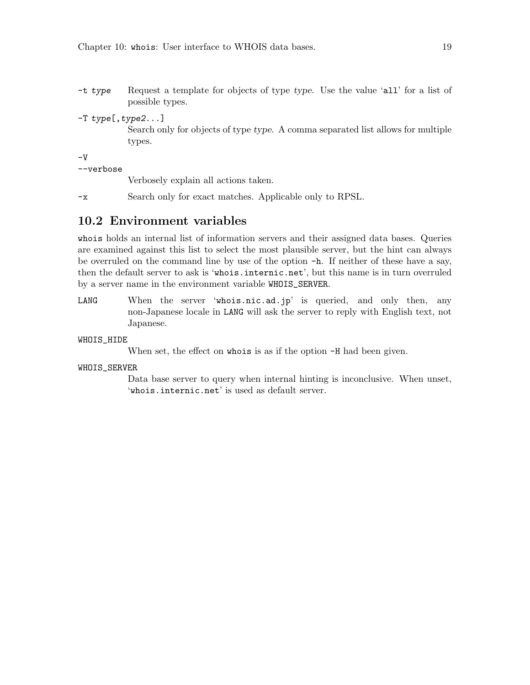- <span id="page-24-0"></span>-t type Request a template for objects of type type. Use the value 'all' for a list of possible types.
- -T type[,type2...] Search only for objects of type type. A comma separated list allows for multiple

types.

-V

--verbose

Verbosely explain all actions taken.

-x Search only for exact matches. Applicable only to RPSL.

## 10.2 Environment variables

whois holds an internal list of information servers and their assigned data bases. Queries are examined against this list to select the most plausible server, but the hint can always be overruled on the command line by use of the option -h. If neither of these have a say, then the default server to ask is 'whois.internic.net', but this name is in turn overruled by a server name in the environment variable WHOIS\_SERVER.

LANG When the server 'whois.nic.ad.jp' is queried, and only then, any non-Japanese locale in LANG will ask the server to reply with English text, not Japanese.

#### WHOIS\_HIDE

When set, the effect on whois is as if the option  $-H$  had been given.

#### WHOIS\_SERVER

Data base server to query when internal hinting is inconclusive. When unset, 'whois.internic.net' is used as default server.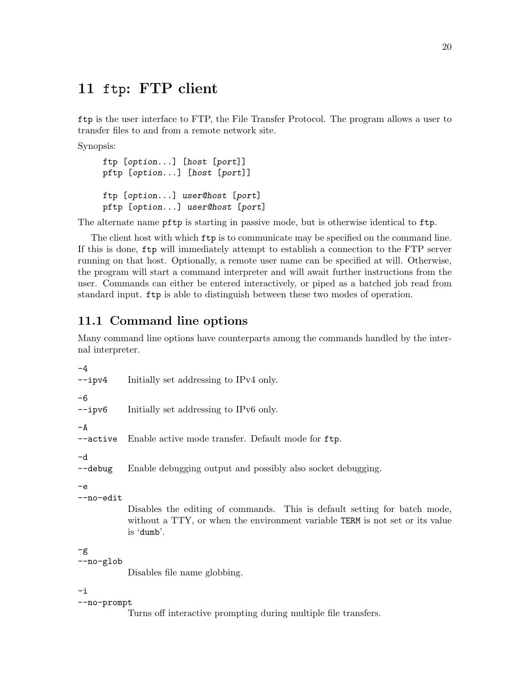## <span id="page-25-0"></span>11 ftp: FTP client

ftp is the user interface to FTP, the File Transfer Protocol. The program allows a user to transfer files to and from a remote network site.

Synopsis:

```
ftp [option...] [host [port]]
pftp [option...] [host [port]]
ftp [option...] user@host [port]
pftp [option...] user@host [port]
```
The alternate name pftp is starting in passive mode, but is otherwise identical to ftp.

The client host with which ftp is to communicate may be specified on the command line. If this is done, ftp will immediately attempt to establish a connection to the FTP server running on that host. Optionally, a remote user name can be specified at will. Otherwise, the program will start a command interpreter and will await further instructions from the user. Commands can either be entered interactively, or piped as a batched job read from standard input. ftp is able to distinguish between these two modes of operation.

## 11.1 Command line options

Many command line options have counterparts among the commands handled by the internal interpreter.

```
-4
--ipv4 Initially set addressing to IPv4 only.
-6
--ipv6 Initially set addressing to IPv6 only.
-A--active Enable active mode transfer. Default mode for ftp.
-d
--debug Enable debugging output and possibly also socket debugging.
-e
--no-edit
           Disables the editing of commands. This is default setting for batch mode,
           without a TTY, or when the environment variable TERM is not set or its value
           is 'dumb'.
-g
--no-glob
           Disables file name globbing.
-i
--no-prompt
```
Turns off interactive prompting during multiple file transfers.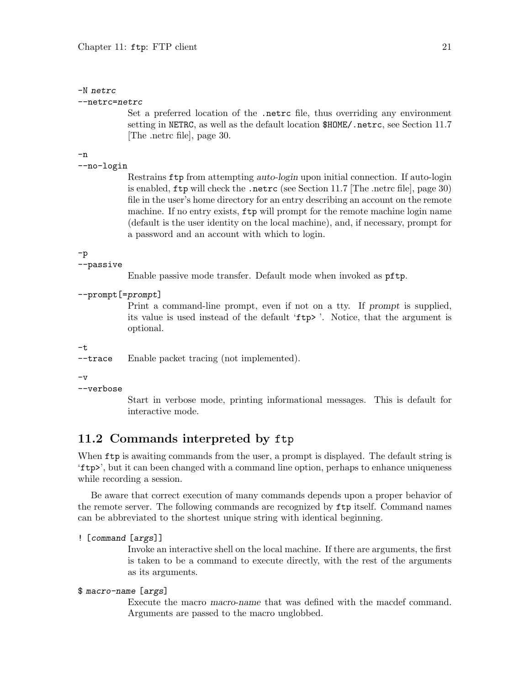#### <span id="page-26-0"></span>-N netrc

#### --netrc=netrc

Set a preferred location of the .netrc file, thus overriding any environment setting in NETRC, as well as the default location \$HOME/.netrc, see [Section 11.7](#page-35-1) [\[The .netrc file\], page 30.](#page-35-1)

-n

```
--no-login
```
Restrains ftp from attempting auto-login upon initial connection. If auto-login is enabled, ftp will check the .netrc (see [Section 11.7 \[The .netrc file\], page 30\)](#page-35-1) file in the user's home directory for an entry describing an account on the remote machine. If no entry exists, ftp will prompt for the remote machine login name (default is the user identity on the local machine), and, if necessary, prompt for a password and an account with which to login.

#### -p

#### --passive

Enable passive mode transfer. Default mode when invoked as pftp.

```
--prompt[=prompt]
```
Print a command-line prompt, even if not on a tty. If prompt is supplied, its value is used instead of the default 'ftp> '. Notice, that the argument is optional.

#### -t

--trace Enable packet tracing (not implemented).

 $-\nu$ 

```
--verbose
```
Start in verbose mode, printing informational messages. This is default for interactive mode.

## 11.2 Commands interpreted by ftp

When  $ftp$  is awaiting commands from the user, a prompt is displayed. The default string is 'ftp>', but it can been changed with a command line option, perhaps to enhance uniqueness while recording a session.

Be aware that correct execution of many commands depends upon a proper behavior of the remote server. The following commands are recognized by ftp itself. Command names can be abbreviated to the shortest unique string with identical beginning.

#### ! [command [args]]

Invoke an interactive shell on the local machine. If there are arguments, the first is taken to be a command to execute directly, with the rest of the arguments as its arguments.

#### \$ macro-name [args]

Execute the macro macro-name that was defined with the macdef command. Arguments are passed to the macro unglobbed.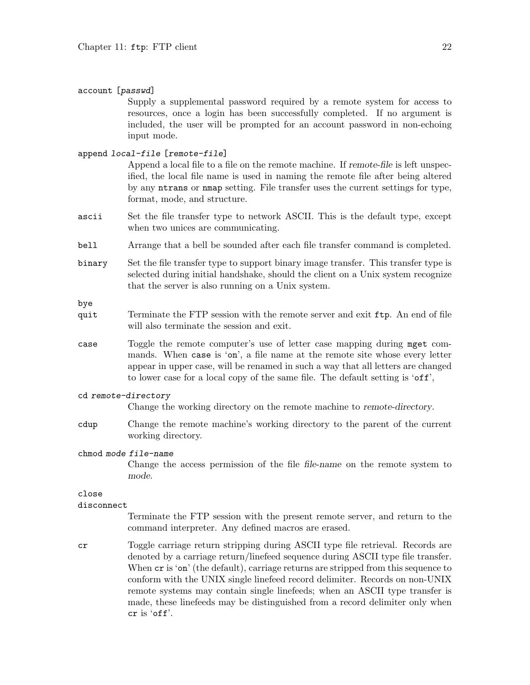#### account [passwd]

Supply a supplemental password required by a remote system for access to resources, once a login has been successfully completed. If no argument is included, the user will be prompted for an account password in non-echoing input mode.

#### append local-file [remote-file]

Append a local file to a file on the remote machine. If remote-file is left unspecified, the local file name is used in naming the remote file after being altered by any ntrans or nmap setting. File transfer uses the current settings for type, format, mode, and structure.

- ascii Set the file transfer type to network ASCII. This is the default type, except when two unices are communicating.
- bell Arrange that a bell be sounded after each file transfer command is completed.
- binary Set the file transfer type to support binary image transfer. This transfer type is selected during initial handshake, should the client on a Unix system recognize that the server is also running on a Unix system.

bye

- quit Terminate the FTP session with the remote server and exit ftp. An end of file will also terminate the session and exit.
- case Toggle the remote computer's use of letter case mapping during mget commands. When case is 'on', a file name at the remote site whose every letter appear in upper case, will be renamed in such a way that all letters are changed to lower case for a local copy of the same file. The default setting is 'off',

#### cd remote-directory

Change the working directory on the remote machine to remote-directory.

cdup Change the remote machine's working directory to the parent of the current working directory.

#### chmod mode file-name

Change the access permission of the file file-name on the remote system to mode.

#### close

#### disconnect

Terminate the FTP session with the present remote server, and return to the command interpreter. Any defined macros are erased.

cr Toggle carriage return stripping during ASCII type file retrieval. Records are denoted by a carriage return/linefeed sequence during ASCII type file transfer. When  $cr$  is 'on' (the default), carriage returns are stripped from this sequence to conform with the UNIX single linefeed record delimiter. Records on non-UNIX remote systems may contain single linefeeds; when an ASCII type transfer is made, these linefeeds may be distinguished from a record delimiter only when cr is 'off'.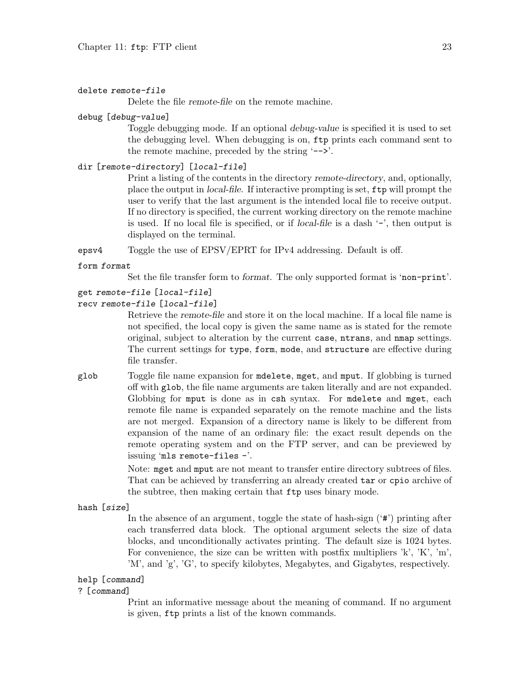#### delete remote-file

Delete the file remote-file on the remote machine.

#### debug [debug-value]

Toggle debugging mode. If an optional debug-value is specified it is used to set the debugging level. When debugging is on, ftp prints each command sent to the remote machine, preceded by the string '-->'.

#### dir [remote-directory] [local-file]

Print a listing of the contents in the directory remote-directory, and, optionally, place the output in local-file. If interactive prompting is set, ftp will prompt the user to verify that the last argument is the intended local file to receive output. If no directory is specified, the current working directory on the remote machine is used. If no local file is specified, or if local-file is a dash '-', then output is displayed on the terminal.

epsv4 Toggle the use of EPSV/EPRT for IPv4 addressing. Default is off.

#### form format

Set the file transfer form to format. The only supported format is 'non-print'.

#### get remote-file [local-file]

```
recv remote-file [local-file]
```
Retrieve the remote-file and store it on the local machine. If a local file name is not specified, the local copy is given the same name as is stated for the remote original, subject to alteration by the current case, ntrans, and nmap settings. The current settings for type, form, mode, and structure are effective during file transfer.

glob Toggle file name expansion for mdelete, mget, and mput. If globbing is turned off with glob, the file name arguments are taken literally and are not expanded. Globbing for mput is done as in csh syntax. For mdelete and mget, each remote file name is expanded separately on the remote machine and the lists are not merged. Expansion of a directory name is likely to be different from expansion of the name of an ordinary file: the exact result depends on the remote operating system and on the FTP server, and can be previewed by issuing 'mls remote-files -'.

> Note: mget and mput are not meant to transfer entire directory subtrees of files. That can be achieved by transferring an already created tar or cpio archive of the subtree, then making certain that ftp uses binary mode.

hash [size]

In the absence of an argument, toggle the state of hash-sign  $(4*)$  printing after each transferred data block. The optional argument selects the size of data blocks, and unconditionally activates printing. The default size is 1024 bytes. For convenience, the size can be written with postfix multipliers 'k', 'K', 'm', 'M', and 'g', 'G', to specify kilobytes, Megabytes, and Gigabytes, respectively.

#### help [command]

#### ? [command]

Print an informative message about the meaning of command. If no argument is given, ftp prints a list of the known commands.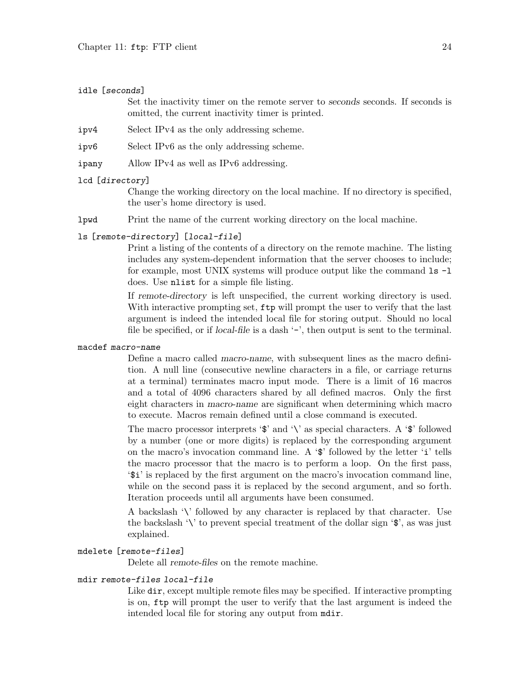#### idle [seconds]

Set the inactivity timer on the remote server to seconds seconds. If seconds is omitted, the current inactivity timer is printed.

- ipv4 Select IPv4 as the only addressing scheme.
- ipv6 Select IPv6 as the only addressing scheme.
- ipany Allow IPv4 as well as IPv6 addressing.

#### lcd [directory]

Change the working directory on the local machine. If no directory is specified, the user's home directory is used.

lpwd Print the name of the current working directory on the local machine.

#### ls [remote-directory] [local-file]

Print a listing of the contents of a directory on the remote machine. The listing includes any system-dependent information that the server chooses to include; for example, most UNIX systems will produce output like the command ls -l does. Use nlist for a simple file listing.

If remote-directory is left unspecified, the current working directory is used. With interactive prompting set,  $ftp$  will prompt the user to verify that the last argument is indeed the intended local file for storing output. Should no local file be specified, or if *local-file* is a dash  $\prime$ -', then output is sent to the terminal.

#### macdef macro-name

Define a macro called macro-name, with subsequent lines as the macro definition. A null line (consecutive newline characters in a file, or carriage returns at a terminal) terminates macro input mode. There is a limit of 16 macros and a total of 4096 characters shared by all defined macros. Only the first eight characters in macro-name are significant when determining which macro to execute. Macros remain defined until a close command is executed.

The macro processor interprets ' $\mathcal{F}$  and '\' as special characters. A ' $\mathcal{F}$  followed by a number (one or more digits) is replaced by the corresponding argument on the macro's invocation command line. A '\$' followed by the letter 'i' tells the macro processor that the macro is to perform a loop. On the first pass, '\$i' is replaced by the first argument on the macro's invocation command line, while on the second pass it is replaced by the second argument, and so forth. Iteration proceeds until all arguments have been consumed.

A backslash '\' followed by any character is replaced by that character. Use the backslash  $\forall$  to prevent special treatment of the dollar sign  $\mathcal{F}$ , as was just explained.

#### mdelete [remote-files]

Delete all remote-files on the remote machine.

#### mdir remote-files local-file

Like dir, except multiple remote files may be specified. If interactive prompting is on, ftp will prompt the user to verify that the last argument is indeed the intended local file for storing any output from mdir.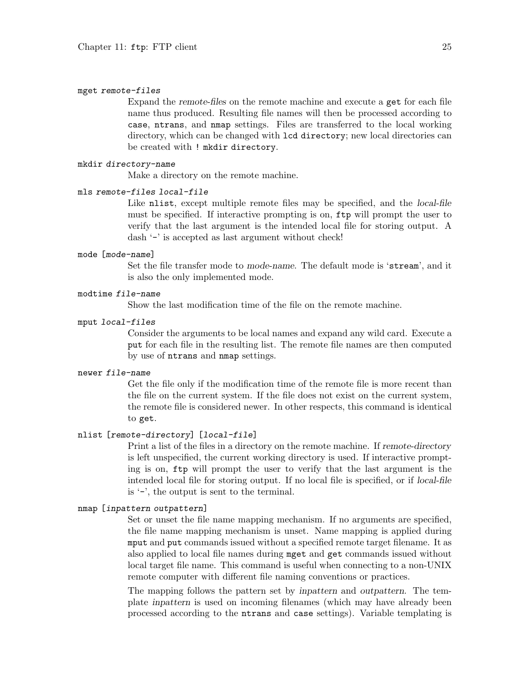#### mget remote-files

Expand the remote-files on the remote machine and execute a get for each file name thus produced. Resulting file names will then be processed according to case, ntrans, and nmap settings. Files are transferred to the local working directory, which can be changed with lcd directory; new local directories can be created with ! mkdir directory.

#### mkdir directory-name

Make a directory on the remote machine.

#### mls remote-files local-file

Like nlist, except multiple remote files may be specified, and the *local-file* must be specified. If interactive prompting is on, ftp will prompt the user to verify that the last argument is the intended local file for storing output. A dash '-' is accepted as last argument without check!

#### mode [mode-name]

Set the file transfer mode to mode-name. The default mode is 'stream', and it is also the only implemented mode.

#### modtime file-name

Show the last modification time of the file on the remote machine.

#### mput local-files

Consider the arguments to be local names and expand any wild card. Execute a put for each file in the resulting list. The remote file names are then computed by use of ntrans and nmap settings.

#### newer file-name

Get the file only if the modification time of the remote file is more recent than the file on the current system. If the file does not exist on the current system, the remote file is considered newer. In other respects, this command is identical to get.

#### nlist [remote-directory] [local-file]

Print a list of the files in a directory on the remote machine. If remote-directory is left unspecified, the current working directory is used. If interactive prompting is on, ftp will prompt the user to verify that the last argument is the intended local file for storing output. If no local file is specified, or if local-file is '-', the output is sent to the terminal.

#### nmap [inpattern outpattern]

Set or unset the file name mapping mechanism. If no arguments are specified, the file name mapping mechanism is unset. Name mapping is applied during mput and put commands issued without a specified remote target filename. It as also applied to local file names during mget and get commands issued without local target file name. This command is useful when connecting to a non-UNIX remote computer with different file naming conventions or practices.

The mapping follows the pattern set by inpattern and outpattern. The template inpattern is used on incoming filenames (which may have already been processed according to the ntrans and case settings). Variable templating is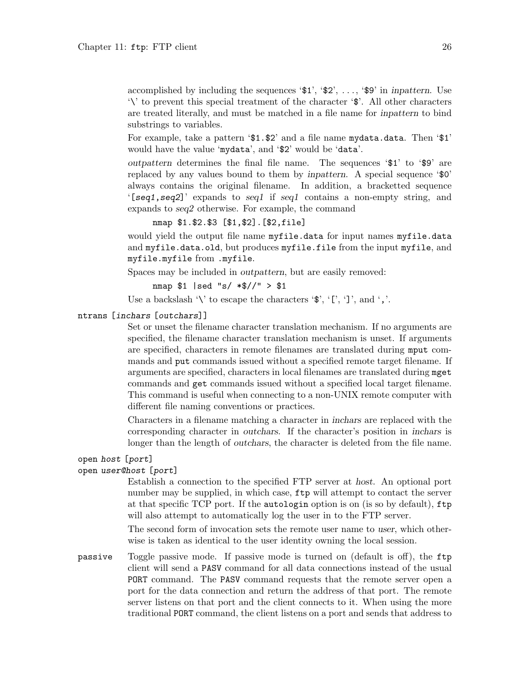accomplished by including the sequences  $\mathcal{I}, \mathcal{I}, \mathcal{I}, \ldots, \mathcal{I}$  in inpattern. Use '\' to prevent this special treatment of the character '\$'. All other characters are treated literally, and must be matched in a file name for inpattern to bind substrings to variables.

For example, take a pattern '\$1.\$2' and a file name mydata.data. Then '\$1' would have the value 'mydata', and '\$2' would be 'data'.

outpattern determines the final file name. The sequences '\$1' to '\$9' are replaced by any values bound to them by inpattern. A special sequence ' $\mathcal{O}'$ ' always contains the original filename. In addition, a bracketted sequence '[seq1,seq2]' expands to seq1 if seq1 contains a non-empty string, and expands to seq2 otherwise. For example, the command

nmap \$1.\$2.\$3 [\$1,\$2].[\$2,file]

would yield the output file name myfile.data for input names myfile.data and myfile.data.old, but produces myfile.file from the input myfile, and myfile.myfile from .myfile.

Spaces may be included in outpattern, but are easily removed:

nmap \$1 |sed "s/ \*\$//" > \$1

Use a backslash '\' to escape the characters ' $\mathcal{F}'$ , '[', ']', and ','.

#### ntrans [inchars [outchars]]

Set or unset the filename character translation mechanism. If no arguments are specified, the filename character translation mechanism is unset. If arguments are specified, characters in remote filenames are translated during mput commands and put commands issued without a specified remote target filename. If arguments are specified, characters in local filenames are translated during mget commands and get commands issued without a specified local target filename. This command is useful when connecting to a non-UNIX remote computer with different file naming conventions or practices.

Characters in a filename matching a character in inchars are replaced with the corresponding character in outchars. If the character's position in inchars is longer than the length of outchars, the character is deleted from the file name.

#### open host [port]

#### open user@host [port]

Establish a connection to the specified FTP server at host. An optional port number may be supplied, in which case, ftp will attempt to contact the server at that specific TCP port. If the autologin option is on (is so by default), ftp will also attempt to automatically log the user in to the FTP server.

The second form of invocation sets the remote user name to user, which otherwise is taken as identical to the user identity owning the local session.

passive Toggle passive mode. If passive mode is turned on (default is off), the ftp client will send a PASV command for all data connections instead of the usual PORT command. The PASV command requests that the remote server open a port for the data connection and return the address of that port. The remote server listens on that port and the client connects to it. When using the more traditional PORT command, the client listens on a port and sends that address to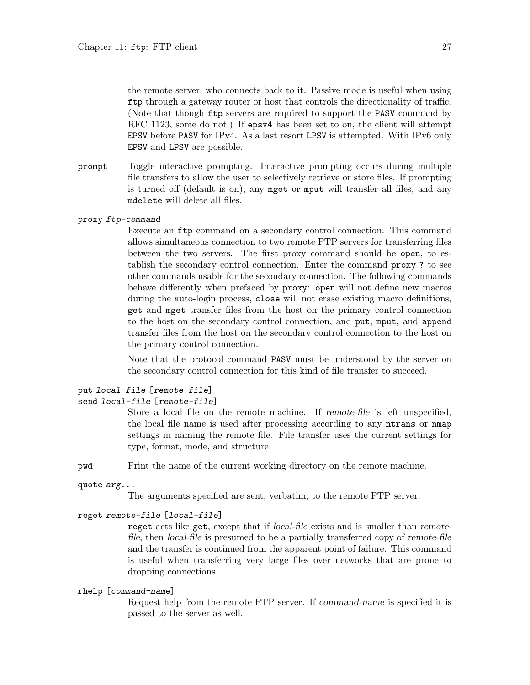the remote server, who connects back to it. Passive mode is useful when using ftp through a gateway router or host that controls the directionality of traffic. (Note that though ftp servers are required to support the PASV command by RFC 1123, some do not.) If epsv4 has been set to on, the client will attempt EPSV before PASV for IPv4. As a last resort LPSV is attempted. With IPv6 only EPSV and LPSV are possible.

- prompt Toggle interactive prompting. Interactive prompting occurs during multiple file transfers to allow the user to selectively retrieve or store files. If prompting is turned off (default is on), any mget or mput will transfer all files, and any mdelete will delete all files.
- proxy ftp-command

Execute an ftp command on a secondary control connection. This command allows simultaneous connection to two remote FTP servers for transferring files between the two servers. The first proxy command should be open, to establish the secondary control connection. Enter the command proxy ? to see other commands usable for the secondary connection. The following commands behave differently when prefaced by proxy: open will not define new macros during the auto-login process, close will not erase existing macro definitions, get and mget transfer files from the host on the primary control connection to the host on the secondary control connection, and put, mput, and append transfer files from the host on the secondary control connection to the host on the primary control connection.

Note that the protocol command PASV must be understood by the server on the secondary control connection for this kind of file transfer to succeed.

#### put local-file [remote-file] send local-file [remote-file]

Store a local file on the remote machine. If remote-file is left unspecified, the local file name is used after processing according to any ntrans or nmap settings in naming the remote file. File transfer uses the current settings for type, format, mode, and structure.

pwd Print the name of the current working directory on the remote machine.

quote arg...

The arguments specified are sent, verbatim, to the remote FTP server.

#### reget remote-file [local-file]

reget acts like get, except that if local-file exists and is smaller than remotefile, then local-file is presumed to be a partially transferred copy of remote-file and the transfer is continued from the apparent point of failure. This command is useful when transferring very large files over networks that are prone to dropping connections.

#### rhelp [command-name]

Request help from the remote FTP server. If command-name is specified it is passed to the server as well.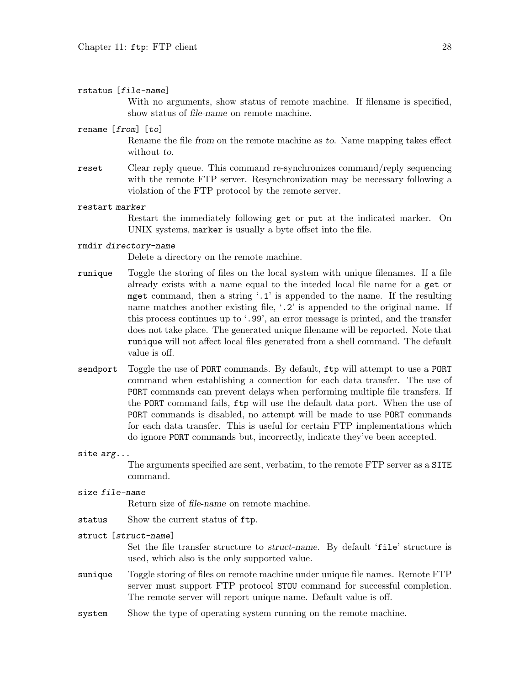#### rstatus [file-name]

With no arguments, show status of remote machine. If filename is specified, show status of file-name on remote machine.

#### rename [from] [to]

Rename the file from on the remote machine as to. Name mapping takes effect without to.

reset Clear reply queue. This command re-synchronizes command/reply sequencing with the remote FTP server. Resynchronization may be necessary following a violation of the FTP protocol by the remote server.

#### restart marker

Restart the immediately following get or put at the indicated marker. On UNIX systems, marker is usually a byte offset into the file.

#### rmdir directory-name

Delete a directory on the remote machine.

- runique Toggle the storing of files on the local system with unique filenames. If a file already exists with a name equal to the inteded local file name for a get or mget command, then a string  $\cdot$ .1' is appended to the name. If the resulting name matches another existing file, '.2' is appended to the original name. If this process continues up to '.99', an error message is printed, and the transfer does not take place. The generated unique filename will be reported. Note that runique will not affect local files generated from a shell command. The default value is off.
- sendport Toggle the use of PORT commands. By default, ftp will attempt to use a PORT command when establishing a connection for each data transfer. The use of PORT commands can prevent delays when performing multiple file transfers. If the PORT command fails, ftp will use the default data port. When the use of PORT commands is disabled, no attempt will be made to use PORT commands for each data transfer. This is useful for certain FTP implementations which do ignore PORT commands but, incorrectly, indicate they've been accepted.
- site arg...

The arguments specified are sent, verbatim, to the remote FTP server as a SITE command.

#### size file-name

Return size of file-name on remote machine.

status Show the current status of ftp.

#### struct [struct-name]

Set the file transfer structure to struct-name. By default 'file' structure is used, which also is the only supported value.

- sunique Toggle storing of files on remote machine under unique file names. Remote FTP server must support FTP protocol STOU command for successful completion. The remote server will report unique name. Default value is off.
- system Show the type of operating system running on the remote machine.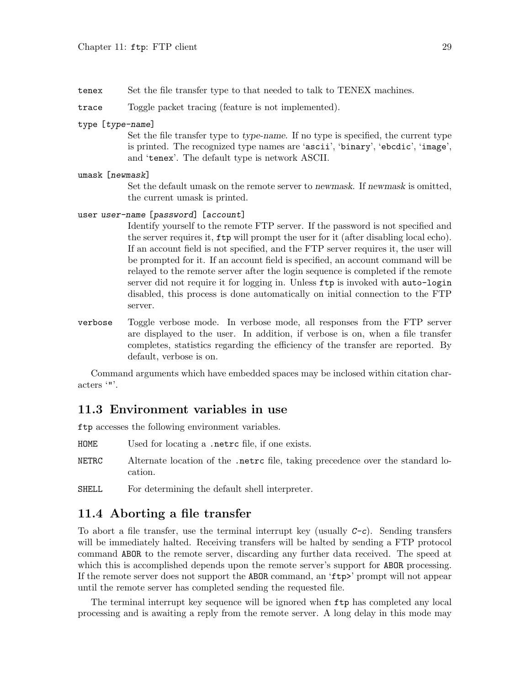<span id="page-34-0"></span>tenex Set the file transfer type to that needed to talk to TENEX machines.

trace Toggle packet tracing (feature is not implemented).

type [type-name]

Set the file transfer type to type-name. If no type is specified, the current type is printed. The recognized type names are 'ascii', 'binary', 'ebcdic', 'image', and 'tenex'. The default type is network ASCII.

umask [newmask]

Set the default umask on the remote server to newmask. If newmask is omitted, the current umask is printed.

```
user user-name [password] [account]
```
Identify yourself to the remote FTP server. If the password is not specified and the server requires it, ftp will prompt the user for it (after disabling local echo). If an account field is not specified, and the FTP server requires it, the user will be prompted for it. If an account field is specified, an account command will be relayed to the remote server after the login sequence is completed if the remote server did not require it for logging in. Unless ftp is invoked with auto-login disabled, this process is done automatically on initial connection to the FTP server.

verbose Toggle verbose mode. In verbose mode, all responses from the FTP server are displayed to the user. In addition, if verbose is on, when a file transfer completes, statistics regarding the efficiency of the transfer are reported. By default, verbose is on.

Command arguments which have embedded spaces may be inclosed within citation characters '"'.

### 11.3 Environment variables in use

ftp accesses the following environment variables.

- HOME Used for locating a .netrc file, if one exists.
- NETRC Alternate location of the .netrc file, taking precedence over the standard location.
- SHELL For determining the default shell interpreter.

### 11.4 Aborting a file transfer

To abort a file transfer, use the terminal interrupt key (usually  $C-c$ ). Sending transfers will be immediately halted. Receiving transfers will be halted by sending a FTP protocol command ABOR to the remote server, discarding any further data received. The speed at which this is accomplished depends upon the remote server's support for **ABOR** processing. If the remote server does not support the ABOR command, an 'ftp>' prompt will not appear until the remote server has completed sending the requested file.

The terminal interrupt key sequence will be ignored when ftp has completed any local processing and is awaiting a reply from the remote server. A long delay in this mode may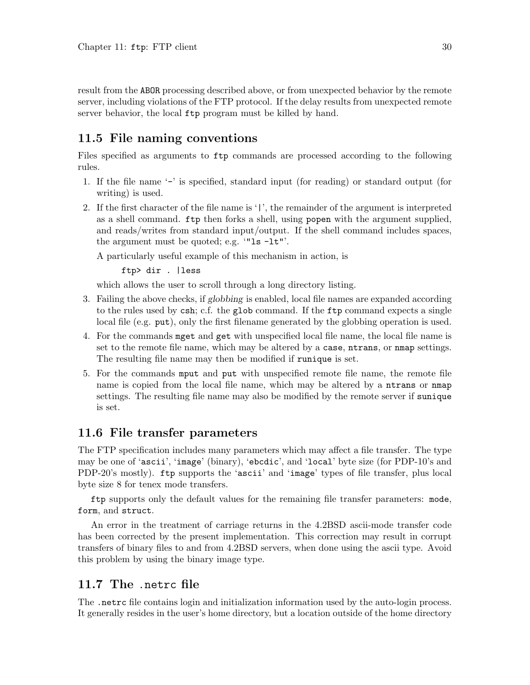<span id="page-35-0"></span>result from the ABOR processing described above, or from unexpected behavior by the remote server, including violations of the FTP protocol. If the delay results from unexpected remote server behavior, the local ftp program must be killed by hand.

## 11.5 File naming conventions

Files specified as arguments to ftp commands are processed according to the following rules.

- 1. If the file name '-' is specified, standard input (for reading) or standard output (for writing) is used.
- 2. If the first character of the file name is '|', the remainder of the argument is interpreted as a shell command. ftp then forks a shell, using popen with the argument supplied, and reads/writes from standard input/output. If the shell command includes spaces, the argument must be quoted; e.g. '"ls -lt"'.

A particularly useful example of this mechanism in action, is

ftp> dir . |less

which allows the user to scroll through a long directory listing.

- 3. Failing the above checks, if globbing is enabled, local file names are expanded according to the rules used by csh; c.f. the glob command. If the ftp command expects a single local file (e.g. put), only the first filename generated by the globbing operation is used.
- 4. For the commands mget and get with unspecified local file name, the local file name is set to the remote file name, which may be altered by a case, ntrans, or nmap settings. The resulting file name may then be modified if runique is set.
- 5. For the commands mput and put with unspecified remote file name, the remote file name is copied from the local file name, which may be altered by a ntrans or nmap settings. The resulting file name may also be modified by the remote server if sunique is set.

## 11.6 File transfer parameters

The FTP specification includes many parameters which may affect a file transfer. The type may be one of 'ascii', 'image' (binary), 'ebcdic', and 'local' byte size (for PDP-10's and PDP-20's mostly). ftp supports the 'ascii' and 'image' types of file transfer, plus local byte size 8 for tenex mode transfers.

ftp supports only the default values for the remaining file transfer parameters: mode, form, and struct.

An error in the treatment of carriage returns in the 4.2BSD ascii-mode transfer code has been corrected by the present implementation. This correction may result in corrupt transfers of binary files to and from 4.2BSD servers, when done using the ascii type. Avoid this problem by using the binary image type.

### <span id="page-35-1"></span>11.7 The .netrc file

The .netrc file contains login and initialization information used by the auto-login process. It generally resides in the user's home directory, but a location outside of the home directory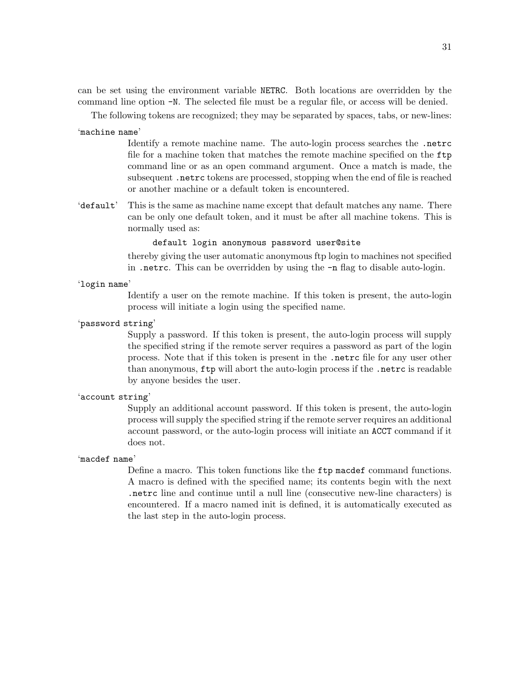can be set using the environment variable NETRC. Both locations are overridden by the command line option -N. The selected file must be a regular file, or access will be denied.

The following tokens are recognized; they may be separated by spaces, tabs, or new-lines:

#### 'machine name'

Identify a remote machine name. The auto-login process searches the .netrc file for a machine token that matches the remote machine specified on the ftp command line or as an open command argument. Once a match is made, the subsequent .netrc tokens are processed, stopping when the end of file is reached or another machine or a default token is encountered.

'default' This is the same as machine name except that default matches any name. There can be only one default token, and it must be after all machine tokens. This is normally used as:

### default login anonymous password user@site

thereby giving the user automatic anonymous ftp login to machines not specified in .netrc. This can be overridden by using the -n flag to disable auto-login.

### 'login name'

Identify a user on the remote machine. If this token is present, the auto-login process will initiate a login using the specified name.

### 'password string'

Supply a password. If this token is present, the auto-login process will supply the specified string if the remote server requires a password as part of the login process. Note that if this token is present in the .netrc file for any user other than anonymous, ftp will abort the auto-login process if the .netrc is readable by anyone besides the user.

#### 'account string'

Supply an additional account password. If this token is present, the auto-login process will supply the specified string if the remote server requires an additional account password, or the auto-login process will initiate an ACCT command if it does not.

#### 'macdef name'

Define a macro. This token functions like the ftp macdef command functions. A macro is defined with the specified name; its contents begin with the next .netrc line and continue until a null line (consecutive new-line characters) is encountered. If a macro named init is defined, it is automatically executed as the last step in the auto-login process.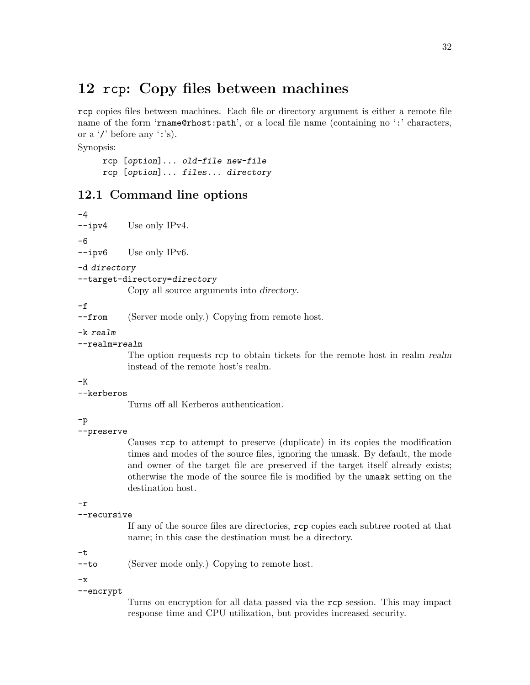# 12 rcp: Copy files between machines

rcp copies files between machines. Each file or directory argument is either a remote file name of the form 'rname@rhost:path', or a local file name (containing no ':' characters, or a '/' before any ':'s).

Synopsis:

rcp [option]... old-file new-file rcp [option]... files... directory

## 12.1 Command line options

-4 --ipv4 Use only IPv4.

-6

--ipv6 Use only IPv6.

-d directory

```
--target-directory=directory
```
Copy all source arguments into directory.

-f

--from (Server mode only.) Copying from remote host.

-k realm

### --realm=realm

The option requests rcp to obtain tickets for the remote host in realm realm instead of the remote host's realm.

-K

```
--kerberos
```
Turns off all Kerberos authentication.

-p

### --preserve

Causes rcp to attempt to preserve (duplicate) in its copies the modification times and modes of the source files, ignoring the umask. By default, the mode and owner of the target file are preserved if the target itself already exists; otherwise the mode of the source file is modified by the umask setting on the destination host.

-r

```
--recursive
```
If any of the source files are directories, rcp copies each subtree rooted at that name; in this case the destination must be a directory.

-t

--to (Server mode only.) Copying to remote host.

 $-x$ 

--encrypt

Turns on encryption for all data passed via the rcp session. This may impact response time and CPU utilization, but provides increased security.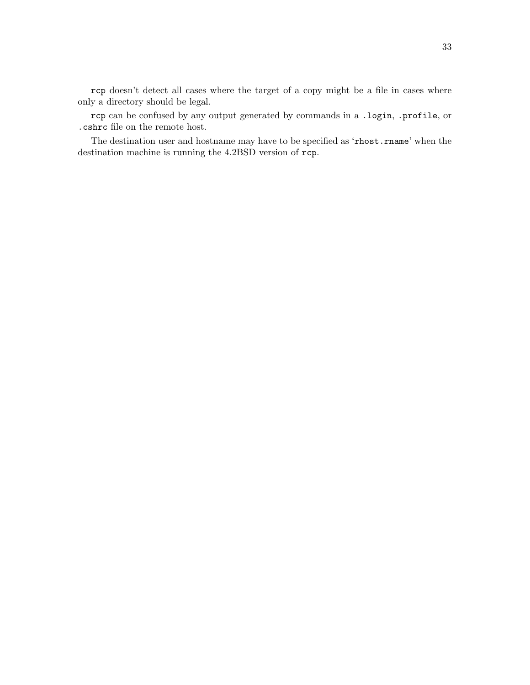rcp doesn't detect all cases where the target of a copy might be a file in cases where only a directory should be legal.

rcp can be confused by any output generated by commands in a .login, .profile, or .cshrc file on the remote host.

The destination user and hostname may have to be specified as 'rhost.rname' when the destination machine is running the 4.2BSD version of rcp.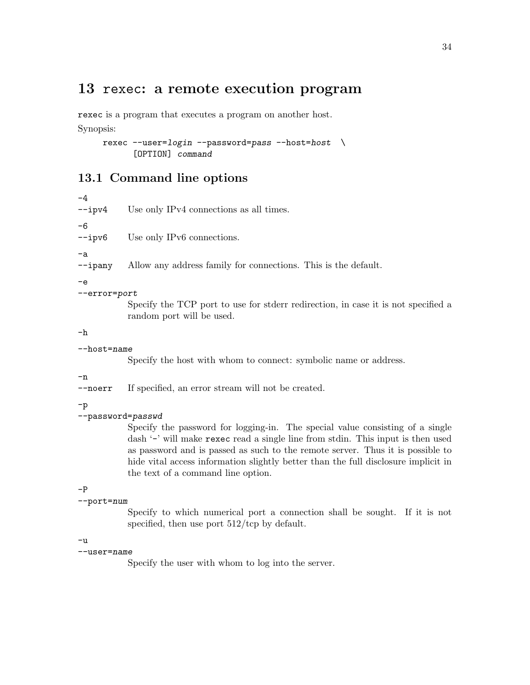# 13 rexec: a remote execution program

rexec is a program that executes a program on another host. Synopsis:

rexec  $--user=login --password=pass --host=host \ \ \ \ \ \$ [OPTION] command

# 13.1 Command line options

-4 --ipv4 Use only IPv4 connections as all times. -6 --ipv6 Use only IPv6 connections. -a --ipany Allow any address family for connections. This is the default. -e --error=port Specify the TCP port to use for stderr redirection, in case it is not specified a random port will be used.

-h

--host=name

Specify the host with whom to connect: symbolic name or address.

### -n

--noerr If specified, an error stream will not be created.

-p

### --password=passwd

Specify the password for logging-in. The special value consisting of a single dash '-' will make rexec read a single line from stdin. This input is then used as password and is passed as such to the remote server. Thus it is possible to hide vital access information slightly better than the full disclosure implicit in the text of a command line option.

### -P

### --port=num

Specify to which numerical port a connection shall be sought. If it is not specified, then use port  $512/\text{top}$  by default.

### $-11$

### --user=name

Specify the user with whom to log into the server.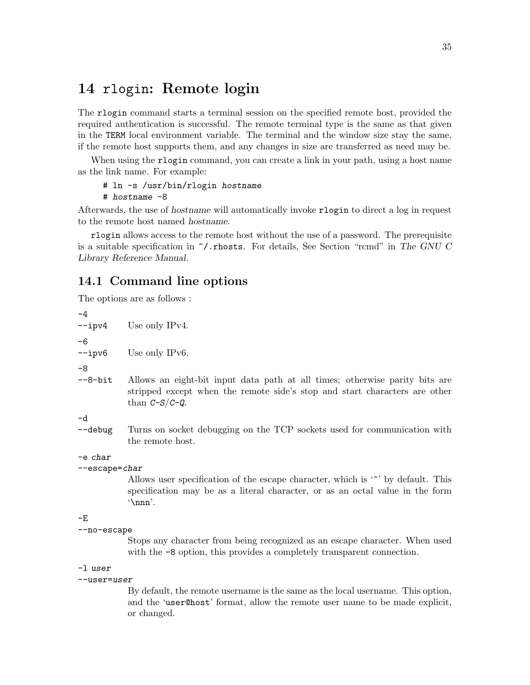# <span id="page-40-0"></span>14 rlogin: Remote login

The rlogin command starts a terminal session on the specified remote host, provided the required authentication is successful. The remote terminal type is the same as that given in the TERM local environment variable. The terminal and the window size stay the same, if the remote host supports them, and any changes in size are transferred as need may be.

When using the rlogin command, you can create a link in your path, using a host name as the link name. For example:

### # ln -s /usr/bin/rlogin hostname

# hostname -8

Afterwards, the use of hostname will automatically invoke rlogin to direct a log in request to the remote host named hostname.

rlogin allows access to the remote host without the use of a password. The prerequisite is a suitable specification in  $\gamma$ . rhosts. For details, See Section "rcmd" in The GNU C Library Reference Manual.

### 14.1 Command line options

The options are as follows :

-4 --ipv4 Use only IPv4. -6 --ipv6 Use only IPv6. -8 --8-bit Allows an eight-bit input data path at all times; otherwise parity bits are stripped except when the remote side's stop and start characters are other than  $C-S/C-Q$ . -d --debug Turns on socket debugging on the TCP sockets used for communication with the remote host. -e char --escape=char Allows user specification of the escape character, which is '<sup>\*</sup>' by default. This specification may be as a literal character, or as an octal value in the form

### $-E$

```
--no-escape
```
'\nnn'.

Stops any character from being recognized as an escape character. When used with the  $-8$  option, this provides a completely transparent connection.

### -l user

#### --user=user

By default, the remote username is the same as the local username. This option, and the 'user@host' format, allow the remote user name to be made explicit, or changed.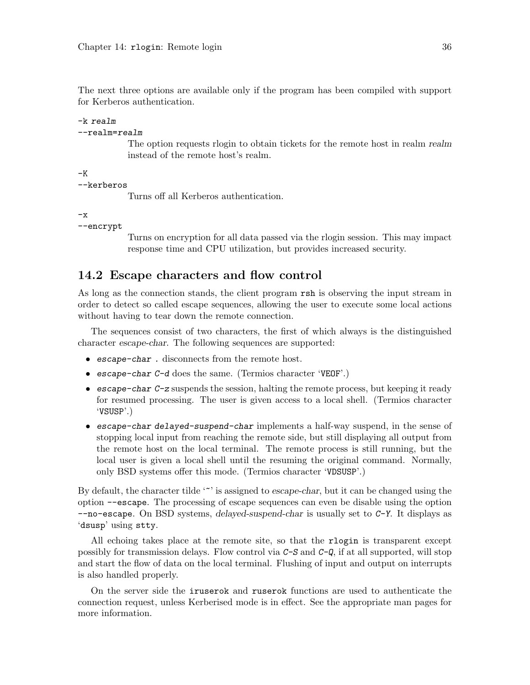The next three options are available only if the program has been compiled with support for Kerberos authentication.

### -k realm

### --realm=realm

The option requests rlogin to obtain tickets for the remote host in realm realm instead of the remote host's realm.

```
-K
```
--kerberos

Turns off all Kerberos authentication.

 $-x$ 

--encrypt

Turns on encryption for all data passed via the rlogin session. This may impact response time and CPU utilization, but provides increased security.

### 14.2 Escape characters and flow control

As long as the connection stands, the client program rsh is observing the input stream in order to detect so called escape sequences, allowing the user to execute some local actions without having to tear down the remote connection.

The sequences consist of two characters, the first of which always is the distinguished character escape-char. The following sequences are supported:

- escape-char . disconnects from the remote host.
- escape-char C-d does the same. (Termios character 'VEOF'.)
- escape-char C-z suspends the session, halting the remote process, but keeping it ready for resumed processing. The user is given access to a local shell. (Termios character 'VSUSP'.)
- escape-char delayed-suspend-char implements a half-way suspend, in the sense of stopping local input from reaching the remote side, but still displaying all output from the remote host on the local terminal. The remote process is still running, but the local user is given a local shell until the resuming the original command. Normally, only BSD systems offer this mode. (Termios character 'VDSUSP'.)

By default, the character tilde  $\sim$  is assigned to escape-char, but it can be changed using the option --escape. The processing of escape sequences can even be disable using the option  $-$ -no-escape. On BSD systems, delayed-suspend-char is usually set to  $C-Y$ . It displays as 'dsusp' using stty.

All echoing takes place at the remote site, so that the rlogin is transparent except possibly for transmission delays. Flow control via  $C-S$  and  $C-Q$ , if at all supported, will stop and start the flow of data on the local terminal. Flushing of input and output on interrupts is also handled properly.

On the server side the iruserok and ruserok functions are used to authenticate the connection request, unless Kerberised mode is in effect. See the appropriate man pages for more information.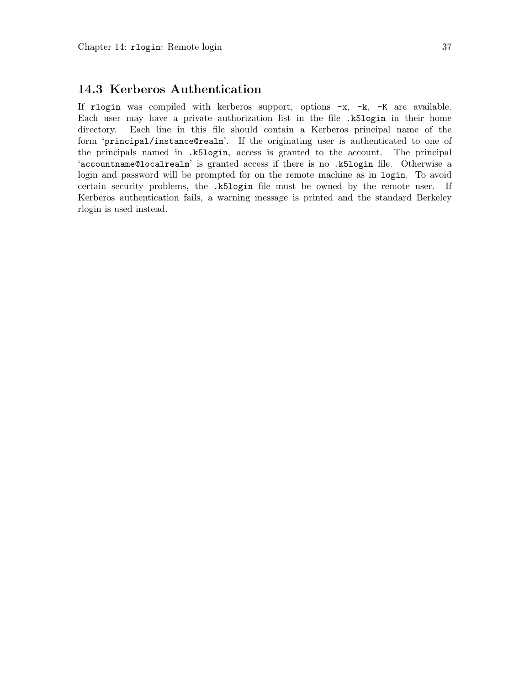## 14.3 Kerberos Authentication

If rlogin was compiled with kerberos support, options -x, -k, -K are available. Each user may have a private authorization list in the file .k5login in their home directory. Each line in this file should contain a Kerberos principal name of the form 'principal/instance@realm'. If the originating user is authenticated to one of the principals named in .k5login, access is granted to the account. The principal 'accountname@localrealm' is granted access if there is no .k5login file. Otherwise a login and password will be prompted for on the remote machine as in login. To avoid certain security problems, the .k5login file must be owned by the remote user. If Kerberos authentication fails, a warning message is printed and the standard Berkeley rlogin is used instead.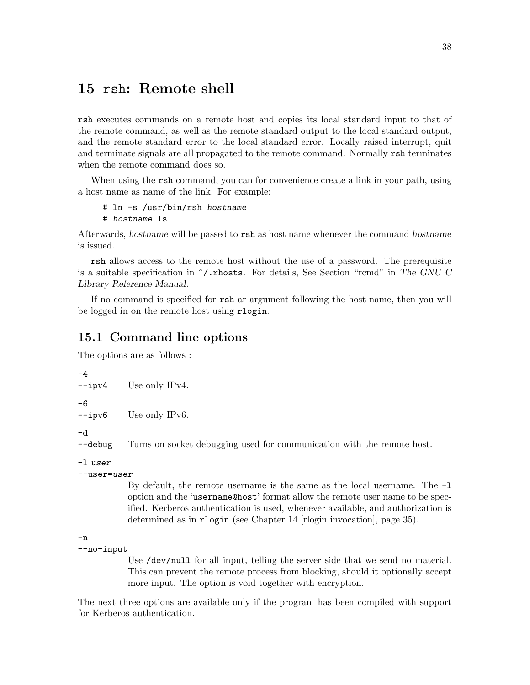# <span id="page-43-0"></span>15 rsh: Remote shell

rsh executes commands on a remote host and copies its local standard input to that of the remote command, as well as the remote standard output to the local standard output, and the remote standard error to the local standard error. Locally raised interrupt, quit and terminate signals are all propagated to the remote command. Normally rsh terminates when the remote command does so.

When using the rsh command, you can for convenience create a link in your path, using a host name as name of the link. For example:

```
# ln -s /usr/bin/rsh hostname
# hostname ls
```
Afterwards, hostname will be passed to rsh as host name whenever the command hostname is issued.

rsh allows access to the remote host without the use of a password. The prerequisite is a suitable specification in  $\tilde{\phantom{a}}$ . rhosts. For details, See Section "rcmd" in The GNU C Library Reference Manual.

If no command is specified for rsh ar argument following the host name, then you will be logged in on the remote host using rlogin.

## 15.1 Command line options

The options are as follows :

```
-4
--ipv4 Use only IPv4.
-6
--ipv6 Use only IPv6.
```
-d

--debug Turns on socket debugging used for communication with the remote host.

```
-l user
```

```
--user=user
```
By default, the remote username is the same as the local username. The  $-1$ option and the 'username@host' format allow the remote user name to be specified. Kerberos authentication is used, whenever available, and authorization is determined as in rlogin (see [Chapter 14 \[rlogin invocation\], page 35\)](#page-40-0).

-n

```
--no-input
```
Use /dev/null for all input, telling the server side that we send no material. This can prevent the remote process from blocking, should it optionally accept more input. The option is void together with encryption.

The next three options are available only if the program has been compiled with support for Kerberos authentication.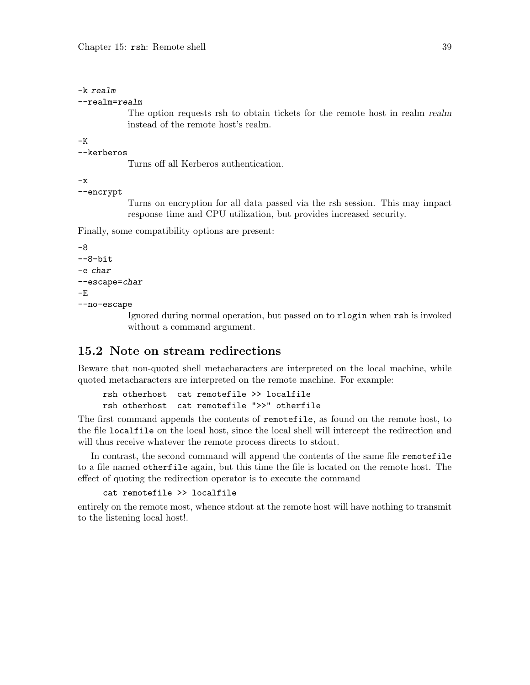```
-k realm
```

```
--realm=realm
```
The option requests rsh to obtain tickets for the remote host in realm realm instead of the remote host's realm.

-K

```
--kerberos
```
Turns off all Kerberos authentication.

```
-x
```

```
--encrypt
```
Turns on encryption for all data passed via the rsh session. This may impact response time and CPU utilization, but provides increased security.

Finally, some compatibility options are present:

```
-8
--8-bit
-e char
--escape=char
-E
--no-escape
```
Ignored during normal operation, but passed on to rlogin when rsh is invoked without a command argument.

## 15.2 Note on stream redirections

Beware that non-quoted shell metacharacters are interpreted on the local machine, while quoted metacharacters are interpreted on the remote machine. For example:

```
rsh otherhost cat remotefile >> localfile
rsh otherhost cat remotefile ">>" otherfile
```
The first command appends the contents of remotefile, as found on the remote host, to the file localfile on the local host, since the local shell will intercept the redirection and will thus receive whatever the remote process directs to stdout.

In contrast, the second command will append the contents of the same file remotefile to a file named otherfile again, but this time the file is located on the remote host. The effect of quoting the redirection operator is to execute the command

```
cat remotefile >> localfile
```
entirely on the remote most, whence stdout at the remote host will have nothing to transmit to the listening local host!.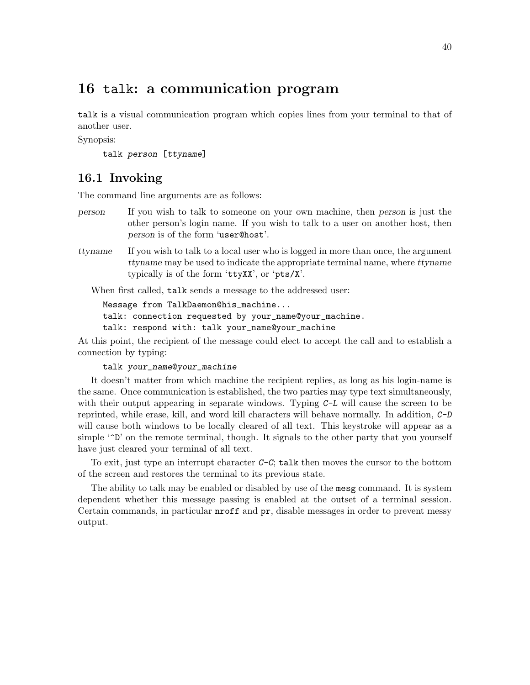# 16 talk: a communication program

talk is a visual communication program which copies lines from your terminal to that of another user.

Synopsis:

```
talk person [ttyname]
```
## 16.1 Invoking

The command line arguments are as follows:

- person If you wish to talk to someone on your own machine, then person is just the other person's login name. If you wish to talk to a user on another host, then person is of the form 'user@host'.
- ttyname If you wish to talk to a local user who is logged in more than once, the argument ttyname may be used to indicate the appropriate terminal name, where ttyname typically is of the form 'ttyXX', or 'pts/X'.

When first called, talk sends a message to the addressed user:

Message from TalkDaemon@his\_machine... talk: connection requested by your\_name@your\_machine. talk: respond with: talk your\_name@your\_machine

At this point, the recipient of the message could elect to accept the call and to establish a connection by typing:

talk your\_name@your\_machine

It doesn't matter from which machine the recipient replies, as long as his login-name is the same. Once communication is established, the two parties may type text simultaneously, with their output appearing in separate windows. Typing  $C-L$  will cause the screen to be reprinted, while erase, kill, and word kill characters will behave normally. In addition, C-D will cause both windows to be locally cleared of all text. This keystroke will appear as a simple ' $\hat{D}$ ' on the remote terminal, though. It signals to the other party that you yourself have just cleared your terminal of all text.

To exit, just type an interrupt character  $C-C$ ; talk then moves the cursor to the bottom of the screen and restores the terminal to its previous state.

The ability to talk may be enabled or disabled by use of the mesg command. It is system dependent whether this message passing is enabled at the outset of a terminal session. Certain commands, in particular nroff and pr, disable messages in order to prevent messy output.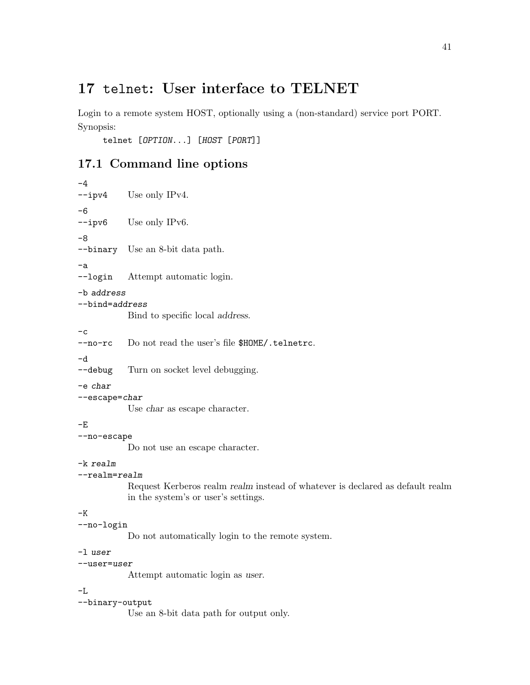# 17 telnet: User interface to TELNET

Login to a remote system HOST, optionally using a (non-standard) service port PORT. Synopsis:

telnet [OPTION...] [HOST [PORT]]

# 17.1 Command line options

```
-4
--ipv4 Use only IPv4.
-6
--ipv6 Use only IPv6.
-8
--binary Use an 8-bit data path.
-a
--login Attempt automatic login.
-b address
--bind=address
           Bind to specific local address.
-c--no-rc Do not read the user's file $HOME/.telnetrc.
-d
--debug Turn on socket level debugging.
-e char
--escape=char
           Use char as escape character.
-E
--no-escape
           Do not use an escape character.
-k realm
--realm=realm
           Request Kerberos realm realm instead of whatever is declared as default realm
           in the system's or user's settings.
-{\bf K}--no-login
           Do not automatically login to the remote system.
-l user
--user=user
           Attempt automatic login as user.
-L
--binary-output
           Use an 8-bit data path for output only.
```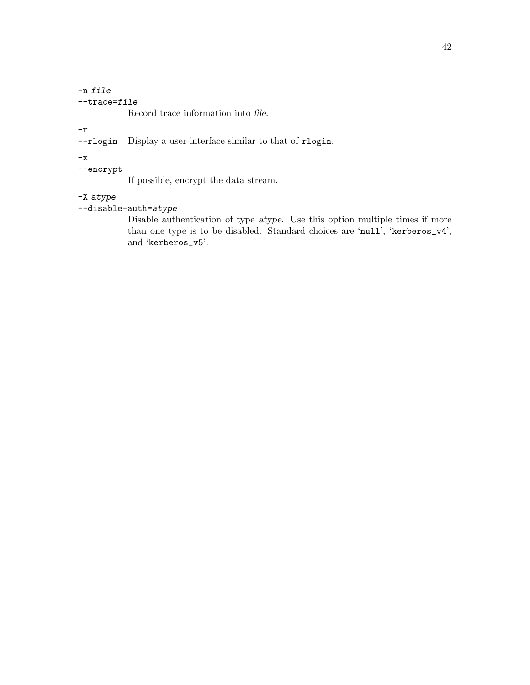### -n file  $-$ trace= $file$

Record trace information into file.

-r

--rlogin Display a user-interface similar to that of rlogin.

 $-x$ 

--encrypt

If possible, encrypt the data stream.

### -X atype

### --disable-auth=atype

Disable authentication of type atype. Use this option multiple times if more than one type is to be disabled. Standard choices are 'null', 'kerberos\_v4', and 'kerberos\_v5'.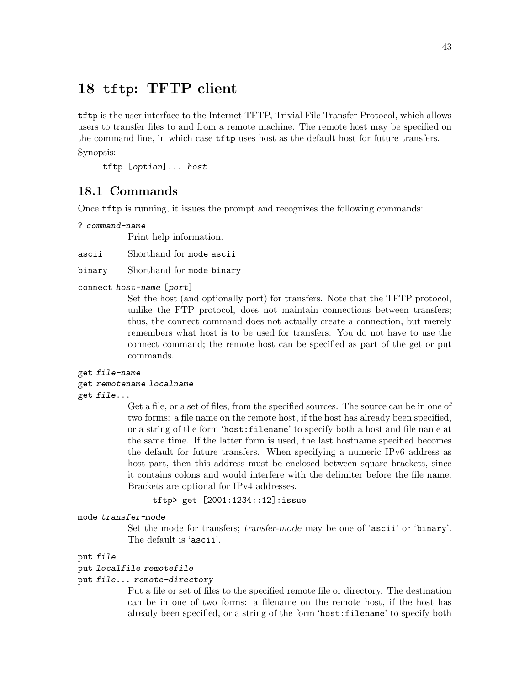# 18 tftp: TFTP client

tftp is the user interface to the Internet TFTP, Trivial File Transfer Protocol, which allows users to transfer files to and from a remote machine. The remote host may be specified on the command line, in which case tftp uses host as the default host for future transfers. Synopsis:

tftp [option]... host

## 18.1 Commands

Once tftp is running, it issues the prompt and recognizes the following commands:

```
? command-name
```
Print help information.

ascii Shorthand for mode ascii

binary Shorthand for mode binary

#### connect host-name [port]

Set the host (and optionally port) for transfers. Note that the TFTP protocol, unlike the FTP protocol, does not maintain connections between transfers; thus, the connect command does not actually create a connection, but merely remembers what host is to be used for transfers. You do not have to use the connect command; the remote host can be specified as part of the get or put commands.

#### get file-name

#### get remotename localname

get file...

Get a file, or a set of files, from the specified sources. The source can be in one of two forms: a file name on the remote host, if the host has already been specified, or a string of the form 'host:filename' to specify both a host and file name at the same time. If the latter form is used, the last hostname specified becomes the default for future transfers. When specifying a numeric IPv6 address as host part, then this address must be enclosed between square brackets, since it contains colons and would interfere with the delimiter before the file name. Brackets are optional for IPv4 addresses.

```
tftp> get [2001:1234::12]:issue
```
#### mode transfer-mode

Set the mode for transfers; transfer-mode may be one of 'ascii' or 'binary'. The default is 'ascii'.

### put file

#### put localfile remotefile

#### put file... remote-directory

Put a file or set of files to the specified remote file or directory. The destination can be in one of two forms: a filename on the remote host, if the host has already been specified, or a string of the form 'host:filename' to specify both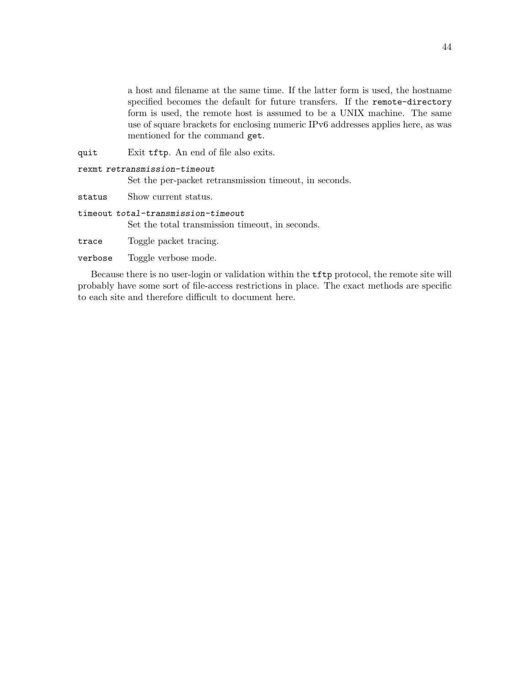a host and filename at the same time. If the latter form is used, the hostname specified becomes the default for future transfers. If the remote-directory form is used, the remote host is assumed to be a UNIX machine. The same use of square brackets for enclosing numeric IPv6 addresses applies here, as was mentioned for the command get.

quit Exit tftp. An end of file also exits.

| rexmt retransmission-timeout |  |  |  |  |  |  |
|------------------------------|--|--|--|--|--|--|
|------------------------------|--|--|--|--|--|--|

Set the per-packet retransmission timeout, in seconds.

status Show current status.

timeout total-transmission-timeout Set the total transmission timeout, in seconds.

trace Toggle packet tracing.

verbose Toggle verbose mode.

Because there is no user-login or validation within the tftp protocol, the remote site will probably have some sort of file-access restrictions in place. The exact methods are specific to each site and therefore difficult to document here.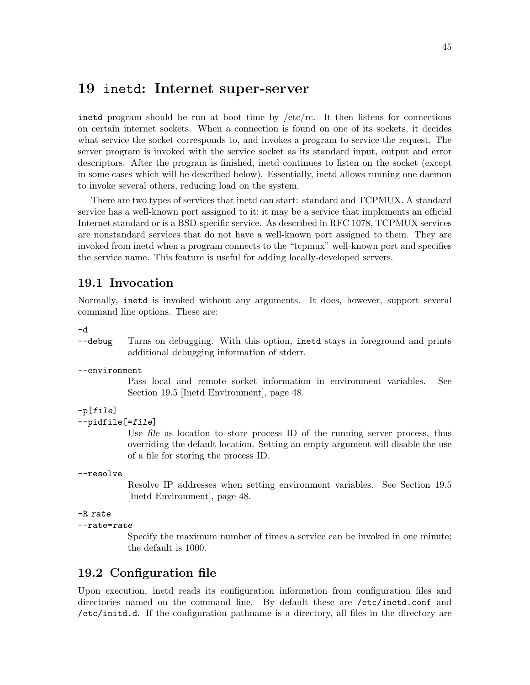# 19 inetd: Internet super-server

inetd program should be run at boot time by  $/etc/rc$ . It then listens for connections on certain internet sockets. When a connection is found on one of its sockets, it decides what service the socket corresponds to, and invokes a program to service the request. The server program is invoked with the service socket as its standard input, output and error descriptors. After the program is finished, inetd continues to listen on the socket (except in some cases which will be described below). Essentially, inetd allows running one daemon to invoke several others, reducing load on the system.

There are two types of services that inetd can start: standard and TCPMUX. A standard service has a well-known port assigned to it; it may be a service that implements an official Internet standard or is a BSD-specific service. As described in RFC 1078, TCPMUX services are nonstandard services that do not have a well-known port assigned to them. They are invoked from inetd when a program connects to the "tcpmux" well-known port and specifies the service name. This feature is useful for adding locally-developed servers.

## 19.1 Invocation

Normally, inetd is invoked without any arguments. It does, however, support several command line options. These are:

-d

--debug Turns on debugging. With this option, inetd stays in foreground and prints additional debugging information of stderr.

--environment

Pass local and remote socket information in environment variables. See [Section 19.5 \[Inetd Environment\], page 48](#page-53-0).

### $-p[file]$

--pidfile[=file]

Use file as location to store process ID of the running server process, thus overriding the default location. Setting an empty argument will disable the use of a file for storing the process ID.

### --resolve

Resolve IP addresses when setting environment variables. See [Section 19.5](#page-53-0) [\[Inetd Environment\], page 48](#page-53-0).

```
-R rate
```
--rate=rate

Specify the maximum number of times a service can be invoked in one minute; the default is 1000.

### 19.2 Configuration file

Upon execution, inetd reads its configuration information from configuration files and directories named on the command line. By default these are /etc/inetd.conf and /etc/initd.d. If the configuration pathname is a directory, all files in the directory are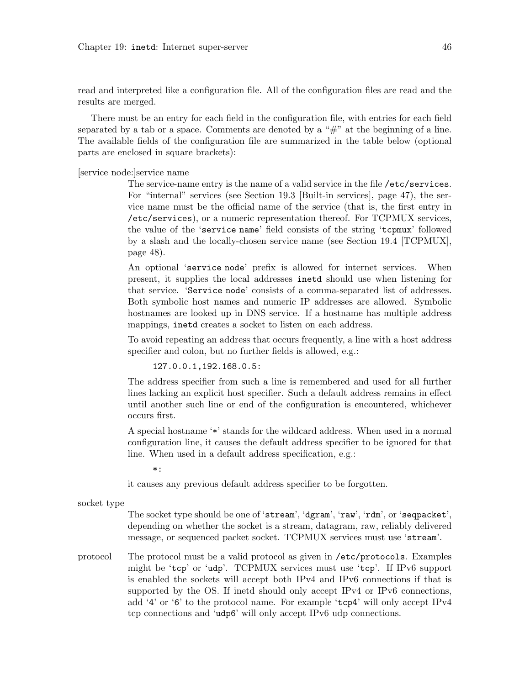read and interpreted like a configuration file. All of the configuration files are read and the results are merged.

There must be an entry for each field in the configuration file, with entries for each field separated by a tab or a space. Comments are denoted by a  $H^*$  at the beginning of a line. The available fields of the configuration file are summarized in the table below (optional parts are enclosed in square brackets):

[service node:]service name

The service-name entry is the name of a valid service in the file /etc/services. For "internal" services (see [Section 19.3 \[Built-in services\], page 47\)](#page-52-0), the service name must be the official name of the service (that is, the first entry in /etc/services), or a numeric representation thereof. For TCPMUX services, the value of the 'service name' field consists of the string 'tcpmux' followed by a slash and the locally-chosen service name (see [Section 19.4 \[TCPMUX\],](#page-53-1) [page 48\)](#page-53-1).

An optional 'service node' prefix is allowed for internet services. When present, it supplies the local addresses inetd should use when listening for that service. 'Service node' consists of a comma-separated list of addresses. Both symbolic host names and numeric IP addresses are allowed. Symbolic hostnames are looked up in DNS service. If a hostname has multiple address mappings, inetd creates a socket to listen on each address.

To avoid repeating an address that occurs frequently, a line with a host address specifier and colon, but no further fields is allowed, e.g.:

127.0.0.1,192.168.0.5:

The address specifier from such a line is remembered and used for all further lines lacking an explicit host specifier. Such a default address remains in effect until another such line or end of the configuration is encountered, whichever occurs first.

A special hostname '\*' stands for the wildcard address. When used in a normal configuration line, it causes the default address specifier to be ignored for that line. When used in a default address specification, e.g.:

 $*$ :

it causes any previous default address specifier to be forgotten.

socket type

The socket type should be one of 'stream', 'dgram', 'raw', 'rdm', or 'seqpacket', depending on whether the socket is a stream, datagram, raw, reliably delivered message, or sequenced packet socket. TCPMUX services must use 'stream'.

protocol The protocol must be a valid protocol as given in /etc/protocols. Examples might be 'tcp' or 'udp'. TCPMUX services must use 'tcp'. If IPv6 support is enabled the sockets will accept both IPv4 and IPv6 connections if that is supported by the OS. If inetd should only accept IPv4 or IPv6 connections, add '4' or '6' to the protocol name. For example 'tcp4' will only accept IPv4 tcp connections and 'udp6' will only accept IPv6 udp connections.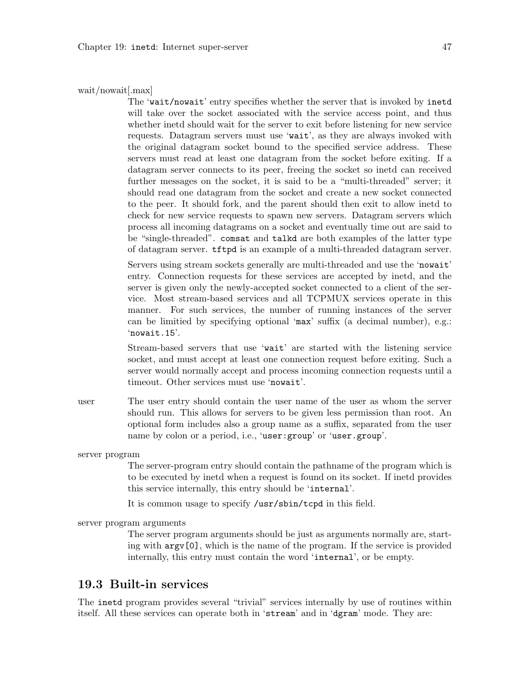#### wait/nowait[.max]

The 'wait/nowait' entry specifies whether the server that is invoked by inetd will take over the socket associated with the service access point, and thus whether inetd should wait for the server to exit before listening for new service requests. Datagram servers must use 'wait', as they are always invoked with the original datagram socket bound to the specified service address. These servers must read at least one datagram from the socket before exiting. If a datagram server connects to its peer, freeing the socket so inetd can received further messages on the socket, it is said to be a "multi-threaded" server; it should read one datagram from the socket and create a new socket connected to the peer. It should fork, and the parent should then exit to allow inetd to check for new service requests to spawn new servers. Datagram servers which process all incoming datagrams on a socket and eventually time out are said to be "single-threaded". comsat and talkd are both examples of the latter type of datagram server. tftpd is an example of a multi-threaded datagram server.

Servers using stream sockets generally are multi-threaded and use the 'nowait' entry. Connection requests for these services are accepted by inetd, and the server is given only the newly-accepted socket connected to a client of the service. Most stream-based services and all TCPMUX services operate in this manner. For such services, the number of running instances of the server can be limitied by specifying optional 'max' suffix (a decimal number), e.g.: 'nowait.15'.

Stream-based servers that use 'wait' are started with the listening service socket, and must accept at least one connection request before exiting. Such a server would normally accept and process incoming connection requests until a timeout. Other services must use 'nowait'.

user The user entry should contain the user name of the user as whom the server should run. This allows for servers to be given less permission than root. An optional form includes also a group name as a suffix, separated from the user name by colon or a period, i.e., 'user: group' or 'user.group'.

server program

The server-program entry should contain the pathname of the program which is to be executed by inetd when a request is found on its socket. If inetd provides this service internally, this entry should be 'internal'.

It is common usage to specify /usr/sbin/tcpd in this field.

server program arguments

The server program arguments should be just as arguments normally are, starting with argv[0], which is the name of the program. If the service is provided internally, this entry must contain the word 'internal', or be empty.

### <span id="page-52-0"></span>19.3 Built-in services

The inetd program provides several "trivial" services internally by use of routines within itself. All these services can operate both in 'stream' and in 'dgram' mode. They are: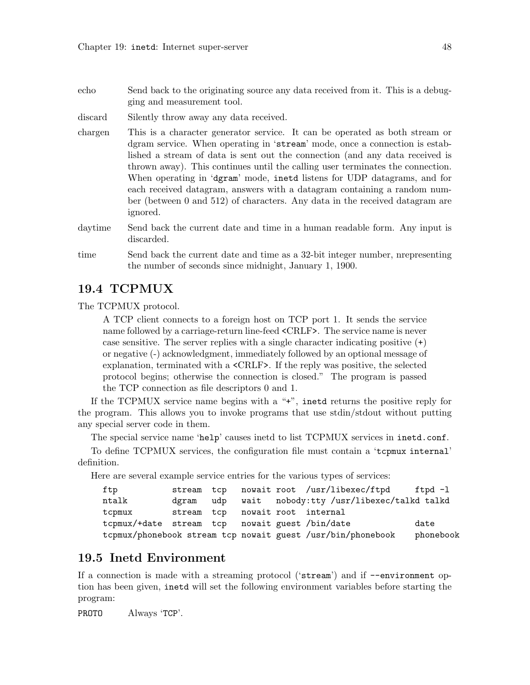| echo | Send back to the originating source any data received from it. This is a debug- |  |
|------|---------------------------------------------------------------------------------|--|
|      | ging and measurement tool.                                                      |  |

discard Silently throw away any data received.

chargen This is a character generator service. It can be operated as both stream or dgram service. When operating in 'stream' mode, once a connection is established a stream of data is sent out the connection (and any data received is thrown away). This continues until the calling user terminates the connection. When operating in 'dgram' mode, inetd listens for UDP datagrams, and for each received datagram, answers with a datagram containing a random number (between 0 and 512) of characters. Any data in the received datagram are ignored.

daytime Send back the current date and time in a human readable form. Any input is discarded.

```
time Send back the current date and time as a 32-bit integer number, nrepresenting
           the number of seconds since midnight, January 1, 1900.
```
### <span id="page-53-1"></span>19.4 TCPMUX

The TCPMUX protocol.

A TCP client connects to a foreign host on TCP port 1. It sends the service name followed by a carriage-return line-feed <CRLF>. The service name is never case sensitive. The server replies with a single character indicating positive (+) or negative (-) acknowledgment, immediately followed by an optional message of explanation, terminated with a <CRLF>. If the reply was positive, the selected protocol begins; otherwise the connection is closed." The program is passed the TCP connection as file descriptors 0 and 1.

If the TCPMUX service name begins with a "+", inetd returns the positive reply for the program. This allows you to invoke programs that use stdin/stdout without putting any special server code in them.

The special service name 'help' causes inetd to list TCPMUX services in inetd.conf.

To define TCPMUX services, the configuration file must contain a 'tcpmux internal' definition.

Here are several example service entries for the various types of services:

| ftp                                            |  |  | stream tcp nowait root /usr/libexec/ftpd ftpd-l             |           |
|------------------------------------------------|--|--|-------------------------------------------------------------|-----------|
| ntalk                                          |  |  | dgram udp wait nobody:tty /usr/libexec/talkd talkd          |           |
| tcpmux                                         |  |  | stream tcp nowait root internal                             |           |
| tcpmux/+date stream tcp nowait guest /bin/date |  |  |                                                             | date      |
|                                                |  |  | tcpmux/phonebook stream tcp nowait guest /usr/bin/phonebook | phonebook |

## <span id="page-53-0"></span>19.5 Inetd Environment

If a connection is made with a streaming protocol ('stream') and if --environment option has been given, inetd will set the following environment variables before starting the program:

PROTO Always 'TCP'.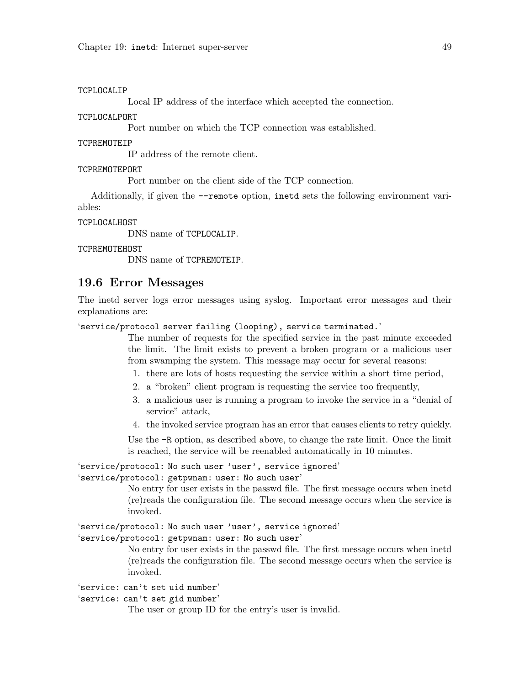### TCPLOCALIP

Local IP address of the interface which accepted the connection.

#### TCPLOCALPORT

Port number on which the TCP connection was established.

#### TCPREMOTEIP

IP address of the remote client.

#### TCPREMOTEPORT

Port number on the client side of the TCP connection.

Additionally, if given the --remote option, inetd sets the following environment variables:

#### TCPLOCALHOST

DNS name of TCPLOCALIP.

#### TCPREMOTEHOST

DNS name of TCPREMOTEIP.

### 19.6 Error Messages

The inetd server logs error messages using syslog. Important error messages and their explanations are:

'service/protocol server failing (looping), service terminated.'

The number of requests for the specified service in the past minute exceeded the limit. The limit exists to prevent a broken program or a malicious user from swamping the system. This message may occur for several reasons:

- 1. there are lots of hosts requesting the service within a short time period,
- 2. a "broken" client program is requesting the service too frequently,
- 3. a malicious user is running a program to invoke the service in a "denial of service" attack,
- 4. the invoked service program has an error that causes clients to retry quickly.

Use the -R option, as described above, to change the rate limit. Once the limit is reached, the service will be reenabled automatically in 10 minutes.

### 'service/protocol: No such user 'user', service ignored'

### 'service/protocol: getpwnam: user: No such user'

No entry for user exists in the passwd file. The first message occurs when inetd (re)reads the configuration file. The second message occurs when the service is invoked.

'service/protocol: No such user 'user', service ignored'

### 'service/protocol: getpwnam: user: No such user'

No entry for user exists in the passwd file. The first message occurs when inetd (re)reads the configuration file. The second message occurs when the service is invoked.

'service: can't set uid number'

'service: can't set gid number'

The user or group ID for the entry's user is invalid.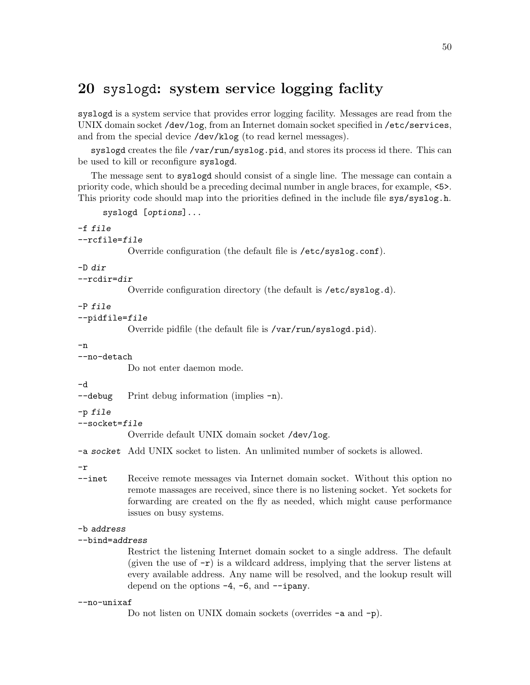# <span id="page-55-0"></span>20 syslogd: system service logging faclity

syslogd is a system service that provides error logging facility. Messages are read from the UNIX domain socket /dev/log, from an Internet domain socket specified in /etc/services, and from the special device /dev/klog (to read kernel messages).

syslogd creates the file /var/run/syslog.pid, and stores its process id there. This can be used to kill or reconfigure syslogd.

The message sent to syslogd should consist of a single line. The message can contain a priority code, which should be a preceding decimal number in angle braces, for example, <5>. This priority code should map into the priorities defined in the include file sys/syslog.h.

syslogd [options]...

```
-f file
--rcfile=file
```
Override configuration (the default file is /etc/syslog.conf).

### -D dir

```
--rcdir=dir
```
Override configuration directory (the default is /etc/syslog.d).

### -P file

--pidfile=file

Override pidfile (the default file is /var/run/syslogd.pid).

-n

--no-detach Do not enter daemon mode.

-d

```
-debug Print debug information (implies -n).
```
-p file

```
--socket=file
```

```
Override default UNIX domain socket /dev/log.
```
-a socket Add UNIX socket to listen. An unlimited number of sockets is allowed.

-r

--inet Receive remote messages via Internet domain socket. Without this option no remote massages are received, since there is no listening socket. Yet sockets for forwarding are created on the fly as needed, which might cause performance issues on busy systems.

### -b address

### --bind=address

Restrict the listening Internet domain socket to a single address. The default (given the use of  $-\mathbf{r}$ ) is a wildcard address, implying that the server listens at every available address. Any name will be resolved, and the lookup result will depend on the options  $-4$ ,  $-6$ , and  $-\frac{1}{2}$  ipany.

### --no-unixaf

```
Do not listen on UNIX domain sockets (overrides -a and -p).
```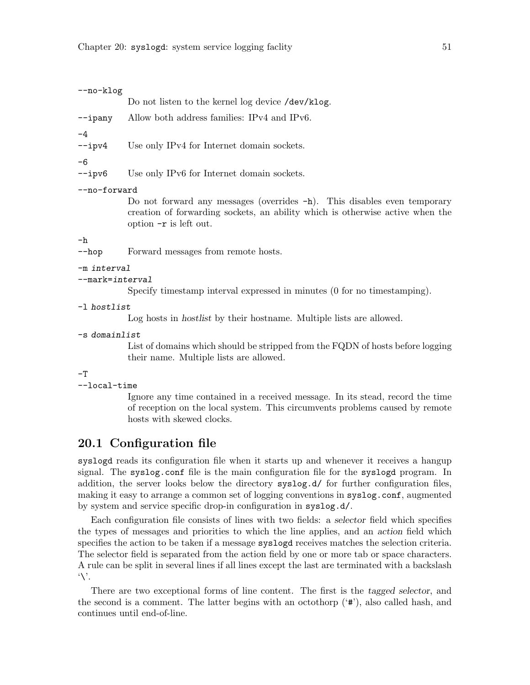#### --no-klog

Do not listen to the kernel log device /dev/klog.

--ipany Allow both address families: IPv4 and IPv6.

-4

--ipv4 Use only IPv4 for Internet domain sockets.

-6

--ipv6 Use only IPv6 for Internet domain sockets.

#### --no-forward

Do not forward any messages (overrides -h). This disables even temporary creation of forwarding sockets, an ability which is otherwise active when the option -r is left out.

#### -h

--hop Forward messages from remote hosts.

#### -m interval

--mark=interval

Specify timestamp interval expressed in minutes (0 for no timestamping).

-l hostlist

Log hosts in hostlist by their hostname. Multiple lists are allowed.

-s domainlist

List of domains which should be stripped from the FQDN of hosts before logging their name. Multiple lists are allowed.

### $-T$

```
--local-time
```
Ignore any time contained in a received message. In its stead, record the time of reception on the local system. This circumvents problems caused by remote hosts with skewed clocks.

### 20.1 Configuration file

syslogd reads its configuration file when it starts up and whenever it receives a hangup signal. The syslog.conf file is the main configuration file for the syslogd program. In addition, the server looks below the directory syslog.d/ for further configuration files, making it easy to arrange a common set of logging conventions in syslog.conf, augmented by system and service specific drop-in configuration in syslog.d/.

Each configuration file consists of lines with two fields: a selector field which specifies the types of messages and priorities to which the line applies, and an action field which specifies the action to be taken if a message syslogd receives matches the selection criteria. The selector field is separated from the action field by one or more tab or space characters. A rule can be split in several lines if all lines except the last are terminated with a backslash  $\vee$ .

There are two exceptional forms of line content. The first is the tagged selector, and the second is a comment. The latter begins with an octothorp ('#'), also called hash, and continues until end-of-line.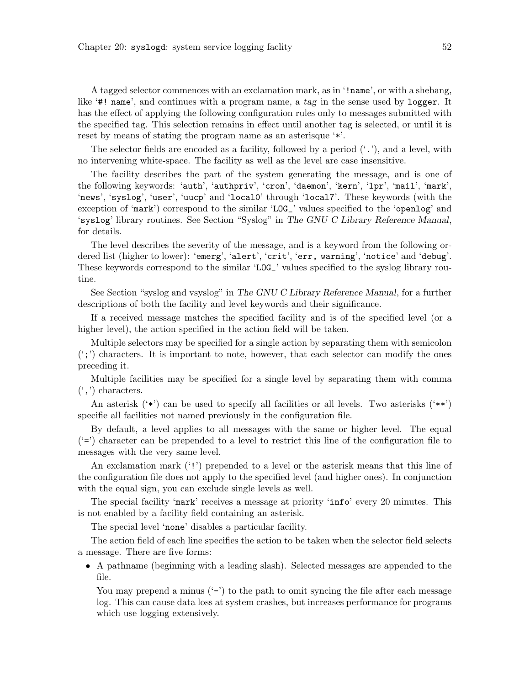A tagged selector commences with an exclamation mark, as in '!name', or with a shebang, like '#! name', and continues with a program name, a tag in the sense used by logger. It has the effect of applying the following configuration rules only to messages submitted with the specified tag. This selection remains in effect until another tag is selected, or until it is reset by means of stating the program name as an asterisque '\*'.

The selector fields are encoded as a facility, followed by a period  $('.')$ , and a level, with no intervening white-space. The facility as well as the level are case insensitive.

The facility describes the part of the system generating the message, and is one of the following keywords: 'auth', 'authpriv', 'cron', 'daemon', 'kern', 'lpr', 'mail', 'mark', 'news', 'syslog', 'user', 'uucp' and 'local0' through 'local7'. These keywords (with the exception of 'mark') correspond to the similar 'LOG\_' values specified to the 'openlog' and 'syslog' library routines. See Section "Syslog" in The GNU C Library Reference Manual, for details.

The level describes the severity of the message, and is a keyword from the following ordered list (higher to lower): 'emerg', 'alert', 'crit', 'err, warning', 'notice' and 'debug'. These keywords correspond to the similar 'LOG\_' values specified to the syslog library routine.

See Section "syslog and vsyslog" in The GNU C Library Reference Manual, for a further descriptions of both the facility and level keywords and their significance.

If a received message matches the specified facility and is of the specified level (or a higher level), the action specified in the action field will be taken.

Multiple selectors may be specified for a single action by separating them with semicolon  $(';')$  characters. It is important to note, however, that each selector can modify the ones preceding it.

Multiple facilities may be specified for a single level by separating them with comma  $'$ , characters.

An asterisk  $(*')$  can be used to specify all facilities or all levels. Two asterisks  $(**)$ specifie all facilities not named previously in the configuration file.

By default, a level applies to all messages with the same or higher level. The equal  $(4)$  character can be prepended to a level to restrict this line of the configuration file to messages with the very same level.

An exclamation mark ('!') prepended to a level or the asterisk means that this line of the configuration file does not apply to the specified level (and higher ones). In conjunction with the equal sign, you can exclude single levels as well.

The special facility 'mark' receives a message at priority 'info' every 20 minutes. This is not enabled by a facility field containing an asterisk.

The special level 'none' disables a particular facility.

The action field of each line specifies the action to be taken when the selector field selects a message. There are five forms:

• A pathname (beginning with a leading slash). Selected messages are appended to the file.

You may prepend a minus  $(2)$  to the path to omit syncing the file after each message log. This can cause data loss at system crashes, but increases performance for programs which use logging extensively.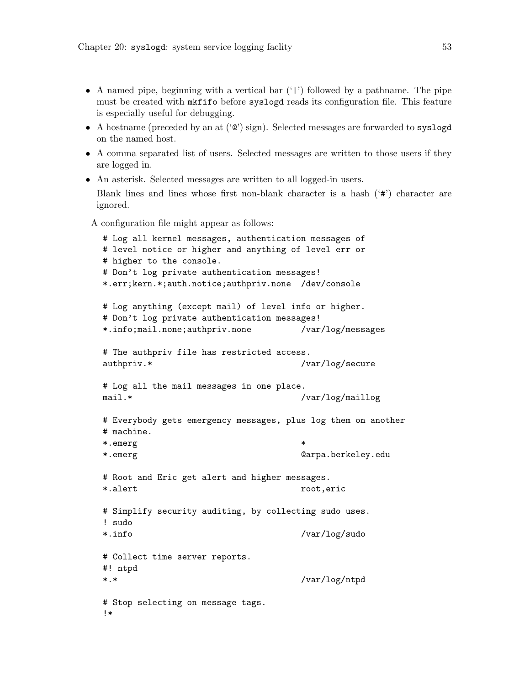- A named pipe, beginning with a vertical bar  $('')$  followed by a pathname. The pipe must be created with mkfifo before syslogd reads its configuration file. This feature is especially useful for debugging.
- A hostname (preceded by an at  $({\cal C})$  sign). Selected messages are forwarded to syslogd on the named host.
- A comma separated list of users. Selected messages are written to those users if they are logged in.
- An asterisk. Selected messages are written to all logged-in users.

Blank lines and lines whose first non-blank character is a hash ('#') character are ignored.

A configuration file might appear as follows:

```
# Log all kernel messages, authentication messages of
# level notice or higher and anything of level err or
# higher to the console.
# Don't log private authentication messages!
*.err;kern.*;auth.notice;authpriv.none /dev/console
# Log anything (except mail) of level info or higher.
# Don't log private authentication messages!
*.info;mail.none;authpriv.none /var/log/messages
# The authpriv file has restricted access.
authpriv.* /var/log/secure
# Log all the mail messages in one place.
mail.* /var/log/maillog
# Everybody gets emergency messages, plus log them on another
# machine.
*.emerg *
*.emerg @arpa.berkeley.edu
# Root and Eric get alert and higher messages.
*.alert root,eric
# Simplify security auditing, by collecting sudo uses.
! sudo
*.info /var/log/sudo
# Collect time server reports.
#! ntpd
*.* /var/log/ntpd
# Stop selecting on message tags.
!*
```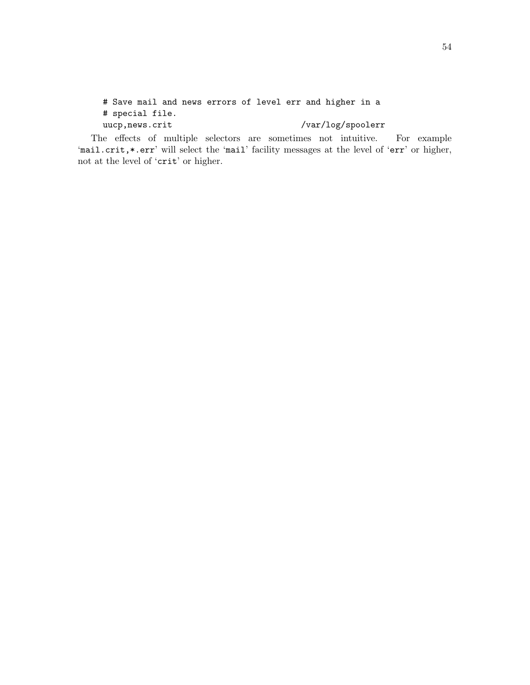# Save mail and news errors of level err and higher in a # special file. uucp,news.crit /var/log/spoolerr

The effects of multiple selectors are sometimes not intuitive. For example 'mail.crit, \*.err' will select the 'mail' facility messages at the level of 'err' or higher, not at the level of 'crit' or higher.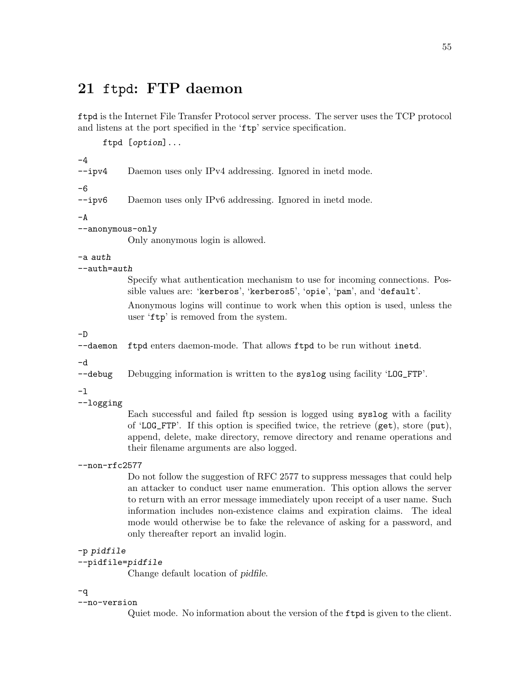# 21 ftpd: FTP daemon

ftpd is the Internet File Transfer Protocol server process. The server uses the TCP protocol and listens at the port specified in the 'ftp' service specification.

```
ftpd [option]...
```

```
-4
```
--ipv4 Daemon uses only IPv4 addressing. Ignored in inetd mode. -6 --ipv6 Daemon uses only IPv6 addressing. Ignored in inetd mode.  $-A$ --anonymous-only Only anonymous login is allowed. -a auth --auth=auth Specify what authentication mechanism to use for incoming connections. Possible values are: 'kerberos', 'kerberos5', 'opie', 'pam', and 'default'. Anonymous logins will continue to work when this option is used, unless the user 'ftp' is removed from the system. -D --daemon ftpd enters daemon-mode. That allows ftpd to be run without inetd. -d --debug Debugging information is written to the syslog using facility 'LOG\_FTP'. -l --logging Each successful and failed ftp session is logged using syslog with a facility of 'LOG\_FTP'. If this option is specified twice, the retrieve (get), store (put), append, delete, make directory, remove directory and rename operations and their filename arguments are also logged. --non-rfc2577 Do not follow the suggestion of RFC 2577 to suppress messages that could help an attacker to conduct user name enumeration. This option allows the server to return with an error message immediately upon receipt of a user name. Such information includes non-existence claims and expiration claims. The ideal mode would otherwise be to fake the relevance of asking for a password, and only thereafter report an invalid login. -p pidfile --pidfile=pidfile Change default location of pidfile. -q

### --no-version

Quiet mode. No information about the version of the ftpd is given to the client.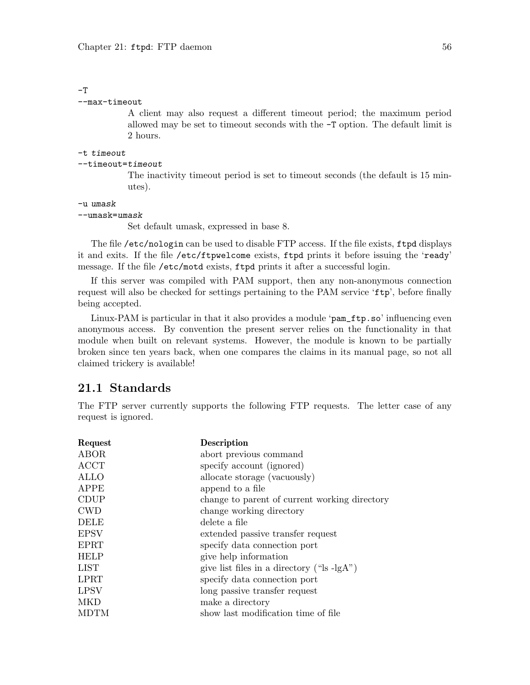### $-T$

### --max-timeout

A client may also request a different timeout period; the maximum period allowed may be set to timeout seconds with the -T option. The default limit is 2 hours.

#### -t timeout

### --timeout=timeout

The inactivity timeout period is set to timeout seconds (the default is 15 minutes).

### -u umask

#### --umask=umask

Set default umask, expressed in base 8.

The file /etc/nologin can be used to disable FTP access. If the file exists, ftpd displays it and exits. If the file /etc/ftpwelcome exists, ftpd prints it before issuing the 'ready' message. If the file /etc/motd exists, ftpd prints it after a successful login.

If this server was compiled with PAM support, then any non-anonymous connection request will also be checked for settings pertaining to the PAM service 'ftp', before finally being accepted.

Linux-PAM is particular in that it also provides a module 'pam\_ftp.so' influencing even anonymous access. By convention the present server relies on the functionality in that module when built on relevant systems. However, the module is known to be partially broken since ten years back, when one compares the claims in its manual page, so not all claimed trickery is available!

### 21.1 Standards

The FTP server currently supports the following FTP requests. The letter case of any request is ignored.

| Request     | Description                                              |
|-------------|----------------------------------------------------------|
| ABOR        | abort previous command                                   |
| ACCT        | specify account (ignored)                                |
| <b>ALLO</b> | allocate storage (vacuously)                             |
| APPE        | append to a file                                         |
| <b>CDUP</b> | change to parent of current working directory            |
| <b>CWD</b>  | change working directory                                 |
| DELE        | delete a file                                            |
| <b>EPSV</b> | extended passive transfer request                        |
| EPRT        | specify data connection port                             |
| <b>HELP</b> | give help information                                    |
| LIST        | give list files in a directory (" $\vert s \vert$ -lgA") |
| LPRT        | specify data connection port                             |
| <b>LPSV</b> | long passive transfer request                            |
| MKD         | make a directory                                         |
| MDTM        | show last modification time of file                      |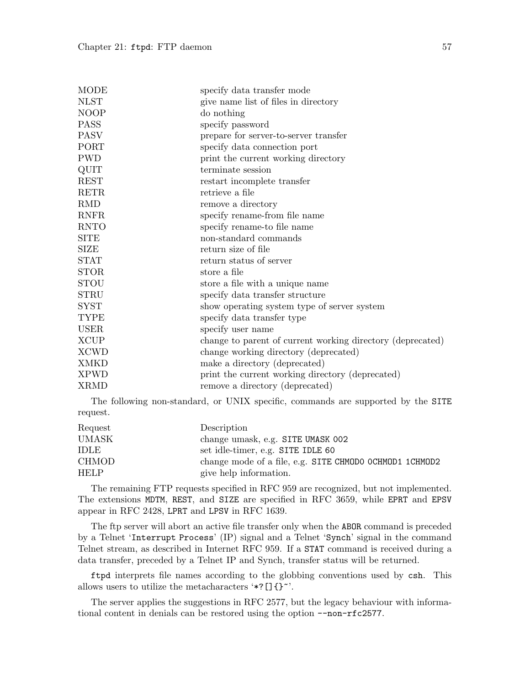| <b>MODE</b> | specify data transfer mode                                 |
|-------------|------------------------------------------------------------|
| <b>NLST</b> | give name list of files in directory                       |
| <b>NOOP</b> | do nothing                                                 |
| <b>PASS</b> | specify password                                           |
| <b>PASV</b> | prepare for server-to-server transfer                      |
| PORT        | specify data connection port                               |
| <b>PWD</b>  | print the current working directory                        |
| <b>QUIT</b> | terminate session                                          |
| <b>REST</b> | restart incomplete transfer                                |
| <b>RETR</b> | retrieve a file                                            |
| <b>RMD</b>  | remove a directory                                         |
| <b>RNFR</b> | specify rename-from file name                              |
| <b>RNTO</b> | specify rename-to file name                                |
| <b>SITE</b> | non-standard commands                                      |
| SIZE        | return size of file                                        |
| <b>STAT</b> | return status of server                                    |
| <b>STOR</b> | store a file                                               |
| <b>STOU</b> | store a file with a unique name                            |
| <b>STRU</b> | specify data transfer structure                            |
| <b>SYST</b> | show operating system type of server system                |
| <b>TYPE</b> | specify data transfer type                                 |
| <b>USER</b> | specify user name                                          |
| <b>XCUP</b> | change to parent of current working directory (deprecated) |
| <b>XCWD</b> | change working directory (deprecated)                      |
| <b>XMKD</b> | make a directory (deprecated)                              |
| <b>XPWD</b> | print the current working directory (deprecated)           |
| <b>XRMD</b> | remove a directory (deprecated)                            |

The following non-standard, or UNIX specific, commands are supported by the SITE request.

| Request      | Description                                             |
|--------------|---------------------------------------------------------|
| UMASK        | change umask, e.g. SITE UMASK 002                       |
| <b>IDLE</b>  | set idle-timer, e.g. SITE IDLE 60                       |
| <b>CHMOD</b> | change mode of a file, e.g. SITE CHMODO OCHMOD1 1CHMOD2 |
| <b>HELP</b>  | give help information.                                  |

The remaining FTP requests specified in RFC 959 are recognized, but not implemented. The extensions MDTM, REST, and SIZE are specified in RFC 3659, while EPRT and EPSV appear in RFC 2428, LPRT and LPSV in RFC 1639.

The ftp server will abort an active file transfer only when the ABOR command is preceded by a Telnet 'Interrupt Process' (IP) signal and a Telnet 'Synch' signal in the command Telnet stream, as described in Internet RFC 959. If a STAT command is received during a data transfer, preceded by a Telnet IP and Synch, transfer status will be returned.

ftpd interprets file names according to the globbing conventions used by csh. This allows users to utilize the metacharacters '\*? [] $\{\}^{\sim}$ '.

The server applies the suggestions in RFC 2577, but the legacy behaviour with informational content in denials can be restored using the option --non-rfc2577.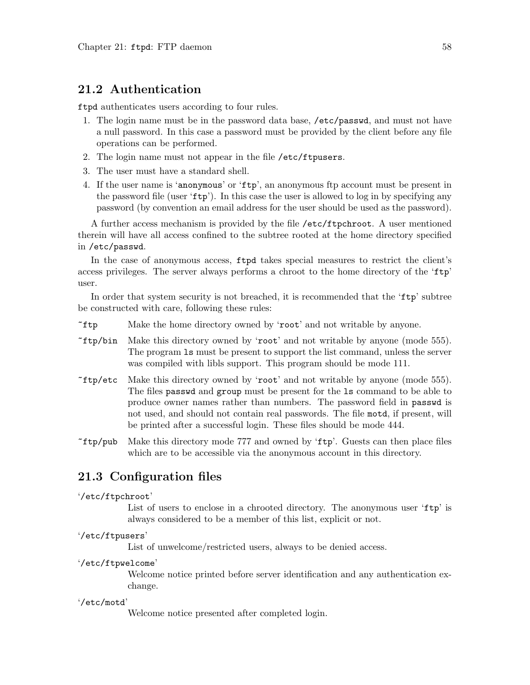### 21.2 Authentication

ftpd authenticates users according to four rules.

- 1. The login name must be in the password data base, /etc/passwd, and must not have a null password. In this case a password must be provided by the client before any file operations can be performed.
- 2. The login name must not appear in the file /etc/ftpusers.
- 3. The user must have a standard shell.
- 4. If the user name is 'anonymous' or 'ftp', an anonymous ftp account must be present in the password file (user 'ftp'). In this case the user is allowed to log in by specifying any password (by convention an email address for the user should be used as the password).

A further access mechanism is provided by the file /etc/ftpchroot. A user mentioned therein will have all access confined to the subtree rooted at the home directory specified in /etc/passwd.

In the case of anonymous access, ftpd takes special measures to restrict the client's access privileges. The server always performs a chroot to the home directory of the 'ftp' user.

In order that system security is not breached, it is recommended that the 'ftp' subtree be constructed with care, following these rules:

- ~ftp Make the home directory owned by 'root' and not writable by anyone.
- ~ftp/bin Make this directory owned by 'root' and not writable by anyone (mode 555). The program ls must be present to support the list command, unless the server was compiled with libls support. This program should be mode 111.
- ~ftp/etc Make this directory owned by 'root' and not writable by anyone (mode 555). The files passwd and group must be present for the ls command to be able to produce owner names rather than numbers. The password field in passwd is not used, and should not contain real passwords. The file motd, if present, will be printed after a successful login. These files should be mode 444.
- ~ftp/pub Make this directory mode 777 and owned by 'ftp'. Guests can then place files which are to be accessible via the anonymous account in this directory.

### 21.3 Configuration files

### '/etc/ftpchroot'

List of users to enclose in a chrooted directory. The anonymous user 'ftp' is always considered to be a member of this list, explicit or not.

### '/etc/ftpusers'

List of unwelcome/restricted users, always to be denied access.

#### '/etc/ftpwelcome'

Welcome notice printed before server identification and any authentication exchange.

### '/etc/motd'

Welcome notice presented after completed login.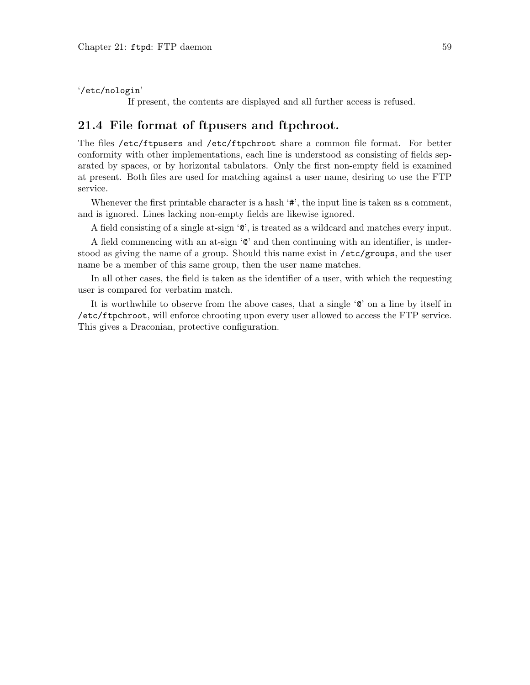'/etc/nologin'

If present, the contents are displayed and all further access is refused.

### 21.4 File format of ftpusers and ftpchroot.

The files /etc/ftpusers and /etc/ftpchroot share a common file format. For better conformity with other implementations, each line is understood as consisting of fields separated by spaces, or by horizontal tabulators. Only the first non-empty field is examined at present. Both files are used for matching against a user name, desiring to use the FTP service.

Whenever the first printable character is a hash '#', the input line is taken as a comment, and is ignored. Lines lacking non-empty fields are likewise ignored.

A field consisting of a single at-sign '@', is treated as a wildcard and matches every input.

A field commencing with an at-sign '@' and then continuing with an identifier, is understood as giving the name of a group. Should this name exist in /etc/groups, and the user name be a member of this same group, then the user name matches.

In all other cases, the field is taken as the identifier of a user, with which the requesting user is compared for verbatim match.

It is worthwhile to observe from the above cases, that a single '@' on a line by itself in /etc/ftpchroot, will enforce chrooting upon every user allowed to access the FTP service. This gives a Draconian, protective configuration.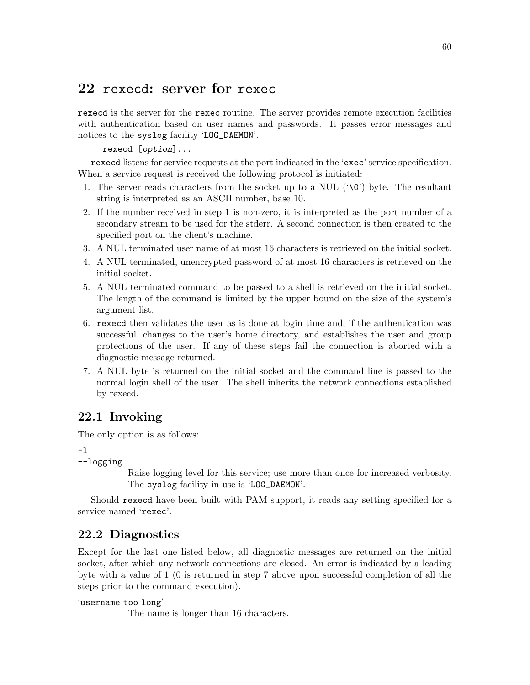# 22 rexecd: server for rexec

rexecd is the server for the rexec routine. The server provides remote execution facilities with authentication based on user names and passwords. It passes error messages and notices to the syslog facility 'LOG\_DAEMON'.

rexecd [option]...

rexecd listens for service requests at the port indicated in the 'exec' service specification. When a service request is received the following protocol is initiated:

- 1. The server reads characters from the socket up to a NUL  $(\hat{ } \setminus \hat{O})$  byte. The resultant string is interpreted as an ASCII number, base 10.
- 2. If the number received in step 1 is non-zero, it is interpreted as the port number of a secondary stream to be used for the stderr. A second connection is then created to the specified port on the client's machine.
- 3. A NUL terminated user name of at most 16 characters is retrieved on the initial socket.
- 4. A NUL terminated, unencrypted password of at most 16 characters is retrieved on the initial socket.
- 5. A NUL terminated command to be passed to a shell is retrieved on the initial socket. The length of the command is limited by the upper bound on the size of the system's argument list.
- 6. rexecd then validates the user as is done at login time and, if the authentication was successful, changes to the user's home directory, and establishes the user and group protections of the user. If any of these steps fail the connection is aborted with a diagnostic message returned.
- 7. A NUL byte is returned on the initial socket and the command line is passed to the normal login shell of the user. The shell inherits the network connections established by rexecd.

# 22.1 Invoking

The only option is as follows:

-l

```
--logging
```
Raise logging level for this service; use more than once for increased verbosity. The syslog facility in use is 'LOG\_DAEMON'.

Should rexecd have been built with PAM support, it reads any setting specified for a service named 'rexec'.

# 22.2 Diagnostics

Except for the last one listed below, all diagnostic messages are returned on the initial socket, after which any network connections are closed. An error is indicated by a leading byte with a value of 1 (0 is returned in step 7 above upon successful completion of all the steps prior to the command execution).

```
'username too long'
```
The name is longer than 16 characters.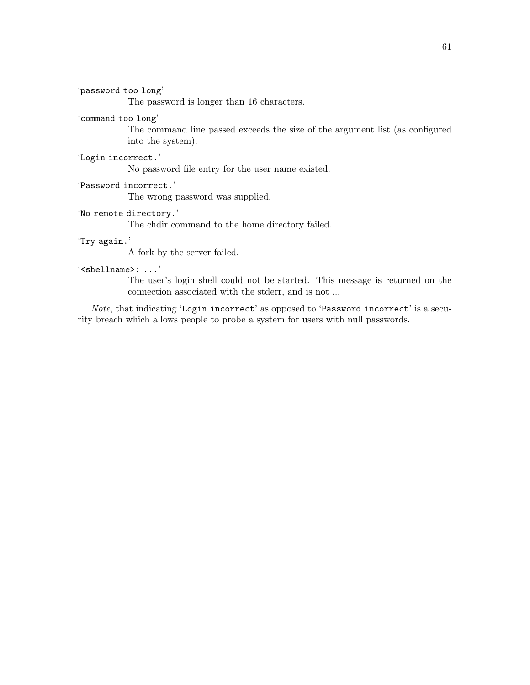'password too long'

The password is longer than 16 characters.

### 'command too long'

The command line passed exceeds the size of the argument list (as configured into the system).

### 'Login incorrect.'

No password file entry for the user name existed.

### 'Password incorrect.'

The wrong password was supplied.

### 'No remote directory.'

The chdir command to the home directory failed.

### 'Try again.'

A fork by the server failed.

### '<shellname>: ...'

The user's login shell could not be started. This message is returned on the connection associated with the stderr, and is not ...

Note, that indicating 'Login incorrect' as opposed to 'Password incorrect' is a security breach which allows people to probe a system for users with null passwords.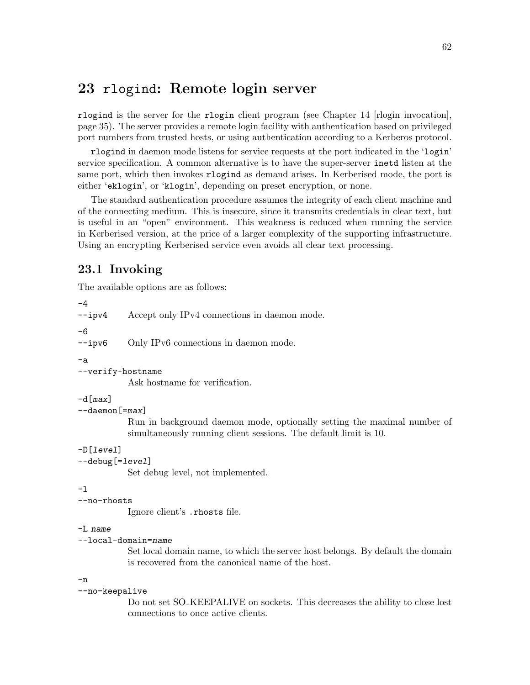# 23 rlogind: Remote login server

rlogind is the server for the rlogin client program (see [Chapter 14 \[rlogin invocation\],](#page-40-0) [page 35](#page-40-0)). The server provides a remote login facility with authentication based on privileged port numbers from trusted hosts, or using authentication according to a Kerberos protocol.

rlogind in daemon mode listens for service requests at the port indicated in the 'login' service specification. A common alternative is to have the super-server inetd listen at the same port, which then invokes rlogind as demand arises. In Kerberised mode, the port is either 'eklogin', or 'klogin', depending on preset encryption, or none.

The standard authentication procedure assumes the integrity of each client machine and of the connecting medium. This is insecure, since it transmits credentials in clear text, but is useful in an "open" environment. This weakness is reduced when running the service in Kerberised version, at the price of a larger complexity of the supporting infrastructure. Using an encrypting Kerberised service even avoids all clear text processing.

## 23.1 Invoking

The available options are as follows:

```
-4
--ipv4 Accept only IPv4 connections in daemon mode.
-6
--ipv6 Only IPv6 connections in daemon mode.
-a
--verify-hostname
           Ask hostname for verification.
-d[max]
--daemon[=max]
           Run in background daemon mode, optionally setting the maximal number of
           simultaneously running client sessions. The default limit is 10.
-D[level]
--debug[=level]
           Set debug level, not implemented.
-l
--no-rhosts
           Ignore client's .rhosts file.
-L name
--local-domain=name
           Set local domain name, to which the server host belongs. By default the domain
           is recovered from the canonical name of the host.
-n
--no-keepalive
           Do not set SO KEEPALIVE on sockets. This decreases the ability to close lost
           connections to once active clients.
```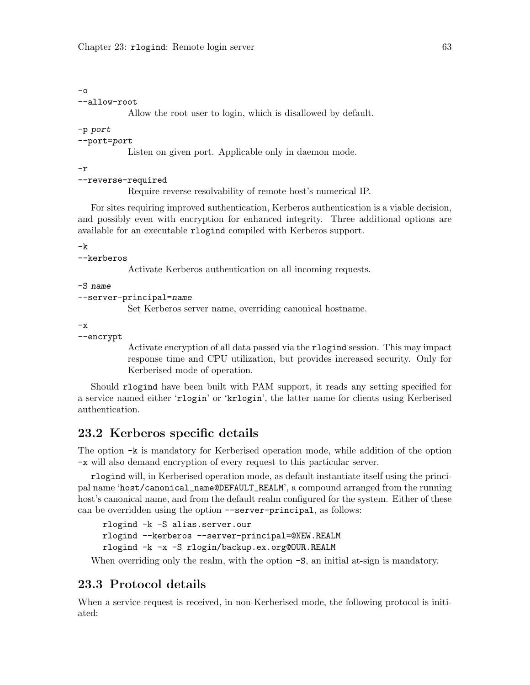$-\Omega$ 

```
--allow-root
```
Allow the root user to login, which is disallowed by default.

-p port

--port=port

Listen on given port. Applicable only in daemon mode.

-r

```
--reverse-required
```
Require reverse resolvability of remote host's numerical IP.

For sites requiring improved authentication, Kerberos authentication is a viable decision, and possibly even with encryption for enhanced integrity. Three additional options are available for an executable rlogind compiled with Kerberos support.

 $-k$ 

```
--kerberos
```
Activate Kerberos authentication on all incoming requests.

-S name

```
--server-principal=name
```
Set Kerberos server name, overriding canonical hostname.

 $-x$ 

```
--encrypt
```
Activate encryption of all data passed via the rlogind session. This may impact response time and CPU utilization, but provides increased security. Only for Kerberised mode of operation.

Should rlogind have been built with PAM support, it reads any setting specified for a service named either 'rlogin' or 'krlogin', the latter name for clients using Kerberised authentication.

## 23.2 Kerberos specific details

The option -k is mandatory for Kerberised operation mode, while addition of the option -x will also demand encryption of every request to this particular server.

rlogind will, in Kerberised operation mode, as default instantiate itself using the principal name 'host/canonical\_name@DEFAULT\_REALM', a compound arranged from the running host's canonical name, and from the default realm configured for the system. Either of these can be overridden using the option --server-principal, as follows:

```
rlogind -k -S alias.server.our
rlogind --kerberos --server-principal=@NEW.REALM
rlogind -k -x -S rlogin/backup.ex.org@OUR.REALM
```
When overriding only the realm, with the option  $-S$ , an initial at-sign is mandatory.

## 23.3 Protocol details

When a service request is received, in non-Kerberised mode, the following protocol is initiated: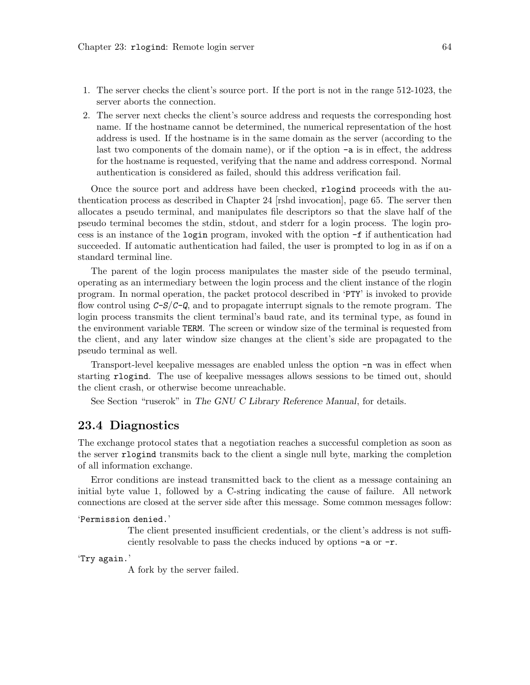- 1. The server checks the client's source port. If the port is not in the range 512-1023, the server aborts the connection.
- 2. The server next checks the client's source address and requests the corresponding host name. If the hostname cannot be determined, the numerical representation of the host address is used. If the hostname is in the same domain as the server (according to the last two components of the domain name), or if the option -a is in effect, the address for the hostname is requested, verifying that the name and address correspond. Normal authentication is considered as failed, should this address verification fail.

Once the source port and address have been checked, rlogind proceeds with the authentication process as described in [Chapter 24 \[rshd invocation\], page 65.](#page-70-0) The server then allocates a pseudo terminal, and manipulates file descriptors so that the slave half of the pseudo terminal becomes the stdin, stdout, and stderr for a login process. The login process is an instance of the login program, invoked with the option -f if authentication had succeeded. If automatic authentication had failed, the user is prompted to log in as if on a standard terminal line.

The parent of the login process manipulates the master side of the pseudo terminal, operating as an intermediary between the login process and the client instance of the rlogin program. In normal operation, the packet protocol described in 'PTY' is invoked to provide flow control using  $C-S/C-Q$ , and to propagate interrupt signals to the remote program. The login process transmits the client terminal's baud rate, and its terminal type, as found in the environment variable TERM. The screen or window size of the terminal is requested from the client, and any later window size changes at the client's side are propagated to the pseudo terminal as well.

Transport-level keepalive messages are enabled unless the option -n was in effect when starting rlogind. The use of keepalive messages allows sessions to be timed out, should the client crash, or otherwise become unreachable.

See Section "ruserok" in The GNU C Library Reference Manual, for details.

### 23.4 Diagnostics

The exchange protocol states that a negotiation reaches a successful completion as soon as the server rlogind transmits back to the client a single null byte, marking the completion of all information exchange.

Error conditions are instead transmitted back to the client as a message containing an initial byte value 1, followed by a C-string indicating the cause of failure. All network connections are closed at the server side after this message. Some common messages follow:

### 'Permission denied.'

The client presented insufficient credentials, or the client's address is not sufficiently resolvable to pass the checks induced by options -a or -r.

'Try again.'

A fork by the server failed.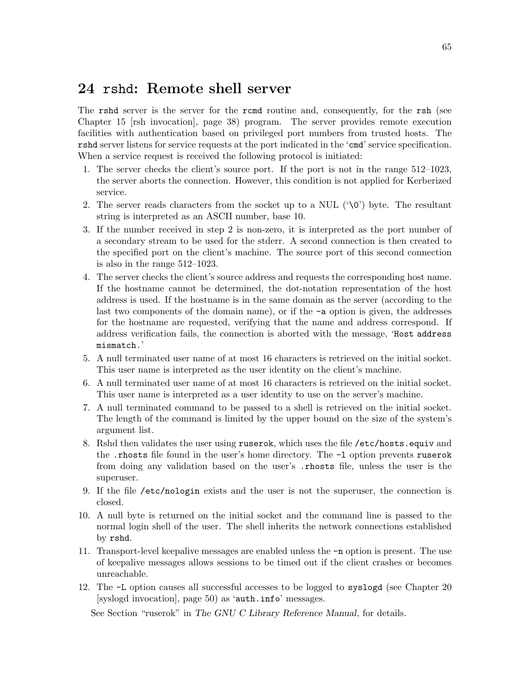# <span id="page-70-0"></span>24 rshd: Remote shell server

The rshd server is the server for the rcmd routine and, consequently, for the rsh (see [Chapter 15 \[rsh invocation\], page 38\)](#page-43-0) program. The server provides remote execution facilities with authentication based on privileged port numbers from trusted hosts. The rshd server listens for service requests at the port indicated in the 'cmd' service specification. When a service request is received the following protocol is initiated:

- 1. The server checks the client's source port. If the port is not in the range 512–1023, the server aborts the connection. However, this condition is not applied for Kerberized service.
- 2. The server reads characters from the socket up to a NUL  $(\hat{O})$  byte. The resultant string is interpreted as an ASCII number, base 10.
- 3. If the number received in step 2 is non-zero, it is interpreted as the port number of a secondary stream to be used for the stderr. A second connection is then created to the specified port on the client's machine. The source port of this second connection is also in the range 512–1023.
- 4. The server checks the client's source address and requests the corresponding host name. If the hostname cannot be determined, the dot-notation representation of the host address is used. If the hostname is in the same domain as the server (according to the last two components of the domain name), or if the -a option is given, the addresses for the hostname are requested, verifying that the name and address correspond. If address verification fails, the connection is aborted with the message, 'Host address mismatch.'
- 5. A null terminated user name of at most 16 characters is retrieved on the initial socket. This user name is interpreted as the user identity on the client's machine.
- 6. A null terminated user name of at most 16 characters is retrieved on the initial socket. This user name is interpreted as a user identity to use on the server's machine.
- 7. A null terminated command to be passed to a shell is retrieved on the initial socket. The length of the command is limited by the upper bound on the size of the system's argument list.
- 8. Rshd then validates the user using ruserok, which uses the file /etc/hosts.equiv and the .rhosts file found in the user's home directory. The -l option prevents ruserok from doing any validation based on the user's .rhosts file, unless the user is the superuser.
- 9. If the file /etc/nologin exists and the user is not the superuser, the connection is closed.
- 10. A null byte is returned on the initial socket and the command line is passed to the normal login shell of the user. The shell inherits the network connections established by rshd.
- 11. Transport-level keepalive messages are enabled unless the -n option is present. The use of keepalive messages allows sessions to be timed out if the client crashes or becomes unreachable.
- 12. The -L option causes all successful accesses to be logged to syslogd (see [Chapter 20](#page-55-0) [\[syslogd invocation\], page 50\)](#page-55-0) as 'auth.info' messages.

See Section "ruserok" in The GNU C Library Reference Manual, for details.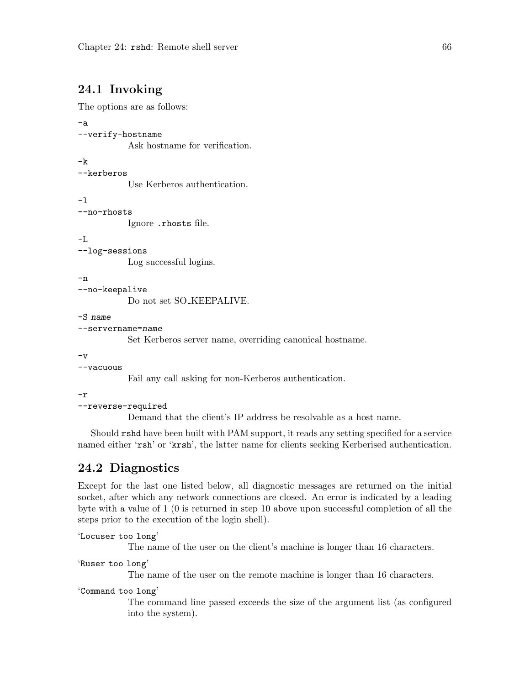# 24.1 Invoking

The options are as follows:

```
-a
--verify-hostname
           Ask hostname for verification.
-k
--kerberos
           Use Kerberos authentication.
-l
--no-rhosts
           Ignore .rhosts file.
-L
--log-sessions
           Log successful logins.
-n
--no-keepalive
           Do not set SO<sub>-</sub>KEEPALIVE.
-S name
--servername=name
           Set Kerberos server name, overriding canonical hostname.
```
 $-v$ 

### --vacuous

Fail any call asking for non-Kerberos authentication.

-r

### --reverse-required

Demand that the client's IP address be resolvable as a host name.

Should rshd have been built with PAM support, it reads any setting specified for a service named either 'rsh' or 'krsh', the latter name for clients seeking Kerberised authentication.

## 24.2 Diagnostics

Except for the last one listed below, all diagnostic messages are returned on the initial socket, after which any network connections are closed. An error is indicated by a leading byte with a value of 1 (0 is returned in step 10 above upon successful completion of all the steps prior to the execution of the login shell).

```
'Locuser too long'
```
The name of the user on the client's machine is longer than 16 characters.

```
'Ruser too long'
```
The name of the user on the remote machine is longer than 16 characters.

```
'Command too long'
```
The command line passed exceeds the size of the argument list (as configured into the system).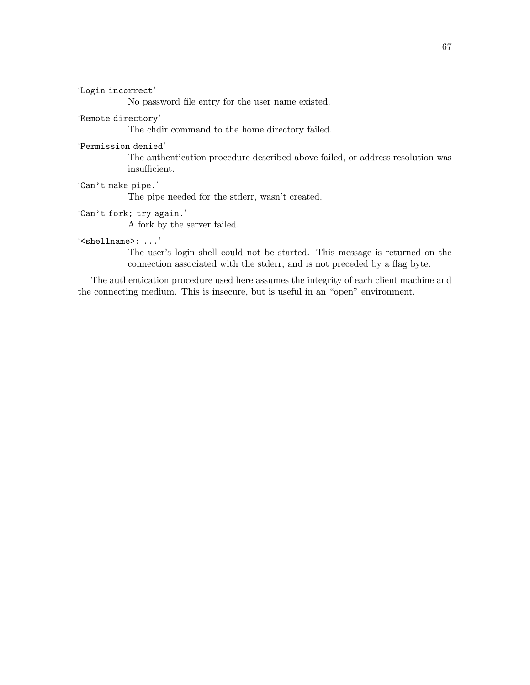'Login incorrect'

No password file entry for the user name existed.

### 'Remote directory'

The chdir command to the home directory failed.

### 'Permission denied'

The authentication procedure described above failed, or address resolution was insufficient.

### 'Can't make pipe.'

The pipe needed for the stderr, wasn't created.

## 'Can't fork; try again.'

A fork by the server failed.

### '<shellname>: ...'

The user's login shell could not be started. This message is returned on the connection associated with the stderr, and is not preceded by a flag byte.

The authentication procedure used here assumes the integrity of each client machine and the connecting medium. This is insecure, but is useful in an "open" environment.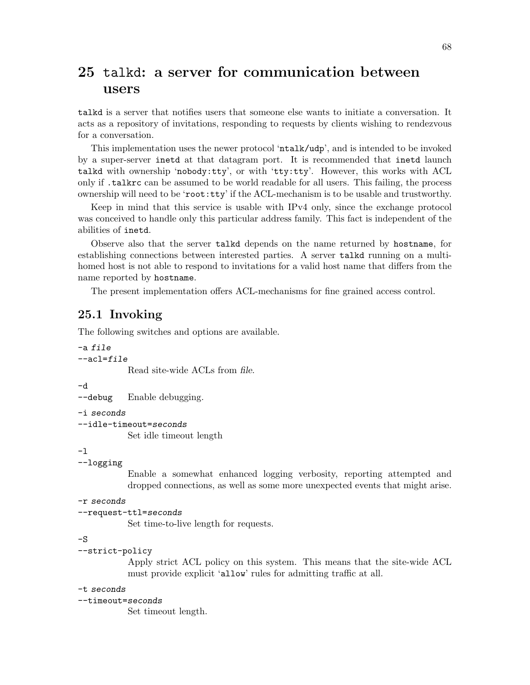## <span id="page-73-0"></span>25 talkd: a server for communication between users

talkd is a server that notifies users that someone else wants to initiate a conversation. It acts as a repository of invitations, responding to requests by clients wishing to rendezvous for a conversation.

This implementation uses the newer protocol 'ntalk/udp', and is intended to be invoked by a super-server inetd at that datagram port. It is recommended that inetd launch talkd with ownership 'nobody:tty', or with 'tty:tty'. However, this works with ACL only if .talkrc can be assumed to be world readable for all users. This failing, the process ownership will need to be 'root:tty' if the ACL-mechanism is to be usable and trustworthy.

Keep in mind that this service is usable with IPv4 only, since the exchange protocol was conceived to handle only this particular address family. This fact is independent of the abilities of inetd.

Observe also that the server talkd depends on the name returned by hostname, for establishing connections between interested parties. A server talkd running on a multihomed host is not able to respond to invitations for a valid host name that differs from the name reported by hostname.

The present implementation offers ACL-mechanisms for fine grained access control.

## 25.1 Invoking

The following switches and options are available.

```
-a file
--ac]=file
```
Read site-wide ACLs from file.

-d

--debug Enable debugging.

-i seconds

```
--idle-timeout=seconds
```
Set idle timeout length

-l

```
--logging
```
Enable a somewhat enhanced logging verbosity, reporting attempted and dropped connections, as well as some more unexpected events that might arise.

-r seconds

```
--request-ttl=seconds
```
Set time-to-live length for requests.

 $-S$ 

```
--strict-policy
```
Apply strict ACL policy on this system. This means that the site-wide ACL must provide explicit 'allow' rules for admitting traffic at all.

### -t seconds

```
--timeout=seconds
```
Set timeout length.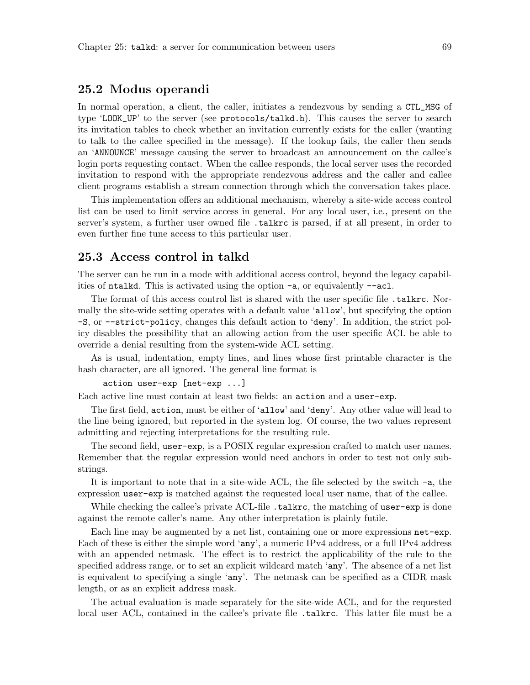## 25.2 Modus operandi

In normal operation, a client, the caller, initiates a rendezvous by sending a CTL\_MSG of type 'LOOK\_UP' to the server (see protocols/talkd.h). This causes the server to search its invitation tables to check whether an invitation currently exists for the caller (wanting to talk to the callee specified in the message). If the lookup fails, the caller then sends an 'ANNOUNCE' message causing the server to broadcast an announcement on the callee's login ports requesting contact. When the callee responds, the local server uses the recorded invitation to respond with the appropriate rendezvous address and the caller and callee client programs establish a stream connection through which the conversation takes place.

This implementation offers an additional mechanism, whereby a site-wide access control list can be used to limit service access in general. For any local user, i.e., present on the server's system, a further user owned file .talkrc is parsed, if at all present, in order to even further fine tune access to this particular user.

## 25.3 Access control in talkd

The server can be run in a mode with additional access control, beyond the legacy capabilities of ntalkd. This is activated using the option -a, or equivalently --acl.

The format of this access control list is shared with the user specific file .talkrc. Normally the site-wide setting operates with a default value 'allow', but specifying the option -S, or --strict-policy, changes this default action to 'deny'. In addition, the strict policy disables the possibility that an allowing action from the user specific ACL be able to override a denial resulting from the system-wide ACL setting.

As is usual, indentation, empty lines, and lines whose first printable character is the hash character, are all ignored. The general line format is

```
action user-exp [net-exp ...]
```
Each active line must contain at least two fields: an action and a user-exp.

The first field, action, must be either of 'allow' and 'deny'. Any other value will lead to the line being ignored, but reported in the system log. Of course, the two values represent admitting and rejecting interpretations for the resulting rule.

The second field, user-exp, is a POSIX regular expression crafted to match user names. Remember that the regular expression would need anchors in order to test not only substrings.

It is important to note that in a site-wide ACL, the file selected by the switch -a, the expression user-exp is matched against the requested local user name, that of the callee.

While checking the callee's private ACL-file .talkrc, the matching of user-exp is done against the remote caller's name. Any other interpretation is plainly futile.

Each line may be augmented by a net list, containing one or more expressions net-exp. Each of these is either the simple word 'any', a numeric IPv4 address, or a full IPv4 address with an appended netmask. The effect is to restrict the applicability of the rule to the specified address range, or to set an explicit wildcard match 'any'. The absence of a net list is equivalent to specifying a single 'any'. The netmask can be specified as a CIDR mask length, or as an explicit address mask.

The actual evaluation is made separately for the site-wide ACL, and for the requested local user ACL, contained in the callee's private file .talkrc. This latter file must be a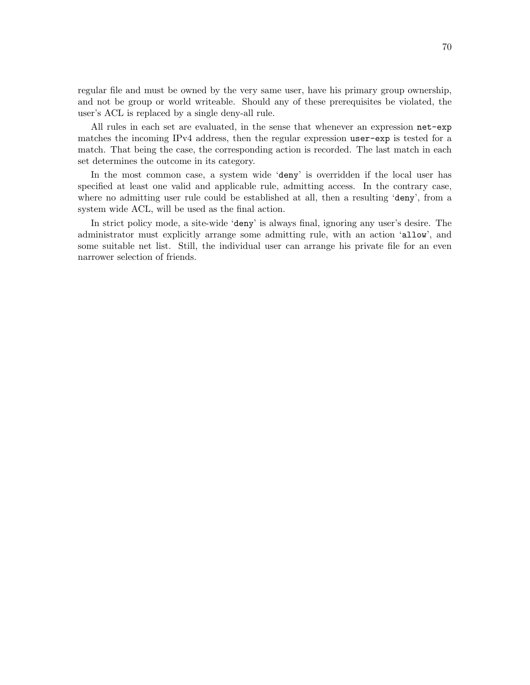regular file and must be owned by the very same user, have his primary group ownership, and not be group or world writeable. Should any of these prerequisites be violated, the user's ACL is replaced by a single deny-all rule.

All rules in each set are evaluated, in the sense that whenever an expression net-exp matches the incoming IPv4 address, then the regular expression user-exp is tested for a match. That being the case, the corresponding action is recorded. The last match in each set determines the outcome in its category.

In the most common case, a system wide 'deny' is overridden if the local user has specified at least one valid and applicable rule, admitting access. In the contrary case, where no admitting user rule could be established at all, then a resulting 'deny', from a system wide ACL, will be used as the final action.

In strict policy mode, a site-wide 'deny' is always final, ignoring any user's desire. The administrator must explicitly arrange some admitting rule, with an action 'allow', and some suitable net list. Still, the individual user can arrange his private file for an even narrower selection of friends.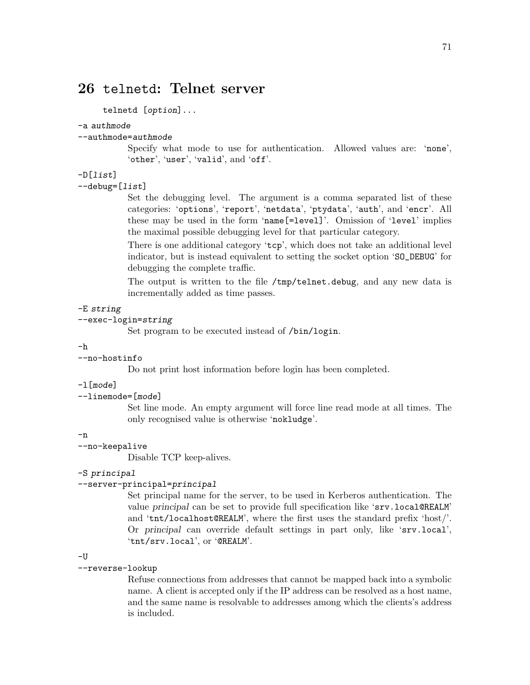## <span id="page-76-0"></span>26 telnetd: Telnet server

telnetd [option]...

#### -a authmode

--authmode=authmode

Specify what mode to use for authentication. Allowed values are: 'none', 'other', 'user', 'valid', and 'off'.

## -D[list]

 $-$ debug= $[iist]$ 

Set the debugging level. The argument is a comma separated list of these categories: 'options', 'report', 'netdata', 'ptydata', 'auth', and 'encr'. All these may be used in the form 'name[=level]'. Omission of 'level' implies the maximal possible debugging level for that particular category.

There is one additional category 'tcp', which does not take an additional level indicator, but is instead equivalent to setting the socket option 'SO\_DEBUG' for debugging the complete traffic.

The output is written to the file /tmp/telnet.debug, and any new data is incrementally added as time passes.

### -E string

#### --exec-login=string

Set program to be executed instead of /bin/login.

### -h

### --no-hostinfo

Do not print host information before login has been completed.

## -l[mode]

--linemode=[mode]

Set line mode. An empty argument will force line read mode at all times. The only recognised value is otherwise 'nokludge'.

#### -n

### --no-keepalive

Disable TCP keep-alives.

### -S principal

## --server-principal=principal

Set principal name for the server, to be used in Kerberos authentication. The value principal can be set to provide full specification like 'srv.local@REALM' and 'tnt/localhost@REALM', where the first uses the standard prefix 'host/'. Or principal can override default settings in part only, like 'srv.local', 'tnt/srv.local', or '@REALM'.

### -U

#### --reverse-lookup

Refuse connections from addresses that cannot be mapped back into a symbolic name. A client is accepted only if the IP address can be resolved as a host name, and the same name is resolvable to addresses among which the clients's address is included.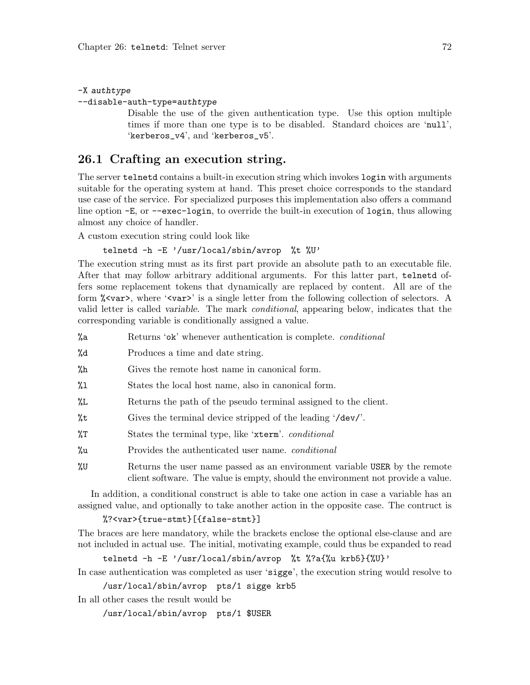<span id="page-77-0"></span>-X authtype

--disable-auth-type=authtype

Disable the use of the given authentication type. Use this option multiple times if more than one type is to be disabled. Standard choices are 'null', 'kerberos\_v4', and 'kerberos\_v5'.

## 26.1 Crafting an execution string.

The server telnetd contains a built-in execution string which invokes login with arguments suitable for the operating system at hand. This preset choice corresponds to the standard use case of the service. For specialized purposes this implementation also offers a command line option -E, or --exec-login, to override the built-in execution of login, thus allowing almost any choice of handler.

A custom execution string could look like

## telnetd -h -E '/usr/local/sbin/avrop %t %U'

The execution string must as its first part provide an absolute path to an executable file. After that may follow arbitrary additional arguments. For this latter part, telnetd offers some replacement tokens that dynamically are replaced by content. All are of the form %<var>, where '<var>' is a single letter from the following collection of selectors. A valid letter is called variable. The mark conditional, appearing below, indicates that the corresponding variable is conditionally assigned a value.

- %a Returns 'ok' whenever authentication is complete. *conditional*
- %d Produces a time and date string.
- %h Gives the remote host name in canonical form.
- %l States the local host name, also in canonical form.
- %L Returns the path of the pseudo terminal assigned to the client.
- %t Gives the terminal device stripped of the leading '/dev/'.
- %T States the terminal type, like 'xterm'. conditional
- %u Provides the authenticated user name. conditional
- %U Returns the user name passed as an environment variable USER by the remote client software. The value is empty, should the environment not provide a value.

In addition, a conditional construct is able to take one action in case a variable has an assigned value, and optionally to take another action in the opposite case. The contruct is

### %?<var>{true-stmt}[{false-stmt}]

The braces are here mandatory, while the brackets enclose the optional else-clause and are not included in actual use. The initial, motivating example, could thus be expanded to read

```
telnetd -h -E '/usr/local/sbin/avrop %t %?a{%u krb5}{%U}'
```
In case authentication was completed as user 'sigge', the execution string would resolve to

/usr/local/sbin/avrop pts/1 sigge krb5

In all other cases the result would be

/usr/local/sbin/avrop pts/1 \$USER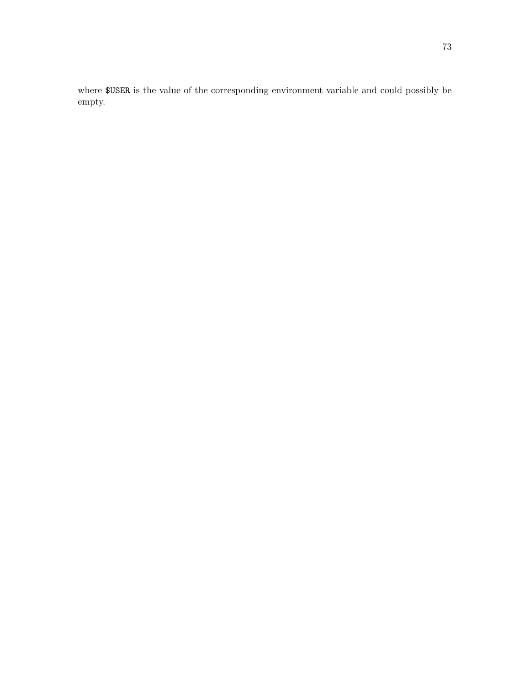where \$USER is the value of the corresponding environment variable and could possibly be empty.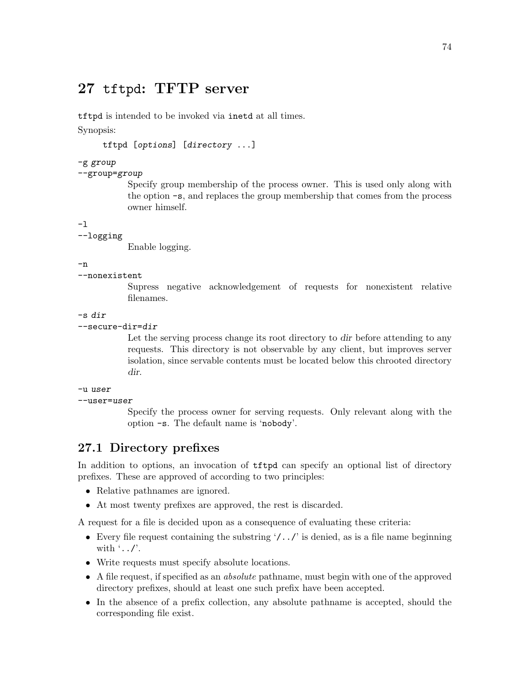## <span id="page-79-0"></span>27 tftpd: TFTP server

tftpd is intended to be invoked via inetd at all times. Synopsis:

tftpd [options] [directory ...]

## -g group

## --group=group

Specify group membership of the process owner. This is used only along with the option -s, and replaces the group membership that comes from the process owner himself.

-l

## --logging

Enable logging.

-n

### --nonexistent

Supress negative acknowledgement of requests for nonexistent relative filenames.

-s dir

```
--secure-dir=dir
```
Let the serving process change its root directory to dir before attending to any requests. This directory is not observable by any client, but improves server isolation, since servable contents must be located below this chrooted directory dir.

```
-u user
```

```
-user=user
```
Specify the process owner for serving requests. Only relevant along with the option -s. The default name is 'nobody'.

## 27.1 Directory prefixes

In addition to options, an invocation of tftpd can specify an optional list of directory prefixes. These are approved of according to two principles:

- Relative pathnames are ignored.
- At most twenty prefixes are approved, the rest is discarded.

A request for a file is decided upon as a consequence of evaluating these criteria:

- Every file request containing the substring  $\langle \cdot, \cdot, \cdot \rangle$  is denied, as is a file name beginning with  $\cdot$ .....
- Write requests must specify absolute locations.
- A file request, if specified as an absolute pathname, must begin with one of the approved directory prefixes, should at least one such prefix have been accepted.
- In the absence of a prefix collection, any absolute pathname is accepted, should the corresponding file exist.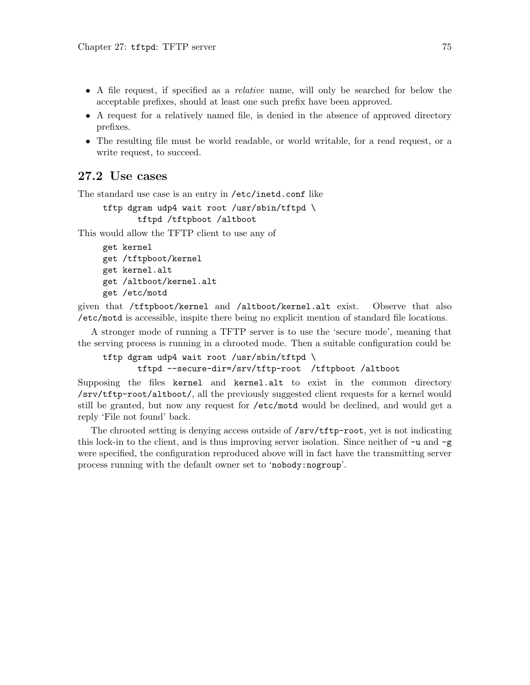- A file request, if specified as a relative name, will only be searched for below the acceptable prefixes, should at least one such prefix have been approved.
- A request for a relatively named file, is denied in the absence of approved directory prefixes.
- The resulting file must be world readable, or world writable, for a read request, or a write request, to succeed.

## 27.2 Use cases

The standard use case is an entry in /etc/inetd.conf like

```
tftp dgram udp4 wait root /usr/sbin/tftpd \
       tftpd /tftpboot /altboot
```
This would allow the TFTP client to use any of

```
get kernel
get /tftpboot/kernel
get kernel.alt
get /altboot/kernel.alt
get /etc/motd
```
given that /tftpboot/kernel and /altboot/kernel.alt exist. Observe that also /etc/motd is accessible, inspite there being no explicit mention of standard file locations.

A stronger mode of running a TFTP server is to use the 'secure mode', meaning that the serving process is running in a chrooted mode. Then a suitable configuration could be

```
tftp dgram udp4 wait root /usr/sbin/tftpd \
```

```
tftpd --secure-dir=/srv/tftp-root /tftpboot /altboot
```
Supposing the files kernel and kernel.alt to exist in the common directory /srv/tftp-root/altboot/, all the previously suggested client requests for a kernel would still be granted, but now any request for /etc/motd would be declined, and would get a reply 'File not found' back.

The chrooted setting is denying access outside of /srv/tftp-root, yet is not indicating this lock-in to the client, and is thus improving server isolation. Since neither of  $-u$  and  $-g$ were specified, the configuration reproduced above will in fact have the transmitting server process running with the default owner set to 'nobody:nogroup'.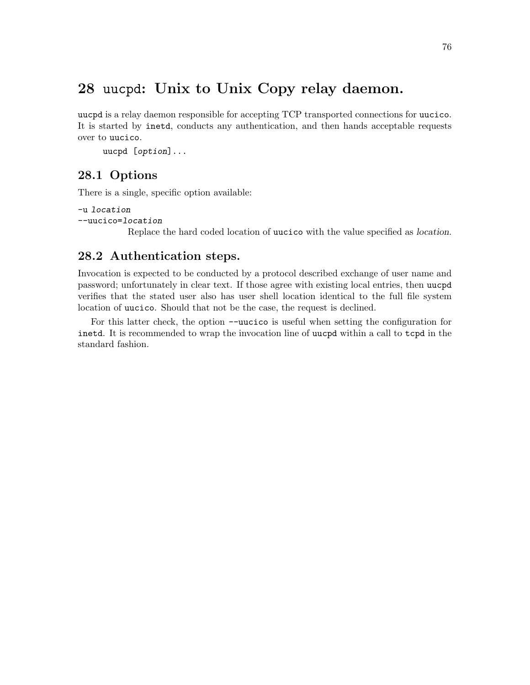## <span id="page-81-0"></span>28 uucpd: Unix to Unix Copy relay daemon.

uucpd is a relay daemon responsible for accepting TCP transported connections for uucico. It is started by inetd, conducts any authentication, and then hands acceptable requests over to uucico.

```
uucpd [option]...
```
## 28.1 Options

There is a single, specific option available:

```
-u location
--uucico=location
```
Replace the hard coded location of uucico with the value specified as location.

## 28.2 Authentication steps.

Invocation is expected to be conducted by a protocol described exchange of user name and password; unfortunately in clear text. If those agree with existing local entries, then uucpd verifies that the stated user also has user shell location identical to the full file system location of uucico. Should that not be the case, the request is declined.

For this latter check, the option --uucico is useful when setting the configuration for inetd. It is recommended to wrap the invocation line of uucpd within a call to tcpd in the standard fashion.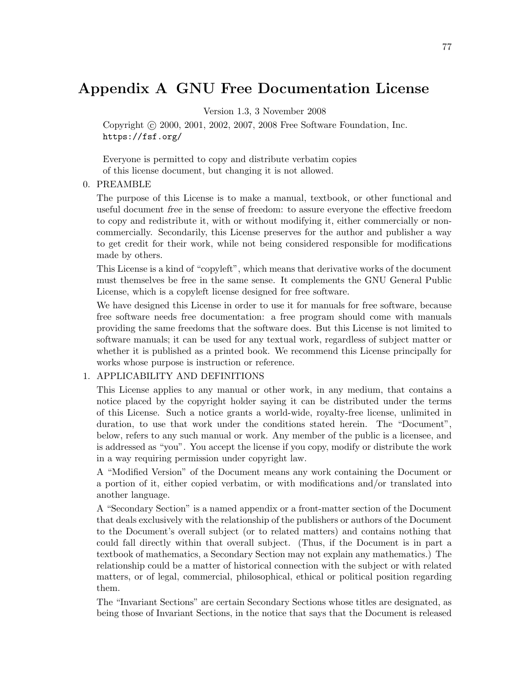## Appendix A GNU Free Documentation License

Version 1.3, 3 November 2008

Copyright c 2000, 2001, 2002, 2007, 2008 Free Software Foundation, Inc. <https://fsf.org/>

Everyone is permitted to copy and distribute verbatim copies of this license document, but changing it is not allowed.

## 0. PREAMBLE

The purpose of this License is to make a manual, textbook, or other functional and useful document free in the sense of freedom: to assure everyone the effective freedom to copy and redistribute it, with or without modifying it, either commercially or noncommercially. Secondarily, this License preserves for the author and publisher a way to get credit for their work, while not being considered responsible for modifications made by others.

This License is a kind of "copyleft", which means that derivative works of the document must themselves be free in the same sense. It complements the GNU General Public License, which is a copyleft license designed for free software.

We have designed this License in order to use it for manuals for free software, because free software needs free documentation: a free program should come with manuals providing the same freedoms that the software does. But this License is not limited to software manuals; it can be used for any textual work, regardless of subject matter or whether it is published as a printed book. We recommend this License principally for works whose purpose is instruction or reference.

## 1. APPLICABILITY AND DEFINITIONS

This License applies to any manual or other work, in any medium, that contains a notice placed by the copyright holder saying it can be distributed under the terms of this License. Such a notice grants a world-wide, royalty-free license, unlimited in duration, to use that work under the conditions stated herein. The "Document", below, refers to any such manual or work. Any member of the public is a licensee, and is addressed as "you". You accept the license if you copy, modify or distribute the work in a way requiring permission under copyright law.

A "Modified Version" of the Document means any work containing the Document or a portion of it, either copied verbatim, or with modifications and/or translated into another language.

A "Secondary Section" is a named appendix or a front-matter section of the Document that deals exclusively with the relationship of the publishers or authors of the Document to the Document's overall subject (or to related matters) and contains nothing that could fall directly within that overall subject. (Thus, if the Document is in part a textbook of mathematics, a Secondary Section may not explain any mathematics.) The relationship could be a matter of historical connection with the subject or with related matters, or of legal, commercial, philosophical, ethical or political position regarding them.

The "Invariant Sections" are certain Secondary Sections whose titles are designated, as being those of Invariant Sections, in the notice that says that the Document is released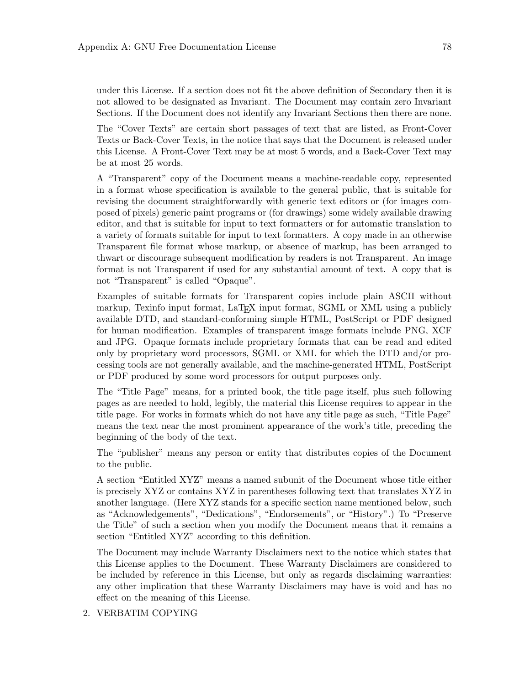under this License. If a section does not fit the above definition of Secondary then it is not allowed to be designated as Invariant. The Document may contain zero Invariant Sections. If the Document does not identify any Invariant Sections then there are none.

The "Cover Texts" are certain short passages of text that are listed, as Front-Cover Texts or Back-Cover Texts, in the notice that says that the Document is released under this License. A Front-Cover Text may be at most 5 words, and a Back-Cover Text may be at most 25 words.

A "Transparent" copy of the Document means a machine-readable copy, represented in a format whose specification is available to the general public, that is suitable for revising the document straightforwardly with generic text editors or (for images composed of pixels) generic paint programs or (for drawings) some widely available drawing editor, and that is suitable for input to text formatters or for automatic translation to a variety of formats suitable for input to text formatters. A copy made in an otherwise Transparent file format whose markup, or absence of markup, has been arranged to thwart or discourage subsequent modification by readers is not Transparent. An image format is not Transparent if used for any substantial amount of text. A copy that is not "Transparent" is called "Opaque".

Examples of suitable formats for Transparent copies include plain ASCII without markup, Texinfo input format, LaT<sub>EX</sub> input format, SGML or XML using a publicly available DTD, and standard-conforming simple HTML, PostScript or PDF designed for human modification. Examples of transparent image formats include PNG, XCF and JPG. Opaque formats include proprietary formats that can be read and edited only by proprietary word processors, SGML or XML for which the DTD and/or processing tools are not generally available, and the machine-generated HTML, PostScript or PDF produced by some word processors for output purposes only.

The "Title Page" means, for a printed book, the title page itself, plus such following pages as are needed to hold, legibly, the material this License requires to appear in the title page. For works in formats which do not have any title page as such, "Title Page" means the text near the most prominent appearance of the work's title, preceding the beginning of the body of the text.

The "publisher" means any person or entity that distributes copies of the Document to the public.

A section "Entitled XYZ" means a named subunit of the Document whose title either is precisely XYZ or contains XYZ in parentheses following text that translates XYZ in another language. (Here XYZ stands for a specific section name mentioned below, such as "Acknowledgements", "Dedications", "Endorsements", or "History".) To "Preserve the Title" of such a section when you modify the Document means that it remains a section "Entitled XYZ" according to this definition.

The Document may include Warranty Disclaimers next to the notice which states that this License applies to the Document. These Warranty Disclaimers are considered to be included by reference in this License, but only as regards disclaiming warranties: any other implication that these Warranty Disclaimers may have is void and has no effect on the meaning of this License.

2. VERBATIM COPYING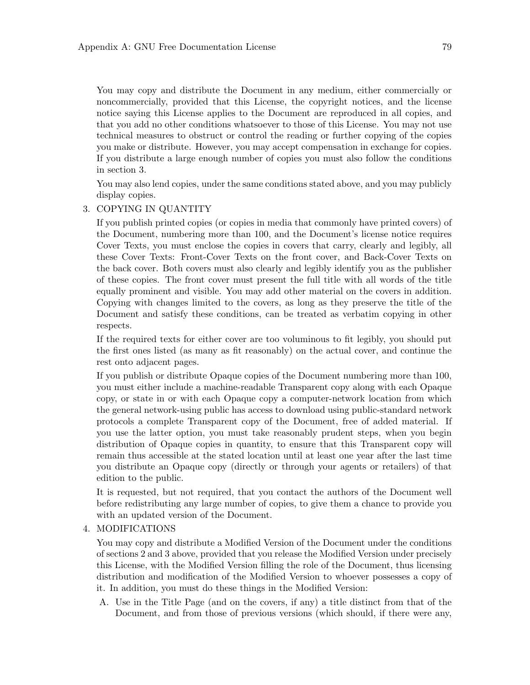You may copy and distribute the Document in any medium, either commercially or noncommercially, provided that this License, the copyright notices, and the license notice saying this License applies to the Document are reproduced in all copies, and that you add no other conditions whatsoever to those of this License. You may not use technical measures to obstruct or control the reading or further copying of the copies you make or distribute. However, you may accept compensation in exchange for copies. If you distribute a large enough number of copies you must also follow the conditions in section 3.

You may also lend copies, under the same conditions stated above, and you may publicly display copies.

## 3. COPYING IN QUANTITY

If you publish printed copies (or copies in media that commonly have printed covers) of the Document, numbering more than 100, and the Document's license notice requires Cover Texts, you must enclose the copies in covers that carry, clearly and legibly, all these Cover Texts: Front-Cover Texts on the front cover, and Back-Cover Texts on the back cover. Both covers must also clearly and legibly identify you as the publisher of these copies. The front cover must present the full title with all words of the title equally prominent and visible. You may add other material on the covers in addition. Copying with changes limited to the covers, as long as they preserve the title of the Document and satisfy these conditions, can be treated as verbatim copying in other respects.

If the required texts for either cover are too voluminous to fit legibly, you should put the first ones listed (as many as fit reasonably) on the actual cover, and continue the rest onto adjacent pages.

If you publish or distribute Opaque copies of the Document numbering more than 100, you must either include a machine-readable Transparent copy along with each Opaque copy, or state in or with each Opaque copy a computer-network location from which the general network-using public has access to download using public-standard network protocols a complete Transparent copy of the Document, free of added material. If you use the latter option, you must take reasonably prudent steps, when you begin distribution of Opaque copies in quantity, to ensure that this Transparent copy will remain thus accessible at the stated location until at least one year after the last time you distribute an Opaque copy (directly or through your agents or retailers) of that edition to the public.

It is requested, but not required, that you contact the authors of the Document well before redistributing any large number of copies, to give them a chance to provide you with an updated version of the Document.

#### 4. MODIFICATIONS

You may copy and distribute a Modified Version of the Document under the conditions of sections 2 and 3 above, provided that you release the Modified Version under precisely this License, with the Modified Version filling the role of the Document, thus licensing distribution and modification of the Modified Version to whoever possesses a copy of it. In addition, you must do these things in the Modified Version:

A. Use in the Title Page (and on the covers, if any) a title distinct from that of the Document, and from those of previous versions (which should, if there were any,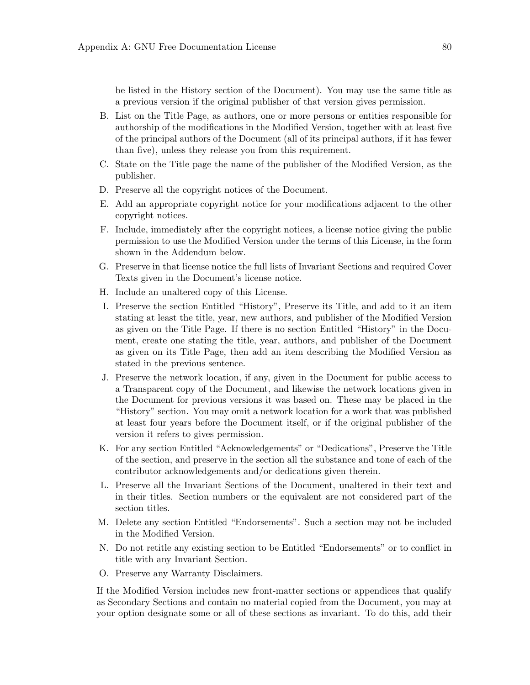be listed in the History section of the Document). You may use the same title as a previous version if the original publisher of that version gives permission.

- B. List on the Title Page, as authors, one or more persons or entities responsible for authorship of the modifications in the Modified Version, together with at least five of the principal authors of the Document (all of its principal authors, if it has fewer than five), unless they release you from this requirement.
- C. State on the Title page the name of the publisher of the Modified Version, as the publisher.
- D. Preserve all the copyright notices of the Document.
- E. Add an appropriate copyright notice for your modifications adjacent to the other copyright notices.
- F. Include, immediately after the copyright notices, a license notice giving the public permission to use the Modified Version under the terms of this License, in the form shown in the Addendum below.
- G. Preserve in that license notice the full lists of Invariant Sections and required Cover Texts given in the Document's license notice.
- H. Include an unaltered copy of this License.
- I. Preserve the section Entitled "History", Preserve its Title, and add to it an item stating at least the title, year, new authors, and publisher of the Modified Version as given on the Title Page. If there is no section Entitled "History" in the Document, create one stating the title, year, authors, and publisher of the Document as given on its Title Page, then add an item describing the Modified Version as stated in the previous sentence.
- J. Preserve the network location, if any, given in the Document for public access to a Transparent copy of the Document, and likewise the network locations given in the Document for previous versions it was based on. These may be placed in the "History" section. You may omit a network location for a work that was published at least four years before the Document itself, or if the original publisher of the version it refers to gives permission.
- K. For any section Entitled "Acknowledgements" or "Dedications", Preserve the Title of the section, and preserve in the section all the substance and tone of each of the contributor acknowledgements and/or dedications given therein.
- L. Preserve all the Invariant Sections of the Document, unaltered in their text and in their titles. Section numbers or the equivalent are not considered part of the section titles.
- M. Delete any section Entitled "Endorsements". Such a section may not be included in the Modified Version.
- N. Do not retitle any existing section to be Entitled "Endorsements" or to conflict in title with any Invariant Section.
- O. Preserve any Warranty Disclaimers.

If the Modified Version includes new front-matter sections or appendices that qualify as Secondary Sections and contain no material copied from the Document, you may at your option designate some or all of these sections as invariant. To do this, add their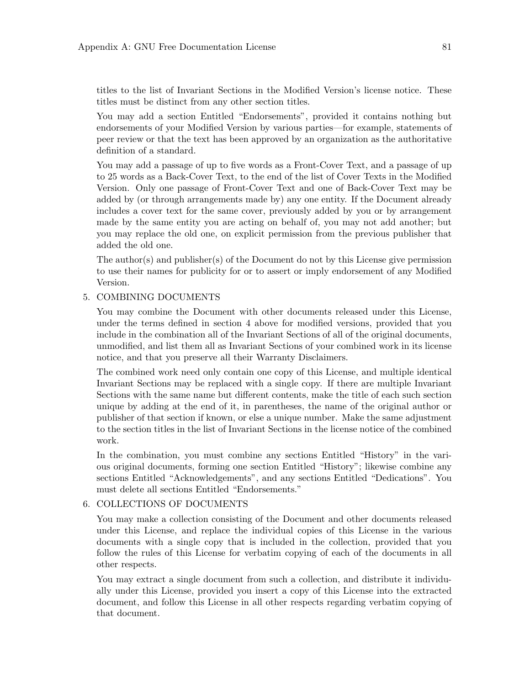titles to the list of Invariant Sections in the Modified Version's license notice. These titles must be distinct from any other section titles.

You may add a section Entitled "Endorsements", provided it contains nothing but endorsements of your Modified Version by various parties—for example, statements of peer review or that the text has been approved by an organization as the authoritative definition of a standard.

You may add a passage of up to five words as a Front-Cover Text, and a passage of up to 25 words as a Back-Cover Text, to the end of the list of Cover Texts in the Modified Version. Only one passage of Front-Cover Text and one of Back-Cover Text may be added by (or through arrangements made by) any one entity. If the Document already includes a cover text for the same cover, previously added by you or by arrangement made by the same entity you are acting on behalf of, you may not add another; but you may replace the old one, on explicit permission from the previous publisher that added the old one.

The author(s) and publisher(s) of the Document do not by this License give permission to use their names for publicity for or to assert or imply endorsement of any Modified Version.

## 5. COMBINING DOCUMENTS

You may combine the Document with other documents released under this License, under the terms defined in section 4 above for modified versions, provided that you include in the combination all of the Invariant Sections of all of the original documents, unmodified, and list them all as Invariant Sections of your combined work in its license notice, and that you preserve all their Warranty Disclaimers.

The combined work need only contain one copy of this License, and multiple identical Invariant Sections may be replaced with a single copy. If there are multiple Invariant Sections with the same name but different contents, make the title of each such section unique by adding at the end of it, in parentheses, the name of the original author or publisher of that section if known, or else a unique number. Make the same adjustment to the section titles in the list of Invariant Sections in the license notice of the combined work.

In the combination, you must combine any sections Entitled "History" in the various original documents, forming one section Entitled "History"; likewise combine any sections Entitled "Acknowledgements", and any sections Entitled "Dedications". You must delete all sections Entitled "Endorsements."

## 6. COLLECTIONS OF DOCUMENTS

You may make a collection consisting of the Document and other documents released under this License, and replace the individual copies of this License in the various documents with a single copy that is included in the collection, provided that you follow the rules of this License for verbatim copying of each of the documents in all other respects.

You may extract a single document from such a collection, and distribute it individually under this License, provided you insert a copy of this License into the extracted document, and follow this License in all other respects regarding verbatim copying of that document.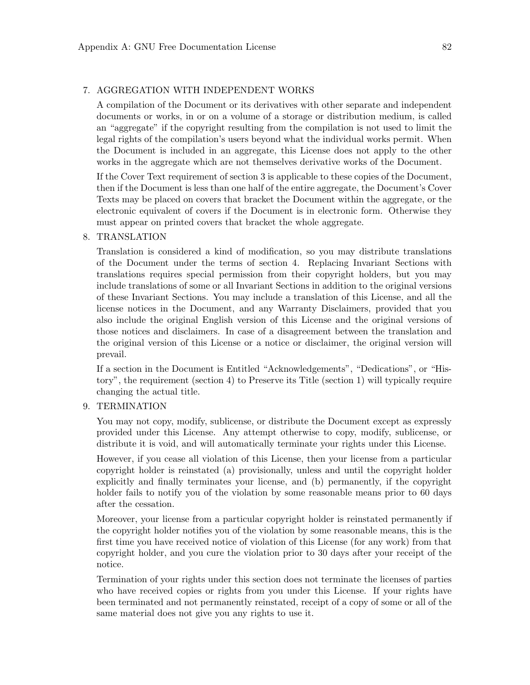### 7. AGGREGATION WITH INDEPENDENT WORKS

A compilation of the Document or its derivatives with other separate and independent documents or works, in or on a volume of a storage or distribution medium, is called an "aggregate" if the copyright resulting from the compilation is not used to limit the legal rights of the compilation's users beyond what the individual works permit. When the Document is included in an aggregate, this License does not apply to the other works in the aggregate which are not themselves derivative works of the Document.

If the Cover Text requirement of section 3 is applicable to these copies of the Document, then if the Document is less than one half of the entire aggregate, the Document's Cover Texts may be placed on covers that bracket the Document within the aggregate, or the electronic equivalent of covers if the Document is in electronic form. Otherwise they must appear on printed covers that bracket the whole aggregate.

#### 8. TRANSLATION

Translation is considered a kind of modification, so you may distribute translations of the Document under the terms of section 4. Replacing Invariant Sections with translations requires special permission from their copyright holders, but you may include translations of some or all Invariant Sections in addition to the original versions of these Invariant Sections. You may include a translation of this License, and all the license notices in the Document, and any Warranty Disclaimers, provided that you also include the original English version of this License and the original versions of those notices and disclaimers. In case of a disagreement between the translation and the original version of this License or a notice or disclaimer, the original version will prevail.

If a section in the Document is Entitled "Acknowledgements", "Dedications", or "History", the requirement (section 4) to Preserve its Title (section 1) will typically require changing the actual title.

### 9. TERMINATION

You may not copy, modify, sublicense, or distribute the Document except as expressly provided under this License. Any attempt otherwise to copy, modify, sublicense, or distribute it is void, and will automatically terminate your rights under this License.

However, if you cease all violation of this License, then your license from a particular copyright holder is reinstated (a) provisionally, unless and until the copyright holder explicitly and finally terminates your license, and (b) permanently, if the copyright holder fails to notify you of the violation by some reasonable means prior to 60 days after the cessation.

Moreover, your license from a particular copyright holder is reinstated permanently if the copyright holder notifies you of the violation by some reasonable means, this is the first time you have received notice of violation of this License (for any work) from that copyright holder, and you cure the violation prior to 30 days after your receipt of the notice.

Termination of your rights under this section does not terminate the licenses of parties who have received copies or rights from you under this License. If your rights have been terminated and not permanently reinstated, receipt of a copy of some or all of the same material does not give you any rights to use it.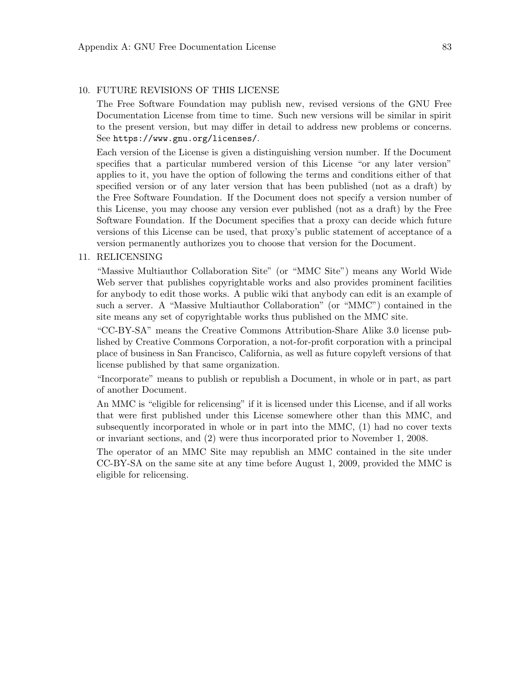## 10. FUTURE REVISIONS OF THIS LICENSE

The Free Software Foundation may publish new, revised versions of the GNU Free Documentation License from time to time. Such new versions will be similar in spirit to the present version, but may differ in detail to address new problems or concerns. See <https://www.gnu.org/licenses/>.

Each version of the License is given a distinguishing version number. If the Document specifies that a particular numbered version of this License "or any later version" applies to it, you have the option of following the terms and conditions either of that specified version or of any later version that has been published (not as a draft) by the Free Software Foundation. If the Document does not specify a version number of this License, you may choose any version ever published (not as a draft) by the Free Software Foundation. If the Document specifies that a proxy can decide which future versions of this License can be used, that proxy's public statement of acceptance of a version permanently authorizes you to choose that version for the Document.

### 11. RELICENSING

"Massive Multiauthor Collaboration Site" (or "MMC Site") means any World Wide Web server that publishes copyrightable works and also provides prominent facilities for anybody to edit those works. A public wiki that anybody can edit is an example of such a server. A "Massive Multiauthor Collaboration" (or "MMC") contained in the site means any set of copyrightable works thus published on the MMC site.

"CC-BY-SA" means the Creative Commons Attribution-Share Alike 3.0 license published by Creative Commons Corporation, a not-for-profit corporation with a principal place of business in San Francisco, California, as well as future copyleft versions of that license published by that same organization.

"Incorporate" means to publish or republish a Document, in whole or in part, as part of another Document.

An MMC is "eligible for relicensing" if it is licensed under this License, and if all works that were first published under this License somewhere other than this MMC, and subsequently incorporated in whole or in part into the MMC, (1) had no cover texts or invariant sections, and (2) were thus incorporated prior to November 1, 2008.

The operator of an MMC Site may republish an MMC contained in the site under CC-BY-SA on the same site at any time before August 1, 2009, provided the MMC is eligible for relicensing.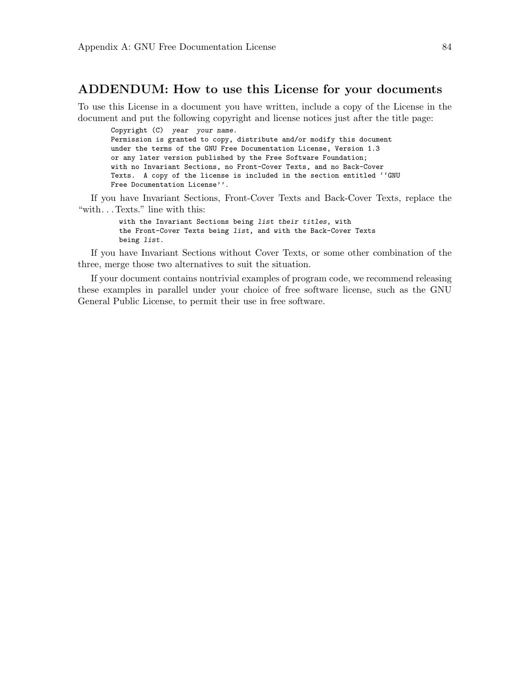## ADDENDUM: How to use this License for your documents

To use this License in a document you have written, include a copy of the License in the document and put the following copyright and license notices just after the title page:

Copyright (C) year your name. Permission is granted to copy, distribute and/or modify this document under the terms of the GNU Free Documentation License, Version 1.3 or any later version published by the Free Software Foundation; with no Invariant Sections, no Front-Cover Texts, and no Back-Cover Texts. A copy of the license is included in the section entitled ''GNU Free Documentation License''.

If you have Invariant Sections, Front-Cover Texts and Back-Cover Texts, replace the "with. . . Texts." line with this:

> with the Invariant Sections being list their titles, with the Front-Cover Texts being list, and with the Back-Cover Texts being list.

If you have Invariant Sections without Cover Texts, or some other combination of the three, merge those two alternatives to suit the situation.

If your document contains nontrivial examples of program code, we recommend releasing these examples in parallel under your choice of free software license, such as the GNU General Public License, to permit their use in free software.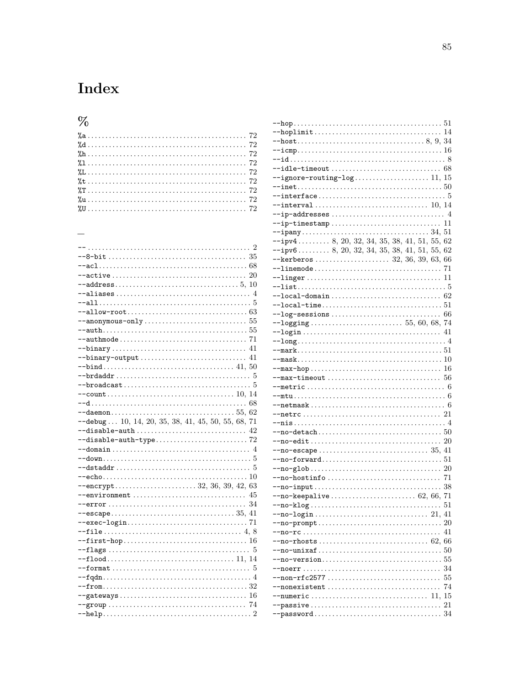## Index

## $%$

 $-$ debug... 10, 14, 20, 35, 38, 41, 45, 50, 55, 68, 71  $--disable-auth \dots \dots \dots \dots \dots \dots \dots \dots \dots \dots \ 42$ 

| $--ignore$ -routing-log11, 15                                                                               |    |
|-------------------------------------------------------------------------------------------------------------|----|
|                                                                                                             |    |
|                                                                                                             |    |
|                                                                                                             |    |
| $\texttt{--ip-addresses}\dots\dots\dots\dots\dots\dots\dots\dots\dots\dots\dots\ 4$                         |    |
|                                                                                                             |    |
|                                                                                                             |    |
| $-\text{ipv4}$ 8, 20, 32, 34, 35, 38, 41, 51, 55, 62                                                        |    |
| $-$ ipv6 8, 20, 32, 34, 35, 38, 41, 51, 55, 62                                                              |    |
|                                                                                                             |    |
|                                                                                                             |    |
|                                                                                                             |    |
| $\texttt{--list} \dots \dots \dots \dots \dots \dots \dots \dots \dots \dots \dots \dots \dots \dots \dots$ |    |
|                                                                                                             |    |
|                                                                                                             |    |
|                                                                                                             |    |
|                                                                                                             |    |
|                                                                                                             |    |
|                                                                                                             |    |
|                                                                                                             |    |
|                                                                                                             |    |
| $\texttt{--max-hop} \dots \dots \dots \dots \dots \dots \dots \dots \dots \dots \dots \ 16$                 |    |
|                                                                                                             |    |
|                                                                                                             |    |
|                                                                                                             |    |
|                                                                                                             |    |
|                                                                                                             |    |
|                                                                                                             |    |
|                                                                                                             |    |
|                                                                                                             |    |
|                                                                                                             |    |
|                                                                                                             |    |
|                                                                                                             |    |
| $-$ no-hostinfo $\ldots \ldots \ldots \ldots \ldots \ldots \ldots \ldots \ldots$                            |    |
|                                                                                                             |    |
| $---no-keepalive \dots + \dots + \dots + \dots + 62, 66, 71$                                                |    |
| $\texttt{no-klog} \ldots \ldots \ldots \ldots \ldots \ldots \ldots \ldots \ldots \ldots 51$                 |    |
|                                                                                                             |    |
|                                                                                                             |    |
|                                                                                                             |    |
|                                                                                                             |    |
|                                                                                                             |    |
|                                                                                                             |    |
|                                                                                                             |    |
| $--non-rfc2577$                                                                                             | 55 |
| $-$ nonexistent                                                                                             | 74 |
| --numeric  11.15                                                                                            |    |
|                                                                                                             |    |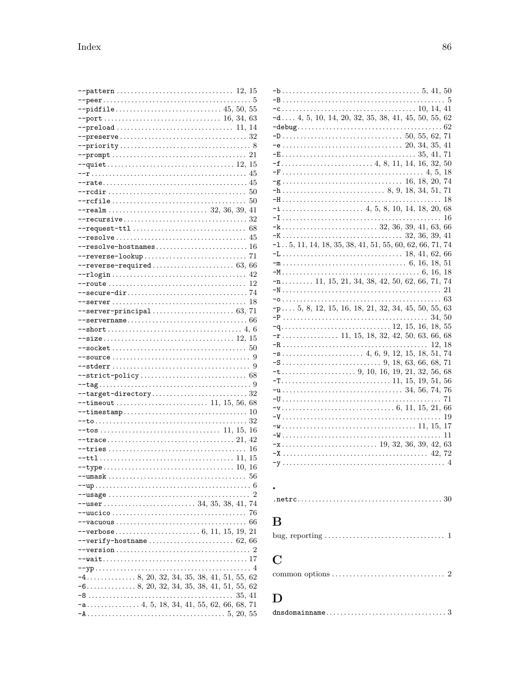|                                                                                            |        | 50             |
|--------------------------------------------------------------------------------------------|--------|----------------|
|                                                                                            |        |                |
|                                                                                            |        |                |
|                                                                                            |        |                |
|                                                                                            |        |                |
|                                                                                            |        |                |
|                                                                                            |        |                |
|                                                                                            |        |                |
|                                                                                            |        |                |
|                                                                                            |        |                |
|                                                                                            |        |                |
|                                                                                            |        |                |
|                                                                                            |        |                |
|                                                                                            |        |                |
|                                                                                            |        |                |
|                                                                                            |        |                |
|                                                                                            |        |                |
|                                                                                            |        |                |
|                                                                                            |        |                |
|                                                                                            |        |                |
|                                                                                            |        |                |
|                                                                                            |        |                |
|                                                                                            |        |                |
|                                                                                            |        |                |
|                                                                                            |        |                |
| $\texttt{--timestamp}\dots\dots\dots\dots\dots\dots\dots\dots\dots\dots\,10$               |        |                |
|                                                                                            |        |                |
|                                                                                            |        |                |
|                                                                                            |        |                |
|                                                                                            |        |                |
|                                                                                            |        |                |
|                                                                                            |        |                |
|                                                                                            |        | 56             |
|                                                                                            |        |                |
| $\texttt{--usage} \dots \dots \dots \dots \dots \dots \dots \dots \dots \dots \dots \dots$ |        | $\overline{2}$ |
|                                                                                            |        |                |
|                                                                                            |        | 76             |
| $--vacuous \dots \dots \dots \dots \dots \dots \dots \dots \dots \dots \dots \dots \dots$  |        | 66             |
|                                                                                            |        |                |
|                                                                                            |        |                |
|                                                                                            |        |                |
|                                                                                            |        |                |
|                                                                                            |        |                |
|                                                                                            |        |                |
|                                                                                            |        |                |
|                                                                                            |        |                |
|                                                                                            | 35, 41 |                |
|                                                                                            |        |                |

| $-a$ 4, 5, 10, 14, 20, 32, 35, 38, 41, 45, 50, 55, 62                                            |       |    |
|--------------------------------------------------------------------------------------------------|-------|----|
|                                                                                                  |       |    |
|                                                                                                  |       |    |
|                                                                                                  |       |    |
|                                                                                                  |       |    |
|                                                                                                  |       |    |
| $-g \ldots \ldots \ldots \ldots \ldots \ldots \ldots \ldots \ldots \ldots \ldots 16, 18, 20, 74$ |       |    |
|                                                                                                  |       |    |
|                                                                                                  |       | 18 |
|                                                                                                  |       |    |
|                                                                                                  |       |    |
|                                                                                                  |       |    |
|                                                                                                  |       |    |
| $-1 \ldots 5, 11, 14, 18, 35, 38, 41, 51, 55, 60, 62, 66, 71, 74$                                |       |    |
|                                                                                                  |       |    |
|                                                                                                  |       |    |
|                                                                                                  |       |    |
| $-n$ 11, 15, 21, 34, 38, 42, 50, 62, 66, 71, 74                                                  |       |    |
|                                                                                                  |       |    |
|                                                                                                  |       | 63 |
| $-p$ 5, 8, 12, 15, 16, 18, 21, 32, 34, 45, 50, 55, 63                                            |       |    |
|                                                                                                  | 34.50 |    |
|                                                                                                  |       |    |
|                                                                                                  |       |    |
|                                                                                                  | 12.18 |    |
|                                                                                                  |       |    |
|                                                                                                  |       | 71 |
|                                                                                                  |       |    |
|                                                                                                  |       |    |
|                                                                                                  |       | 71 |
|                                                                                                  |       |    |
|                                                                                                  |       | 19 |
|                                                                                                  |       |    |
|                                                                                                  |       | 11 |
|                                                                                                  |       |    |
|                                                                                                  |       |    |
|                                                                                                  |       |    |
|                                                                                                  |       |    |

## $\overline{\mathbf{B}}$

 $\ddot{\phantom{0}}$ 

|--|--|

# $\overline{\mathbf{C}}$

|--|--|--|

# $\mathbf{D}%$

| $\texttt{dnsdomainname} \dots \dots \dots \dots \dots \dots \dots \dots \dots \dots \dots \dots$ |  |  |
|--------------------------------------------------------------------------------------------------|--|--|
|                                                                                                  |  |  |